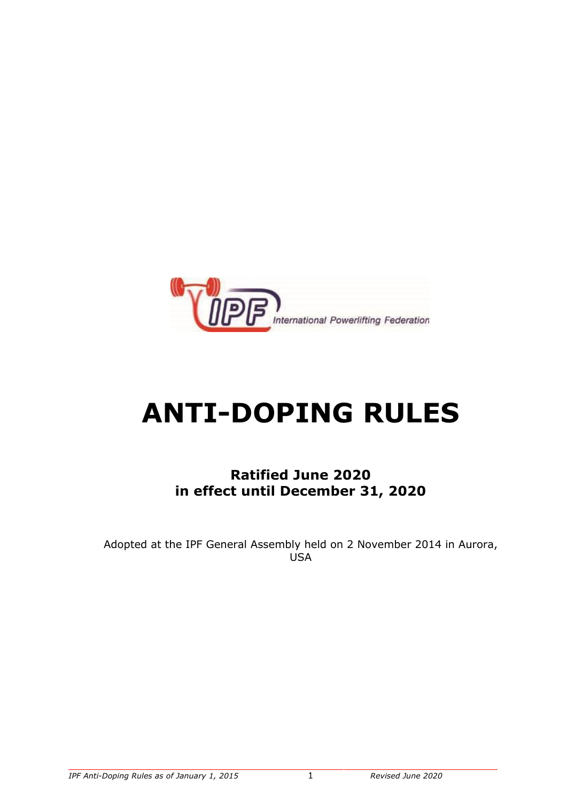

# **ANTI-DOPING RULES**

**Ratified June 2020 in effect until December 31, 2020**

Adopted at the IPF General Assembly held on 2 November 2014 in Aurora, **USA**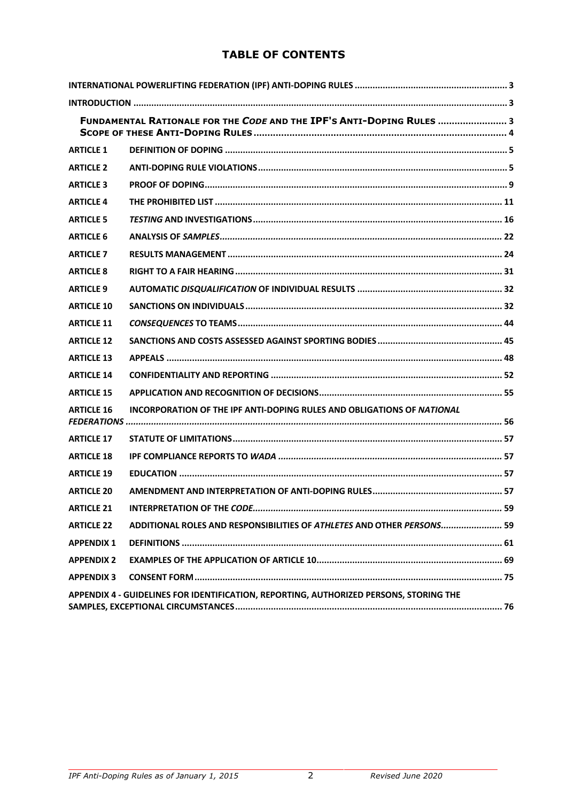## **TABLE OF CONTENTS**

| FUNDAMENTAL RATIONALE FOR THE CODE AND THE IPF'S ANTI-DOPING RULES  3                  |                                                                               |
|----------------------------------------------------------------------------------------|-------------------------------------------------------------------------------|
| <b>ARTICLE 1</b>                                                                       |                                                                               |
| <b>ARTICLE 2</b>                                                                       |                                                                               |
| <b>ARTICLE 3</b>                                                                       |                                                                               |
| <b>ARTICLE 4</b>                                                                       |                                                                               |
| <b>ARTICLE 5</b>                                                                       |                                                                               |
| <b>ARTICLE 6</b>                                                                       |                                                                               |
| <b>ARTICLE 7</b>                                                                       |                                                                               |
| <b>ARTICLE 8</b>                                                                       |                                                                               |
| <b>ARTICLE 9</b>                                                                       |                                                                               |
| <b>ARTICLE 10</b>                                                                      |                                                                               |
| <b>ARTICLE 11</b>                                                                      |                                                                               |
| <b>ARTICLE 12</b>                                                                      |                                                                               |
| <b>ARTICLE 13</b>                                                                      |                                                                               |
| <b>ARTICLE 14</b>                                                                      |                                                                               |
| <b>ARTICLE 15</b>                                                                      |                                                                               |
| <b>ARTICLE 16</b>                                                                      | <b>INCORPORATION OF THE IPF ANTI-DOPING RULES AND OBLIGATIONS OF NATIONAL</b> |
| <b>ARTICLE 17</b>                                                                      |                                                                               |
| <b>ARTICLE 18</b>                                                                      |                                                                               |
| <b>ARTICLE 19</b>                                                                      |                                                                               |
| <b>ARTICLE 20</b>                                                                      |                                                                               |
| <b>ARTICLE 21</b>                                                                      |                                                                               |
| <b>ARTICLE 22</b>                                                                      | ADDITIONAL ROLES AND RESPONSIBILITIES OF ATHLETES AND OTHER PERSONS 59        |
| <b>APPENDIX 1</b>                                                                      |                                                                               |
| <b>APPENDIX 2</b>                                                                      |                                                                               |
| <b>APPENDIX 3</b>                                                                      |                                                                               |
| APPENDIX 4 - GUIDELINES FOR IDENTIFICATION, REPORTING, AUTHORIZED PERSONS, STORING THE |                                                                               |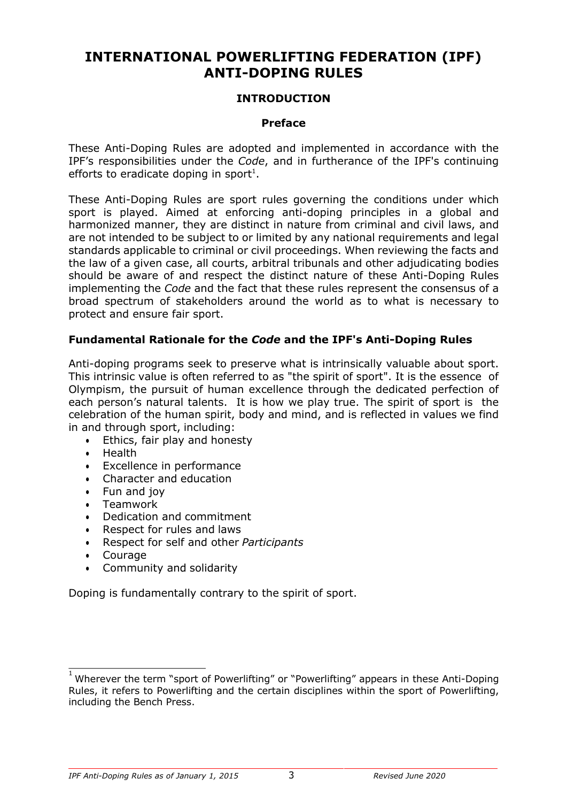# **INTERNATIONAL POWERLIFTING FEDERATION (IPF) ANTI-DOPING RULES**

#### **INTRODUCTION**

#### **Preface**

These Anti-Doping Rules are adopted and implemented in accordance with the IPF's responsibilities under the *Code*, and in furtherance of the IPF's continuing efforts to eradicate doping in sport<sup>1</sup>.

These Anti-Doping Rules are sport rules governing the conditions under which sport is played. Aimed at enforcing anti-doping principles in a global and harmonized manner, they are distinct in nature from criminal and civil laws, and are not intended to be subject to or limited by any national requirements and legal standards applicable to criminal or civil proceedings. When reviewing the facts and the law of a given case, all courts, arbitral tribunals and other adjudicating bodies should be aware of and respect the distinct nature of these Anti-Doping Rules implementing the *Code* and the fact that these rules represent the consensus of a broad spectrum of stakeholders around the world as to what is necessary to protect and ensure fair sport.

#### **Fundamental Rationale for the** *Code* **and the IPF's Anti-Doping Rules**

Anti-doping programs seek to preserve what is intrinsically valuable about sport. This intrinsic value is often referred to as "the spirit of sport". It is the essence of Olympism, the pursuit of human excellence through the dedicated perfection of each person's natural talents. It is how we play true. The spirit of sport is the celebration of the human spirit, body and mind, and is reflected in values we find in and through sport, including:

- Ethics, fair play and honesty
- Health
- Excellence in performance
- Character and education
- Fun and joy
- Teamwork
- Dedication and commitment
- Respect for rules and laws
- Respect for self and other *Participants*
- Courage
- Community and solidarity

Doping is fundamentally contrary to the spirit of sport.

 $\frac{1}{1}$ Wherever the term "sport of Powerlifting" or "Powerlifting" appears in these Anti-Doping Rules, it refers to Powerlifting and the certain disciplines within the sport of Powerlifting, including the Bench Press.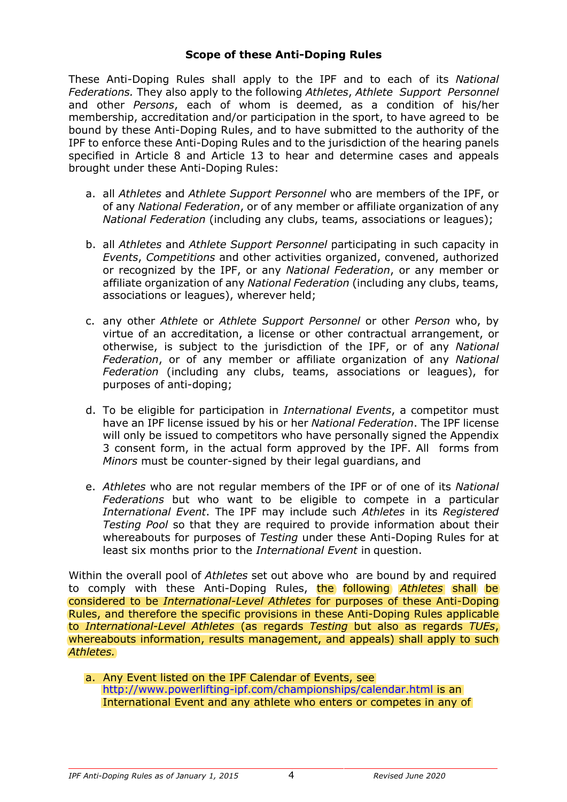#### **Scope of these Anti-Doping Rules**

These Anti-Doping Rules shall apply to the IPF and to each of its *National Federations.* They also apply to the following *Athletes*, *Athlete Support Personnel*  and other *Persons*, each of whom is deemed, as a condition of his/her membership, accreditation and/or participation in the sport, to have agreed to be bound by these Anti-Doping Rules, and to have submitted to the authority of the IPF to enforce these Anti-Doping Rules and to the jurisdiction of the hearing panels specified in Article 8 and Article 13 to hear and determine cases and appeals brought under these Anti-Doping Rules:

- a. all *Athletes* and *Athlete Support Personnel* who are members of the IPF, or of any *National Federation*, or of any member or affiliate organization of any *National Federation* (including any clubs, teams, associations or leagues);
- b. all *Athletes* and *Athlete Support Personnel* participating in such capacity in *Events*, *Competitions* and other activities organized, convened, authorized or recognized by the IPF, or any *National Federation*, or any member or affiliate organization of any *National Federation* (including any clubs, teams, associations or leagues), wherever held;
- c. any other *Athlete* or *Athlete Support Personnel* or other *Person* who, by virtue of an accreditation, a license or other contractual arrangement, or otherwise, is subject to the jurisdiction of the IPF, or of any *National Federation*, or of any member or affiliate organization of any *National Federation* (including any clubs, teams, associations or leagues), for purposes of anti-doping;
- d. To be eligible for participation in *International Events*, a competitor must have an IPF license issued by his or her *National Federation*. The IPF license will only be issued to competitors who have personally signed the Appendix 3 consent form, in the actual form approved by the IPF. All forms from *Minors* must be counter-signed by their legal guardians, and
- e. *Athletes* who are not regular members of the IPF or of one of its *National Federations* but who want to be eligible to compete in a particular *International Event*. The IPF may include such *Athletes* in its *Registered Testing Pool* so that they are required to provide information about their whereabouts for purposes of *Testing* under these Anti-Doping Rules for at least six months prior to the *International Event* in question.

to comply with these Anti-Doping Rules, the following Athletes shall be Within the overall pool of *Athletes* set out above who are bound by and required considered to be *International-Level Athletes* for purposes of these Anti-Doping Rules, and therefore the specific provisions in these Anti-Doping Rules applicable to *International-Level Athletes* (as regards *Testing* but also as regards *TUEs*, whereabouts information, results management, and appeals) shall apply to such *Athletes.*

http://www.powerlifting-ipf.com/championships/calendar.html is an International Event and any athlete who enters or competes in any of a. Any Event listed on the IPF Calendar of Events, see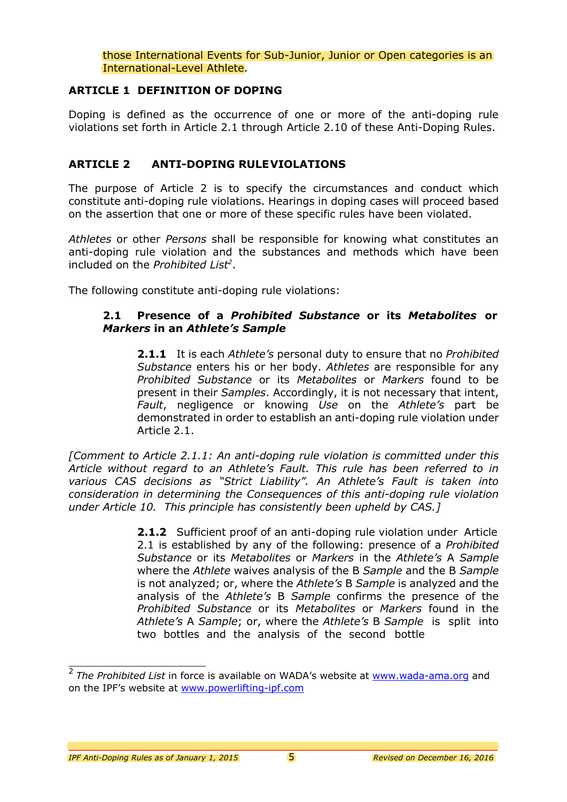those International Events for Sub-Junior, Junior or Open categories is an International-Level Athlete.

#### **ARTICLE 1 DEFINITION OF DOPING**

Doping is defined as the occurrence of one or more of the anti-doping rule violations set forth in Article 2.1 through Article 2.10 of these Anti-Doping Rules.

#### **ARTICLE 2 ANTI-DOPING RULEVIOLATIONS**

The purpose of Article 2 is to specify the circumstances and conduct which constitute anti-doping rule violations. Hearings in doping cases will proceed based on the assertion that one or more of these specific rules have been violated.

*Athletes* or other *Persons* shall be responsible for knowing what constitutes an anti-doping rule violation and the substances and methods which have been included on the *Prohibited List2* .

The following constitute anti-doping rule violations:

#### **2.1 Presence of a** *Prohibited Substance* **or its** *Metabolites* **or** *Markers* **in an** *Athlete's Sample*

**2.1.1** It is each *Athlete's* personal duty to ensure that no *Prohibited Substance* enters his or her body. *Athletes* are responsible for any *Prohibited Substance* or its *Metabolites* or *Markers* found to be present in their *Samples*. Accordingly, it is not necessary that intent, *Fault*, negligence or knowing *Use* on the *Athlete's* part be demonstrated in order to establish an anti-doping rule violation under Article 2.1.

*[Comment to Article 2.1.1: An anti-doping rule violation is committed under this Article without regard to an Athlete's Fault. This rule has been referred to in various CAS decisions as "Strict Liability". An Athlete's Fault is taken into consideration in determining the Consequences of this anti-doping rule violation under Article 10. This principle has consistently been upheld by CAS.]*

> **2.1.2** Sufficient proof of an anti-doping rule violation under Article 2.1 is established by any of the following: presence of a *Prohibited Substance* or its *Metabolites* or *Markers* in the *Athlete's* A *Sample*  where the *Athlete* waives analysis of the B *Sample* and the B *Sample*  is not analyzed; or, where the *Athlete's* B *Sample* is analyzed and the analysis of the *Athlete's* B *Sample* confirms the presence of the *Prohibited Substance* or its *Metabolites* or *Markers* found in the *Athlete's* A *Sample*; or, where the *Athlete's* B *Sample* is split into two bottles and the analysis of the second bottle

<sup>2</sup>*The Prohibited List* in force is available on WADA's website at www.wada-ama.org and on the IPF's website at www.powerlifting-ipf.com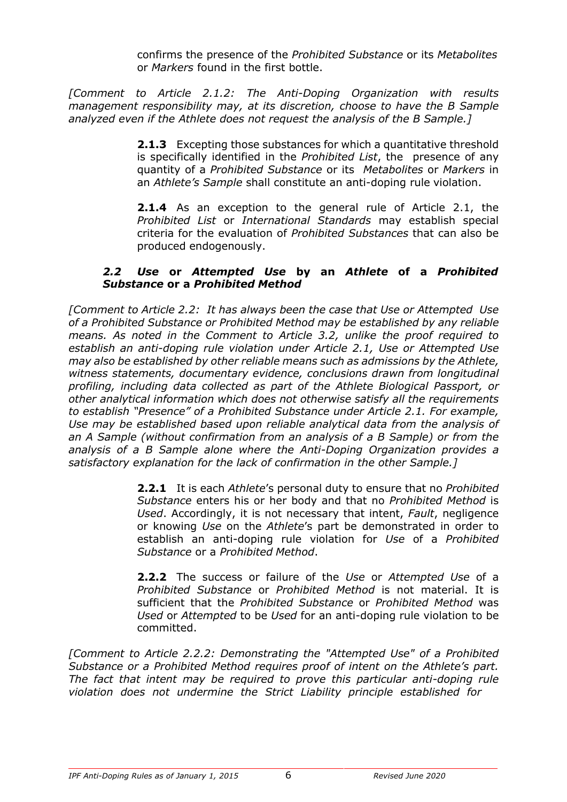confirms the presence of the *Prohibited Substance* or its *Metabolites* or *Markers* found in the first bottle.

*[Comment to Article 2.1.2: The Anti-Doping Organization with results management responsibility may, at its discretion, choose to have the B Sample analyzed even if the Athlete does not request the analysis of the B Sample.]*

> **2.1.3** Excepting those substances for which a quantitative threshold is specifically identified in the *Prohibited List*, the presence of any quantity of a *Prohibited Substance* or its *Metabolites* or *Markers* in an *Athlete's Sample* shall constitute an anti-doping rule violation.

> **2.1.4** As an exception to the general rule of Article 2.1, the *Prohibited List* or *International Standards* may establish special criteria for the evaluation of *Prohibited Substances* that can also be produced endogenously.

#### *2.2 Use* **or** *Attempted Use* **by an** *Athlete* **of a** *Prohibited Substance* **or a** *Prohibited Method*

*[Comment to Article 2.2: It has always been the case that Use or Attempted Use of a Prohibited Substance or Prohibited Method may be established by any reliable means. As noted in the Comment to Article 3.2, unlike the proof required to establish an anti-doping rule violation under Article 2.1, Use or Attempted Use may also be established by other reliable means such as admissions by the Athlete, witness statements, documentary evidence, conclusions drawn from longitudinal profiling, including data collected as part of the Athlete Biological Passport, or other analytical information which does not otherwise satisfy all the requirements to establish "Presence" of a Prohibited Substance under Article 2.1. For example, Use may be established based upon reliable analytical data from the analysis of an A Sample (without confirmation from an analysis of a B Sample) or from the analysis of a B Sample alone where the Anti-Doping Organization provides a satisfactory explanation for the lack of confirmation in the other Sample.]*

> **2.2.1** It is each *Athlete*'s personal duty to ensure that no *Prohibited Substance* enters his or her body and that no *Prohibited Method* is *Used*. Accordingly, it is not necessary that intent, *Fault*, negligence or knowing *Use* on the *Athlete*'s part be demonstrated in order to establish an anti-doping rule violation for *Use* of a *Prohibited Substance* or a *Prohibited Method*.

> **2.2.2** The success or failure of the *Use* or *Attempted Use* of a *Prohibited Substance* or *Prohibited Method* is not material. It is sufficient that the *Prohibited Substance* or *Prohibited Method* was *Used* or *Attempted* to be *Used* for an anti-doping rule violation to be committed.

*[Comment to Article 2.2.2: Demonstrating the "Attempted Use" of a Prohibited Substance or a Prohibited Method requires proof of intent on the Athlete's part. The fact that intent may be required to prove this particular anti-doping rule violation does not undermine the Strict Liability principle established for*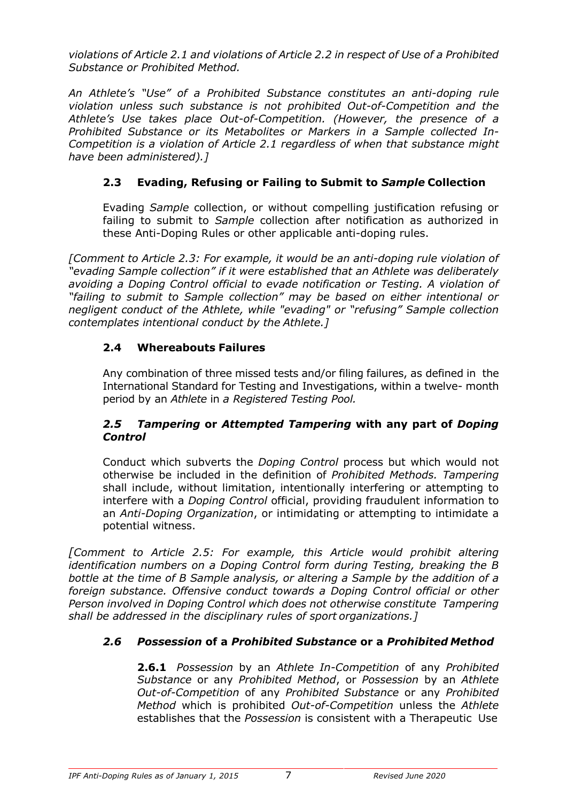*violations of Article 2.1 and violations of Article 2.2 in respect of Use of a Prohibited Substance or Prohibited Method.*

*An Athlete's "Use" of a Prohibited Substance constitutes an anti-doping rule violation unless such substance is not prohibited Out-of-Competition and the Athlete's Use takes place Out-of-Competition. (However, the presence of a Prohibited Substance or its Metabolites or Markers in a Sample collected In-Competition is a violation of Article 2.1 regardless of when that substance might have been administered).]*

## **2.3 Evading, Refusing or Failing to Submit to** *Sample* **Collection**

Evading *Sample* collection, or without compelling justification refusing or failing to submit to *Sample* collection after notification as authorized in these Anti-Doping Rules or other applicable anti-doping rules.

*[Comment to Article 2.3: For example, it would be an anti-doping rule violation of "evading Sample collection" if it were established that an Athlete was deliberately avoiding a Doping Control official to evade notification or Testing. A violation of "failing to submit to Sample collection" may be based on either intentional or negligent conduct of the Athlete, while "evading" or "refusing" Sample collection contemplates intentional conduct by the Athlete.]*

## **2.4 Whereabouts Failures**

Any combination of three missed tests and/or filing failures, as defined in the International Standard for Testing and Investigations, within a twelve- month period by an *Athlete* in *a Registered Testing Pool.*

## *2.5 Tampering* **or** *Attempted Tampering* **with any part of** *Doping Control*

Conduct which subverts the *Doping Control* process but which would not otherwise be included in the definition of *Prohibited Methods. Tampering*  shall include, without limitation, intentionally interfering or attempting to interfere with a *Doping Control* official, providing fraudulent information to an *Anti-Doping Organization*, or intimidating or attempting to intimidate a potential witness.

*[Comment to Article 2.5: For example, this Article would prohibit altering identification numbers on a Doping Control form during Testing, breaking the B bottle at the time of B Sample analysis, or altering a Sample by the addition of a foreign substance. Offensive conduct towards a Doping Control official or other Person involved in Doping Control which does not otherwise constitute Tampering shall be addressed in the disciplinary rules of sport organizations.]*

## *2.6 Possession* **of a** *Prohibited Substance* **or a** *Prohibited Method*

**2.6.1** *Possession* by an *Athlete In-Competition* of any *Prohibited Substance* or any *Prohibited Method*, or *Possession* by an *Athlete Out-of-Competition* of any *Prohibited Substance* or any *Prohibited Method* which is prohibited *Out-of-Competition* unless the *Athlete*  establishes that the *Possession* is consistent with a Therapeutic Use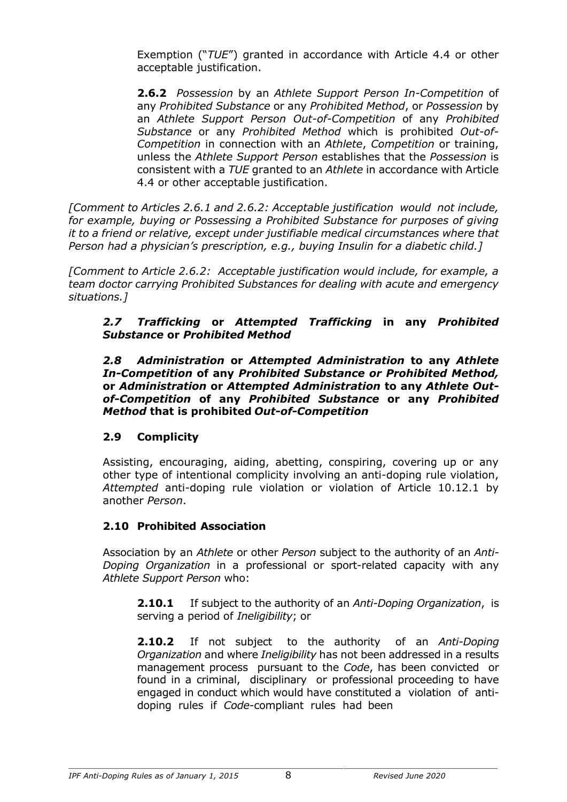Exemption ("*TUE*") granted in accordance with Article 4.4 or other acceptable justification.

**2.6.2** *Possession* by an *Athlete Support Person In-Competition* of any *Prohibited Substance* or any *Prohibited Method*, or *Possession* by an *Athlete Support Person Out-of-Competition* of any *Prohibited Substance* or any *Prohibited Method* which is prohibited *Out-of-Competition* in connection with an *Athlete*, *Competition* or training, unless the *Athlete Support Person* establishes that the *Possession* is consistent with a *TUE* granted to an *Athlete* in accordance with Article 4.4 or other acceptable justification.

*[Comment to Articles 2.6.1 and 2.6.2: Acceptable justification would not include, for example, buying or Possessing a Prohibited Substance for purposes of giving it to a friend or relative, except under justifiable medical circumstances where that Person had a physician's prescription, e.g., buying Insulin for a diabetic child.]*

*[Comment to Article 2.6.2: Acceptable justification would include, for example, a team doctor carrying Prohibited Substances for dealing with acute and emergency situations.]*

#### *2.7 Trafficking* **or** *Attempted Trafficking* **in any** *Prohibited Substance* **or** *Prohibited Method*

*2.8 Administration* **or** *Attempted Administration* **to any** *Athlete In-Competition* **of any** *Prohibited Substance or Prohibited Method,*  **or** *Administration* **or** *Attempted Administration* **to any** *Athlete Outof-Competition* **of any** *Prohibited Substance* **or any** *Prohibited Method* **that is prohibited** *Out-of-Competition*

## **2.9 Complicity**

Assisting, encouraging, aiding, abetting, conspiring, covering up or any other type of intentional complicity involving an anti-doping rule violation, *Attempted* anti-doping rule violation or violation of Article 10.12.1 by another *Person*.

## **2.10 Prohibited Association**

Association by an *Athlete* or other *Person* subject to the authority of an *Anti-Doping Organization* in a professional or sport-related capacity with any *Athlete Support Person* who:

**2.10.1** If subject to the authority of an *Anti-Doping Organization*, is serving a period of *Ineligibility*; or

**2.10.2** If not subject to the authority of an *Anti-Doping Organization* and where *Ineligibility* has not been addressed in a results management process pursuant to the *Code*, has been convicted or found in a criminal, disciplinary or professional proceeding to have engaged in conduct which would have constituted a violation of antidoping rules if *Code*-compliant rules had been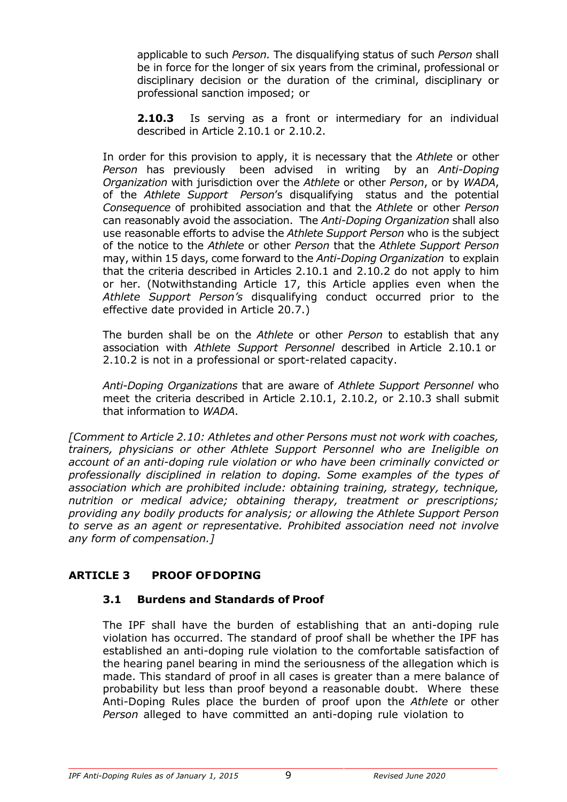applicable to such *Person.* The disqualifying status of such *Person* shall be in force for the longer of six years from the criminal, professional or disciplinary decision or the duration of the criminal, disciplinary or professional sanction imposed; or

**2.10.3** Is serving as a front or intermediary for an individual described in Article 2.10.1 or 2.10.2.

In order for this provision to apply, it is necessary that the *Athlete* or other *Person* has previously been advised in writing by an *Anti-Doping Organization* with jurisdiction over the *Athlete* or other *Person*, or by *WADA*, of the *Athlete Support Person*'s disqualifying status and the potential *Consequence* of prohibited association and that the *Athlete* or other *Person*  can reasonably avoid the association. The *Anti-Doping Organization* shall also use reasonable efforts to advise the *Athlete Support Person* who is the subject of the notice to the *Athlete* or other *Person* that the *Athlete Support Person*  may, within 15 days, come forward to the *Anti-Doping Organization* to explain that the criteria described in Articles 2.10.1 and 2.10.2 do not apply to him or her. (Notwithstanding Article 17, this Article applies even when the *Athlete Support Person's* disqualifying conduct occurred prior to the effective date provided in Article 20.7.)

The burden shall be on the *Athlete* or other *Person* to establish that any association with *Athlete Support Personnel* described in Article 2.10.1 or 2.10.2 is not in a professional or sport-related capacity.

*Anti-Doping Organizations* that are aware of *Athlete Support Personnel* who meet the criteria described in Article 2.10.1, 2.10.2, or 2.10.3 shall submit that information to *WADA*.

*[Comment to Article 2.10: Athletes and other Persons must not work with coaches, trainers, physicians or other Athlete Support Personnel who are Ineligible on account of an anti-doping rule violation or who have been criminally convicted or professionally disciplined in relation to doping. Some examples of the types of association which are prohibited include: obtaining training, strategy, technique, nutrition or medical advice; obtaining therapy, treatment or prescriptions; providing any bodily products for analysis; or allowing the Athlete Support Person to serve as an agent or representative. Prohibited association need not involve any form of compensation.]*

## **ARTICLE 3 PROOF OFDOPING**

#### **3.1 Burdens and Standards of Proof**

The IPF shall have the burden of establishing that an anti-doping rule violation has occurred. The standard of proof shall be whether the IPF has established an anti-doping rule violation to the comfortable satisfaction of the hearing panel bearing in mind the seriousness of the allegation which is made. This standard of proof in all cases is greater than a mere balance of probability but less than proof beyond a reasonable doubt. Where these Anti-Doping Rules place the burden of proof upon the *Athlete* or other *Person* alleged to have committed an anti-doping rule violation to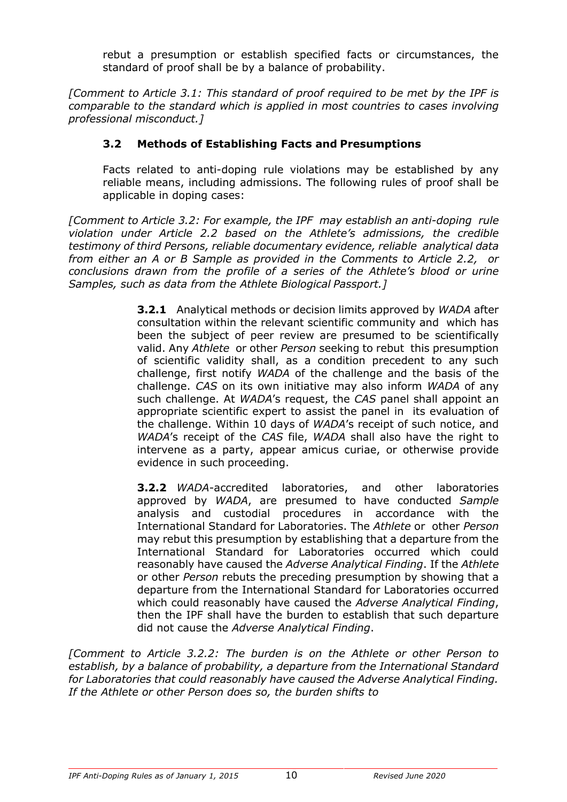rebut a presumption or establish specified facts or circumstances, the standard of proof shall be by a balance of probability.

*[Comment to Article 3.1: This standard of proof required to be met by the IPF is comparable to the standard which is applied in most countries to cases involving professional misconduct.]*

## **3.2 Methods of Establishing Facts and Presumptions**

Facts related to anti-doping rule violations may be established by any reliable means, including admissions. The following rules of proof shall be applicable in doping cases:

*[Comment to Article 3.2: For example, the IPF may establish an anti-doping rule violation under Article 2.2 based on the Athlete's admissions, the credible testimony of third Persons, reliable documentary evidence, reliable analytical data from either an A or B Sample as provided in the Comments to Article 2.2, or conclusions drawn from the profile of a series of the Athlete's blood or urine Samples, such as data from the Athlete Biological Passport.]*

> **3.2.1** Analytical methods or decision limits approved by *WADA* after consultation within the relevant scientific community and which has been the subject of peer review are presumed to be scientifically valid. Any *Athlete* or other *Person* seeking to rebut this presumption of scientific validity shall, as a condition precedent to any such challenge, first notify *WADA* of the challenge and the basis of the challenge. *CAS* on its own initiative may also inform *WADA* of any such challenge. At *WADA*'s request, the *CAS* panel shall appoint an appropriate scientific expert to assist the panel in its evaluation of the challenge. Within 10 days of *WADA*'s receipt of such notice, and *WADA*'s receipt of the *CAS* file, *WADA* shall also have the right to intervene as a party, appear amicus curiae, or otherwise provide evidence in such proceeding.

> **3.2.2** *WADA*-accredited laboratories, and other laboratories approved by *WADA*, are presumed to have conducted *Sample*  analysis and custodial procedures in accordance with the International Standard for Laboratories. The *Athlete* or other *Person*  may rebut this presumption by establishing that a departure from the International Standard for Laboratories occurred which could reasonably have caused the *Adverse Analytical Finding*. If the *Athlete*  or other *Person* rebuts the preceding presumption by showing that a departure from the International Standard for Laboratories occurred which could reasonably have caused the *Adverse Analytical Finding*, then the IPF shall have the burden to establish that such departure did not cause the *Adverse Analytical Finding*.

*[Comment to Article 3.2.2: The burden is on the Athlete or other Person to establish, by a balance of probability, a departure from the International Standard for Laboratories that could reasonably have caused the Adverse Analytical Finding. If the Athlete or other Person does so, the burden shifts to*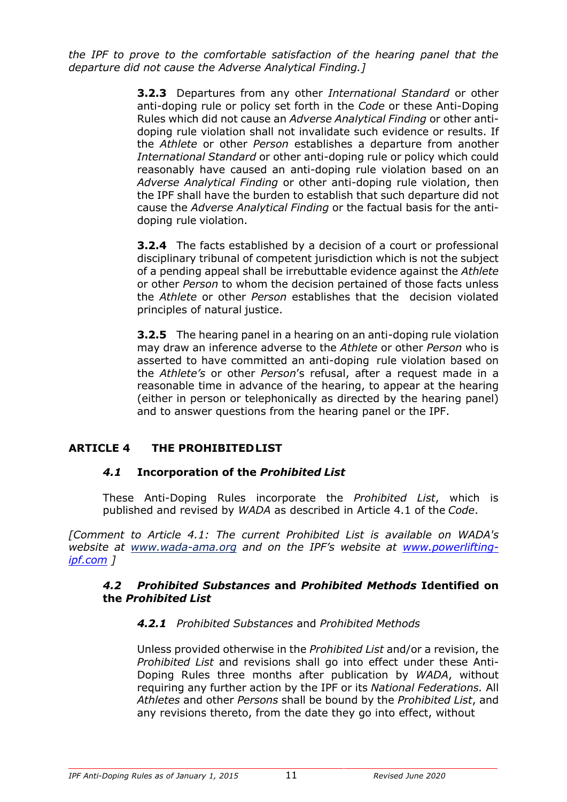*the IPF to prove to the comfortable satisfaction of the hearing panel that the departure did not cause the Adverse Analytical Finding.]*

> **3.2.3** Departures from any other *International Standard* or other anti-doping rule or policy set forth in the *Code* or these Anti-Doping Rules which did not cause an *Adverse Analytical Finding* or other antidoping rule violation shall not invalidate such evidence or results. If the *Athlete* or other *Person* establishes a departure from another *International Standard* or other anti-doping rule or policy which could reasonably have caused an anti-doping rule violation based on an *Adverse Analytical Finding* or other anti-doping rule violation, then the IPF shall have the burden to establish that such departure did not cause the *Adverse Analytical Finding* or the factual basis for the antidoping rule violation.

> **3.2.4** The facts established by a decision of a court or professional disciplinary tribunal of competent jurisdiction which is not the subject of a pending appeal shall be irrebuttable evidence against the *Athlete*  or other *Person* to whom the decision pertained of those facts unless the *Athlete* or other *Person* establishes that the decision violated principles of natural justice.

> **3.2.5** The hearing panel in a hearing on an anti-doping rule violation may draw an inference adverse to the *Athlete* or other *Person* who is asserted to have committed an anti-doping rule violation based on the *Athlete's* or other *Person*'s refusal, after a request made in a reasonable time in advance of the hearing, to appear at the hearing (either in person or telephonically as directed by the hearing panel) and to answer questions from the hearing panel or the IPF.

## **ARTICLE 4 THE PROHIBITEDLIST**

## *4.1* **Incorporation of the** *Prohibited List*

These Anti-Doping Rules incorporate the *Prohibited List*, which is published and revised by *WADA* as described in Article 4.1 of the *Code*.

*[Comment to Article 4.1: The current Prohibited List is available on WADA's website at www.wada-ama.org and on the IPF's website at www.powerliftingipf.com ]*

#### *4.2 Prohibited Substances* **and** *Prohibited Methods* **Identified on the** *Prohibited List*

## *4.2.1 Prohibited Substances* and *Prohibited Methods*

Unless provided otherwise in the *Prohibited List* and/or a revision, the *Prohibited List* and revisions shall go into effect under these Anti-Doping Rules three months after publication by *WADA*, without requiring any further action by the IPF or its *National Federations.* All *Athletes* and other *Persons* shall be bound by the *Prohibited List*, and any revisions thereto, from the date they go into effect, without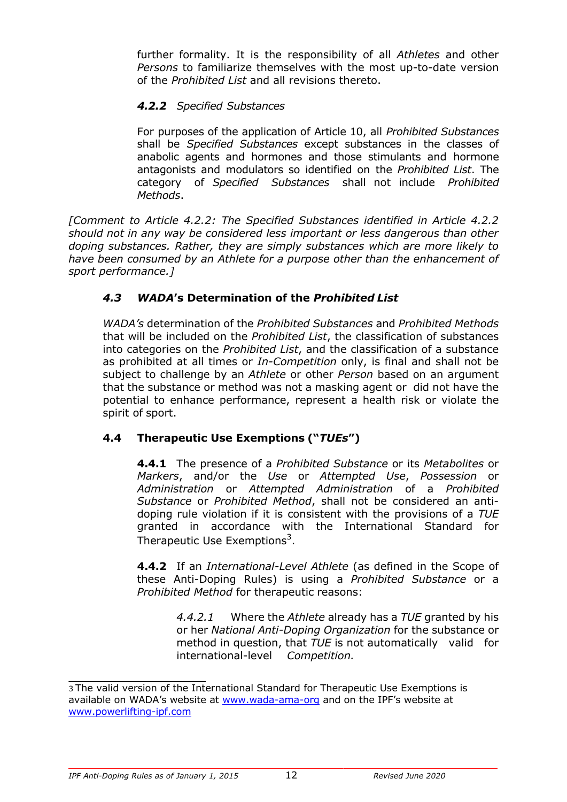further formality. It is the responsibility of all *Athletes* and other *Persons* to familiarize themselves with the most up-to-date version of the *Prohibited List* and all revisions thereto.

## *4.2.2 Specified Substances*

For purposes of the application of Article 10, all *Prohibited Substances*  shall be *Specified Substances* except substances in the classes of anabolic agents and hormones and those stimulants and hormone antagonists and modulators so identified on the *Prohibited List*. The category of *Specified Substances* shall not include *Prohibited Methods*.

*[Comment to Article 4.2.2: The Specified Substances identified in Article 4.2.2 should not in any way be considered less important or less dangerous than other doping substances. Rather, they are simply substances which are more likely to have been consumed by an Athlete for a purpose other than the enhancement of sport performance.]*

## *4.3 WADA***'s Determination of the** *Prohibited List*

*WADA's* determination of the *Prohibited Substances* and *Prohibited Methods*  that will be included on the *Prohibited List*, the classification of substances into categories on the *Prohibited List*, and the classification of a substance as prohibited at all times or *In-Competition* only, is final and shall not be subject to challenge by an *Athlete* or other *Person* based on an argument that the substance or method was not a masking agent or did not have the potential to enhance performance, represent a health risk or violate the spirit of sport.

## **4.4 Therapeutic Use Exemptions ("***TUEs***")**

**4.4.1** The presence of a *Prohibited Substance* or its *Metabolites* or *Markers*, and/or the *Use* or *Attempted Use*, *Possession* or *Administration* or *Attempted Administration* of a *Prohibited Substance* or *Prohibited Method*, shall not be considered an antidoping rule violation if it is consistent with the provisions of a *TUE*  granted in accordance with the International Standard for Therapeutic Use Exemptions<sup>3</sup>.

**4.4.2** If an *International-Level Athlete* (as defined in the Scope of these Anti-Doping Rules) is using a *Prohibited Substance* or a *Prohibited Method* for therapeutic reasons:

> *4.4.2.1* Where the *Athlete* already has a *TUE* granted by his or her *National Anti-Doping Organization* for the substance or method in question, that *TUE* is not automatically valid for international-level *Competition.*

<sup>3</sup> The valid version of the International Standard for Therapeutic Use Exemptions is available on WADA's website at www.wada-ama-org and on the IPF's website at www.powerlifting-ipf.com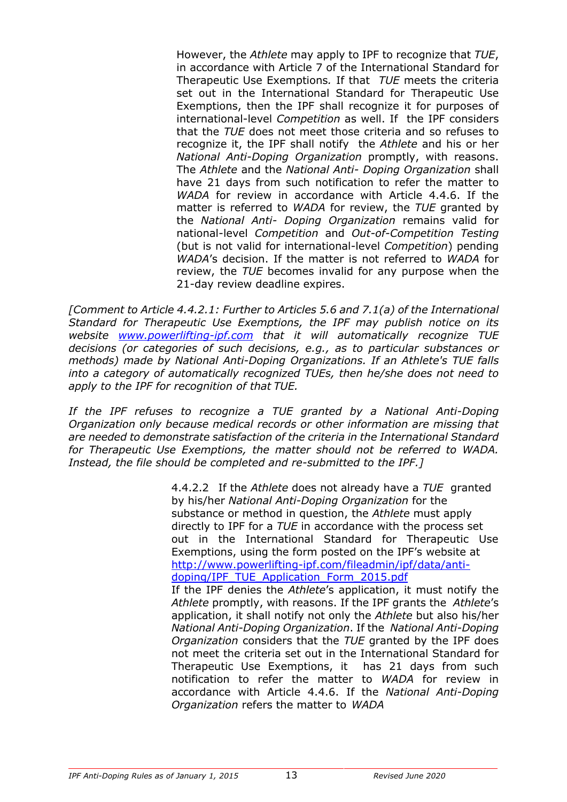However, the *Athlete* may apply to IPF to recognize that *TUE*, in accordance with Article 7 of the International Standard for Therapeutic Use Exemptions*.* If that *TUE* meets the criteria set out in the International Standard for Therapeutic Use Exemptions, then the IPF shall recognize it for purposes of international-level *Competition* as well. If the IPF considers that the *TUE* does not meet those criteria and so refuses to recognize it, the IPF shall notify the *Athlete* and his or her *National Anti-Doping Organization* promptly, with reasons. The *Athlete* and the *National Anti- Doping Organization* shall have 21 days from such notification to refer the matter to *WADA* for review in accordance with Article 4.4.6. If the matter is referred to *WADA* for review, the *TUE* granted by the *National Anti- Doping Organization* remains valid for national-level *Competition* and *Out-of-Competition Testing*  (but is not valid for international-level *Competition*) pending *WADA*'s decision. If the matter is not referred to *WADA* for review, the *TUE* becomes invalid for any purpose when the 21-day review deadline expires.

*[Comment to Article 4.4.2.1: Further to Articles 5.6 and 7.1(a) of the International Standard for Therapeutic Use Exemptions, the IPF may publish notice on its website www.powerlifting-ipf.com that it will automatically recognize TUE decisions (or categories of such decisions, e.g., as to particular substances or methods) made by National Anti-Doping Organizations. If an Athlete's TUE falls into a category of automatically recognized TUEs, then he/she does not need to apply to the IPF for recognition of that TUE.*

*If the IPF refuses to recognize a TUE granted by a National Anti-Doping Organization only because medical records or other information are missing that are needed to demonstrate satisfaction of the criteria in the International Standard for Therapeutic Use Exemptions, the matter should not be referred to WADA. Instead, the file should be completed and re-submitted to the IPF.]*

> 4.4.2.2 If the *Athlete* does not already have a *TUE* granted by his/her *National Anti-Doping Organization* for the substance or method in question, the *Athlete* must apply directly to IPF for a *TUE* in accordance with the process set out in the International Standard for Therapeutic Use Exemptions, using the form posted on the IPF's website at http://www.powerlifting-ipf.com/fileadmin/ipf/data/antidoping/IPF\_TUE\_Application\_Form\_2015.pdf If the IPF denies the *Athlete*'s application, it must notify the *Athlete* promptly, with reasons. If the IPF grants the *Athlete*'s application, it shall notify not only the *Athlete* but also his/her *National Anti-Doping Organization*. If the *National Anti-Doping Organization* considers that the *TUE* granted by the IPF does not meet the criteria set out in the International Standard for Therapeutic Use Exemptions, it has 21 days from such notification to refer the matter to *WADA* for review in accordance with Article 4.4.6. If the *National Anti-Doping Organization* refers the matter to *WADA*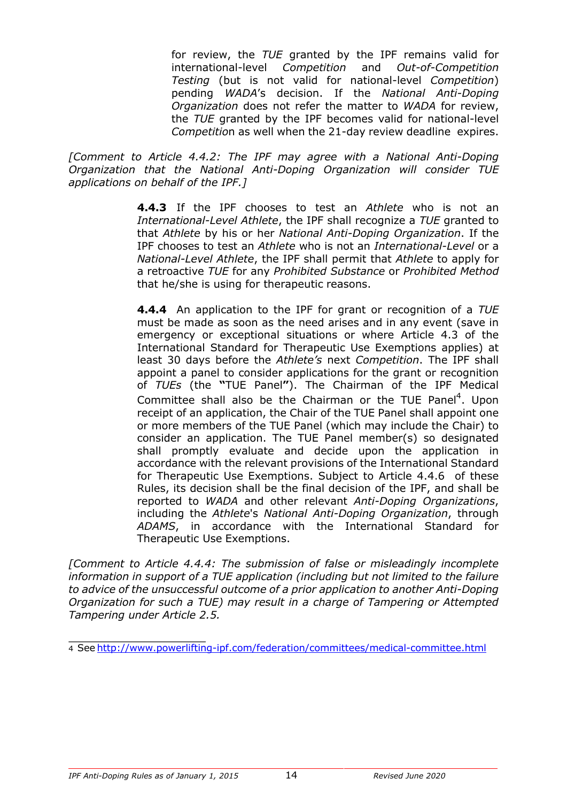for review, the *TUE* granted by the IPF remains valid for international-level *Competition* and *Out-of-Competition Testing* (but is not valid for national-level *Competition*) pending *WADA*'s decision. If the *National Anti-Doping Organization* does not refer the matter to *WADA* for review, the *TUE* granted by the IPF becomes valid for national-level *Competitio*n as well when the 21-day review deadline expires.

*[Comment to Article 4.4.2: The IPF may agree with a National Anti-Doping Organization that the National Anti-Doping Organization will consider TUE applications on behalf of the IPF.]*

> **4.4.3** If the IPF chooses to test an *Athlete* who is not an *International-Level Athlete*, the IPF shall recognize a *TUE* granted to that *Athlete* by his or her *National Anti-Doping Organization*. If the IPF chooses to test an *Athlete* who is not an *International-Level* or a *National-Level Athlete*, the IPF shall permit that *Athlete* to apply for a retroactive *TUE* for any *Prohibited Substance* or *Prohibited Method*  that he/she is using for therapeutic reasons.

> **4.4.4** An application to the IPF for grant or recognition of a *TUE*  must be made as soon as the need arises and in any event (save in emergency or exceptional situations or where Article 4.3 of the International Standard for Therapeutic Use Exemptions applies) at least 30 days before the *Athlete's* next *Competition*. The IPF shall appoint a panel to consider applications for the grant or recognition of *TUEs* (the **"**TUE Panel**"**). The Chairman of the IPF Medical Committee shall also be the Chairman or the TUE Panel<sup>4</sup>. Upon receipt of an application, the Chair of the TUE Panel shall appoint one or more members of the TUE Panel (which may include the Chair) to consider an application. The TUE Panel member(s) so designated shall promptly evaluate and decide upon the application in accordance with the relevant provisions of the International Standard for Therapeutic Use Exemptions. Subject to Article 4.4.6 of these Rules, its decision shall be the final decision of the IPF, and shall be reported to *WADA* and other relevant *Anti-Doping Organizations*, including the *Athlete*'s *National Anti-Doping Organization*, through *ADAMS*, in accordance with the International Standard for Therapeutic Use Exemptions.

*[Comment to Article 4.4.4: The submission of false or misleadingly incomplete information in support of a TUE application (including but not limited to the failure to advice of the unsuccessful outcome of a prior application to another Anti-Doping Organization for such a TUE) may result in a charge of Tampering or Attempted Tampering under Article 2.5.*

<sup>4</sup> See http://www.powerlifting-ipf.com/federation/committees/medical-committee.html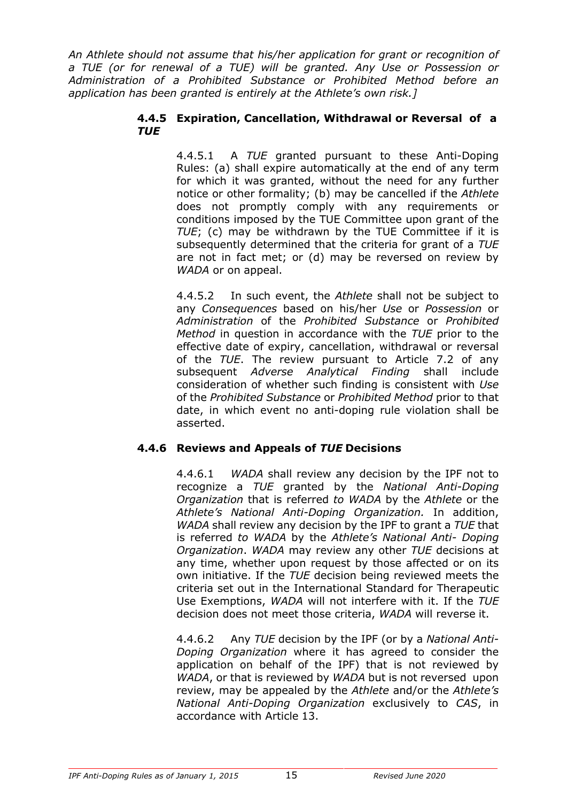*An Athlete should not assume that his/her application for grant or recognition of a TUE (or for renewal of a TUE) will be granted. Any Use or Possession or Administration of a Prohibited Substance or Prohibited Method before an application has been granted is entirely at the Athlete's own risk.]*

#### **4.4.5 Expiration, Cancellation, Withdrawal or Reversal of a** *TUE*

4.4.5.1 A *TUE* granted pursuant to these Anti-Doping Rules: (a) shall expire automatically at the end of any term for which it was granted, without the need for any further notice or other formality; (b) may be cancelled if the *Athlete*  does not promptly comply with any requirements or conditions imposed by the TUE Committee upon grant of the *TUE*; (c) may be withdrawn by the TUE Committee if it is subsequently determined that the criteria for grant of a *TUE*  are not in fact met; or (d) may be reversed on review by *WADA* or on appeal.

4.4.5.2 In such event, the *Athlete* shall not be subject to any *Consequences* based on his/her *Use* or *Possession* or *Administration* of the *Prohibited Substance* or *Prohibited Method* in question in accordance with the *TUE* prior to the effective date of expiry, cancellation, withdrawal or reversal of the *TUE*. The review pursuant to Article 7.2 of any subsequent *Adverse Analytical Finding* shall include consideration of whether such finding is consistent with *Use*  of the *Prohibited Substance* or *Prohibited Method* prior to that date, in which event no anti-doping rule violation shall be asserted.

## **4.4.6 Reviews and Appeals of** *TUE* **Decisions**

4.4.6.1 *WADA* shall review any decision by the IPF not to recognize a *TUE* granted by the *National Anti-Doping Organization* that is referred *to WADA* by the *Athlete* or the *Athlete's National Anti-Doping Organization.* In addition, *WADA* shall review any decision by the IPF to grant a *TUE* that is referred *to WADA* by the *Athlete's National Anti- Doping Organization*. *WADA* may review any other *TUE* decisions at any time, whether upon request by those affected or on its own initiative. If the *TUE* decision being reviewed meets the criteria set out in the International Standard for Therapeutic Use Exemptions, *WADA* will not interfere with it. If the *TUE*  decision does not meet those criteria, *WADA* will reverse it.

4.4.6.2 Any *TUE* decision by the IPF (or by a *National Anti-Doping Organization* where it has agreed to consider the application on behalf of the IPF) that is not reviewed by *WADA*, or that is reviewed by *WADA* but is not reversed upon review, may be appealed by the *Athlete* and/or the *Athlete's National Anti-Doping Organization* exclusively to *CAS*, in accordance with Article 13.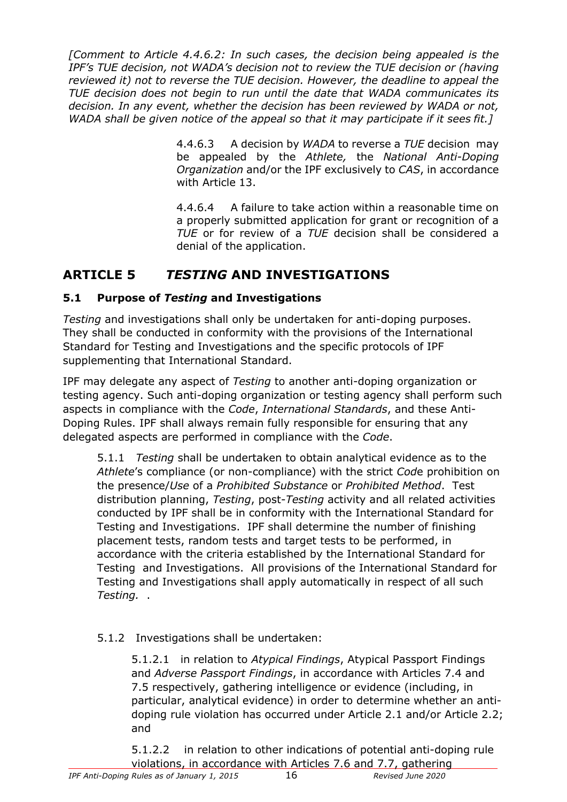*[Comment to Article 4.4.6.2: In such cases, the decision being appealed is the IPF's TUE decision, not WADA's decision not to review the TUE decision or (having reviewed it) not to reverse the TUE decision. However, the deadline to appeal the TUE decision does not begin to run until the date that WADA communicates its decision. In any event, whether the decision has been reviewed by WADA or not, WADA shall be given notice of the appeal so that it may participate if it sees fit.]*

> 4.4.6.3 A decision by *WADA* to reverse a *TUE* decision may be appealed by the *Athlete,* the *National Anti-Doping Organization* and/or the IPF exclusively to *CAS*, in accordance with Article 13.

> 4.4.6.4 A failure to take action within a reasonable time on a properly submitted application for grant or recognition of a *TUE* or for review of a *TUE* decision shall be considered a denial of the application.

# **ARTICLE 5** *TESTING* **AND INVESTIGATIONS**

## **5.1 Purpose of** *Testing* **and Investigations**

*Testing* and investigations shall only be undertaken for anti-doping purposes. They shall be conducted in conformity with the provisions of the International Standard for Testing and Investigations and the specific protocols of IPF supplementing that International Standard.

IPF may delegate any aspect of *Testing* to another anti-doping organization or testing agency. Such anti-doping organization or testing agency shall perform such aspects in compliance with the *Code*, *International Standards*, and these Anti-Doping Rules. IPF shall always remain fully responsible for ensuring that any delegated aspects are performed in compliance with the *Code*.

5.1.1 *Testing* shall be undertaken to obtain analytical evidence as to the *Athlete*'s compliance (or non-compliance) with the strict *Cod*e prohibition on the presence/*Use* of a *Prohibited Substance* or *Prohibited Method*. Test distribution planning, *Testing*, post-*Testing* activity and all related activities conducted by IPF shall be in conformity with the International Standard for Testing and Investigations. IPF shall determine the number of finishing placement tests, random tests and target tests to be performed, in accordance with the criteria established by the International Standard for Testing and Investigations. All provisions of the International Standard for Testing and Investigations shall apply automatically in respect of all such *Testing.* .

## 5.1.2 Investigations shall be undertaken:

5.1.2.1 in relation to *Atypical Findings*, Atypical Passport Findings and *Adverse Passport Findings*, in accordance with Articles 7.4 and 7.5 respectively, gathering intelligence or evidence (including, in particular, analytical evidence) in order to determine whether an antidoping rule violation has occurred under Article 2.1 and/or Article 2.2; and

5.1.2.2 in relation to other indications of potential anti-doping rule violations, in accordance with Articles 7.6 and 7.7, gathering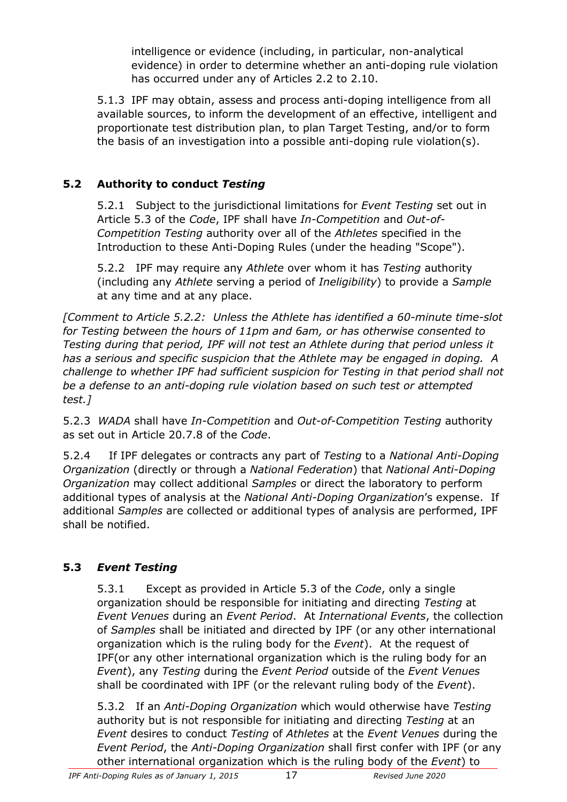intelligence or evidence (including, in particular, non-analytical evidence) in order to determine whether an anti-doping rule violation has occurred under any of Articles 2.2 to 2.10.

5.1.3 IPF may obtain, assess and process anti-doping intelligence from all available sources, to inform the development of an effective, intelligent and proportionate test distribution plan, to plan Target Testing, and/or to form the basis of an investigation into a possible anti-doping rule violation(s).

## **5.2 Authority to conduct** *Testing*

5.2.1 Subject to the jurisdictional limitations for *Event Testing* set out in Article 5.3 of the *Code*, IPF shall have *In-Competition* and *Out-of-Competition Testing* authority over all of the *Athletes* specified in the Introduction to these Anti-Doping Rules (under the heading "Scope").

5.2.2 IPF may require any *Athlete* over whom it has *Testing* authority (including any *Athlete* serving a period of *Ineligibility*) to provide a *Sample* at any time and at any place.

*[Comment to Article 5.2.2: Unless the Athlete has identified a 60-minute time-slot for Testing between the hours of 11pm and 6am, or has otherwise consented to Testing during that period, IPF will not test an Athlete during that period unless it has a serious and specific suspicion that the Athlete may be engaged in doping. A challenge to whether IPF had sufficient suspicion for Testing in that period shall not be a defense to an anti-doping rule violation based on such test or attempted test.]*

5.2.3 *WADA* shall have *In-Competition* and *Out-of-Competition Testing* authority as set out in Article 20.7.8 of the *Code*.

5.2.4 If IPF delegates or contracts any part of *Testing* to a *National Anti-Doping Organization* (directly or through a *National Federation*) that *National Anti-Doping Organization* may collect additional *Samples* or direct the laboratory to perform additional types of analysis at the *National Anti-Doping Organization*'s expense. If additional *Samples* are collected or additional types of analysis are performed, IPF shall be notified.

## **5.3** *Event Testing*

5.3.1 Except as provided in Article 5.3 of the *Code*, only a single organization should be responsible for initiating and directing *Testing* at *Event Venues* during an *Event Period*. At *International Events*, the collection of *Samples* shall be initiated and directed by IPF (or any other international organization which is the ruling body for the *Event*). At the request of IPF(or any other international organization which is the ruling body for an *Event*), any *Testing* during the *Event Period* outside of the *Event Venues* shall be coordinated with IPF (or the relevant ruling body of the *Event*).

5.3.2 If an *Anti-Doping Organization* which would otherwise have *Testing* authority but is not responsible for initiating and directing *Testing* at an *Event* desires to conduct *Testing* of *Athletes* at the *Event Venues* during the *Event Period*, the *Anti-Doping Organization* shall first confer with IPF (or any other international organization which is the ruling body of the *Event*) to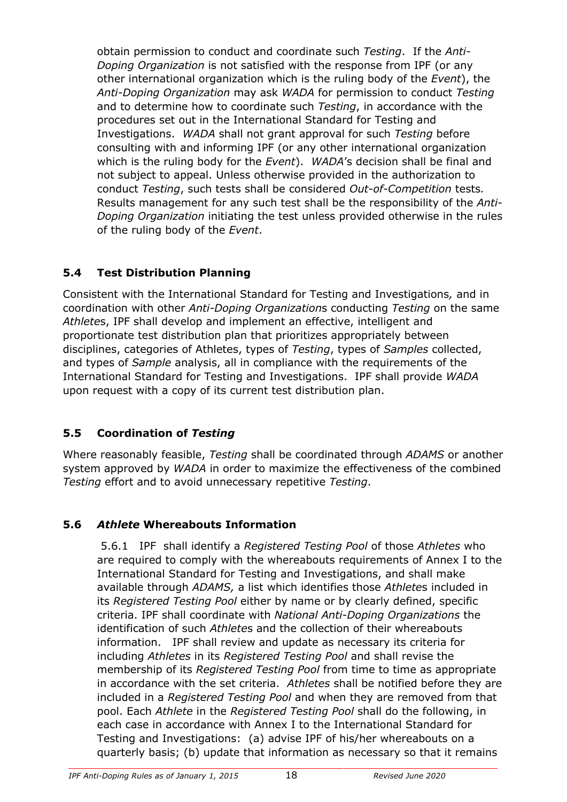obtain permission to conduct and coordinate such *Testing*. If the *Anti-Doping Organization* is not satisfied with the response from IPF (or any other international organization which is the ruling body of the *Event*), the *Anti-Doping Organization* may ask *WADA* for permission to conduct *Testing* and to determine how to coordinate such *Testing*, in accordance with the procedures set out in the International Standard for Testing and Investigations. *WADA* shall not grant approval for such *Testing* before consulting with and informing IPF (or any other international organization which is the ruling body for the *Event*). *WADA*'s decision shall be final and not subject to appeal. Unless otherwise provided in the authorization to conduct *Testing*, such tests shall be considered *Out-of-Competition* tests*.*  Results management for any such test shall be the responsibility of the *Anti-Doping Organization* initiating the test unless provided otherwise in the rules of the ruling body of the *Event*.

# **5.4 Test Distribution Planning**

Consistent with the International Standard for Testing and Investigations*,* and in coordination with other *Anti-Doping Organization*s conducting *Testing* on the same *Athlete*s, IPF shall develop and implement an effective, intelligent and proportionate test distribution plan that prioritizes appropriately between disciplines, categories of Athletes, types of *Testing*, types of *Samples* collected, and types of *Sample* analysis, all in compliance with the requirements of the International Standard for Testing and Investigations. IPF shall provide *WADA* upon request with a copy of its current test distribution plan.

# **5.5 Coordination of** *Testing*

Where reasonably feasible, *Testing* shall be coordinated through *ADAMS* or another system approved by *WADA* in order to maximize the effectiveness of the combined *Testing* effort and to avoid unnecessary repetitive *Testing*.

# **5.6** *Athlete* **Whereabouts Information**

5.6.1 IPF shall identify a *Registered Testing Pool* of those *Athletes* who are required to comply with the whereabouts requirements of Annex I to the International Standard for Testing and Investigations, and shall make available through *ADAMS,* a list which identifies those *Athlete*s included in its *Registered Testing Pool* either by name or by clearly defined, specific criteria. IPF shall coordinate with *National Anti-Doping Organizations* the identification of such *Athlete*s and the collection of their whereabouts information. IPF shall review and update as necessary its criteria for including *Athletes* in its *Registered Testing Pool* and shall revise the membership of its *Registered Testing Pool* from time to time as appropriate in accordance with the set criteria. *Athletes* shall be notified before they are included in a *Registered Testing Pool* and when they are removed from that pool. Each *Athlete* in the *Registered Testing Pool* shall do the following, in each case in accordance with Annex I to the International Standard for Testing and Investigations: (a) advise IPF of his/her whereabouts on a quarterly basis; (b) update that information as necessary so that it remains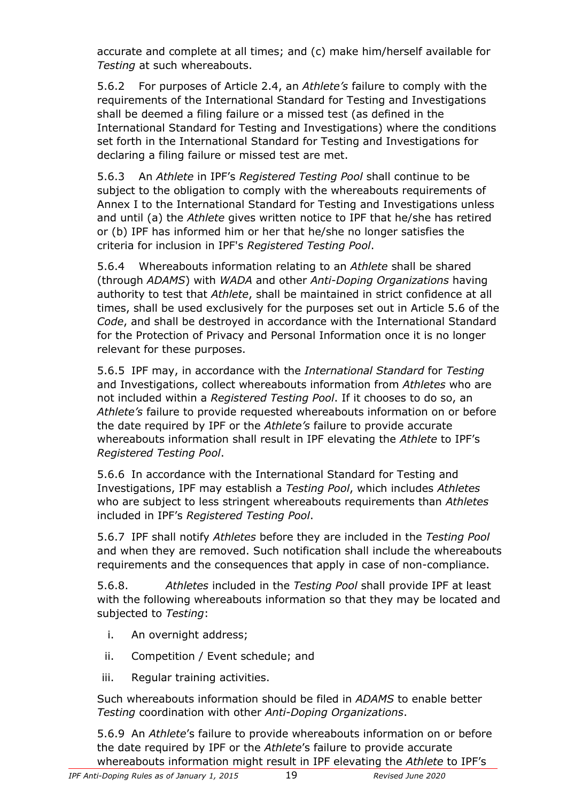accurate and complete at all times; and (c) make him/herself available for *Testing* at such whereabouts.

5.6.2 For purposes of Article 2.4, an *Athlete's* failure to comply with the requirements of the International Standard for Testing and Investigations shall be deemed a filing failure or a missed test (as defined in the International Standard for Testing and Investigations) where the conditions set forth in the International Standard for Testing and Investigations for declaring a filing failure or missed test are met.

5.6.3 An *Athlete* in IPF's *Registered Testing Pool* shall continue to be subject to the obligation to comply with the whereabouts requirements of Annex I to the International Standard for Testing and Investigations unless and until (a) the *Athlete* gives written notice to IPF that he/she has retired or (b) IPF has informed him or her that he/she no longer satisfies the criteria for inclusion in IPF's *Registered Testing Pool*.

5.6.4 Whereabouts information relating to an *Athlete* shall be shared (through *ADAMS*) with *WADA* and other *Anti-Doping Organizations* having authority to test that *Athlete*, shall be maintained in strict confidence at all times, shall be used exclusively for the purposes set out in Article 5.6 of the *Code*, and shall be destroyed in accordance with the International Standard for the Protection of Privacy and Personal Information once it is no longer relevant for these purposes.

5.6.5 IPF may, in accordance with the *International Standard* for *Testing*  and Investigations, collect whereabouts information from *Athletes* who are not included within a *Registered Testing Pool*. If it chooses to do so, an *Athlete's* failure to provide requested whereabouts information on or before the date required by IPF or the *Athlete's* failure to provide accurate whereabouts information shall result in IPF elevating the *Athlete* to IPF's *Registered Testing Pool*.

5.6.6 In accordance with the International Standard for Testing and Investigations, IPF may establish a *Testing Pool*, which includes *Athletes* who are subject to less stringent whereabouts requirements than *Athletes* included in IPF's *Registered Testing Pool*.

5.6.7 IPF shall notify *Athletes* before they are included in the *Testing Pool* and when they are removed. Such notification shall include the whereabouts requirements and the consequences that apply in case of non-compliance.

5.6.8. *Athletes* included in the *Testing Pool* shall provide IPF at least with the following whereabouts information so that they may be located and subjected to *Testing*:

- i. An overnight address;
- ii. Competition / Event schedule; and
- iii. Regular training activities.

Such whereabouts information should be filed in *ADAMS* to enable better *Testing* coordination with other *Anti-Doping Organizations*.

5.6.9 An *Athlete*'s failure to provide whereabouts information on or before the date required by IPF or the *Athlete*'s failure to provide accurate whereabouts information might result in IPF elevating the *Athlete* to IPF's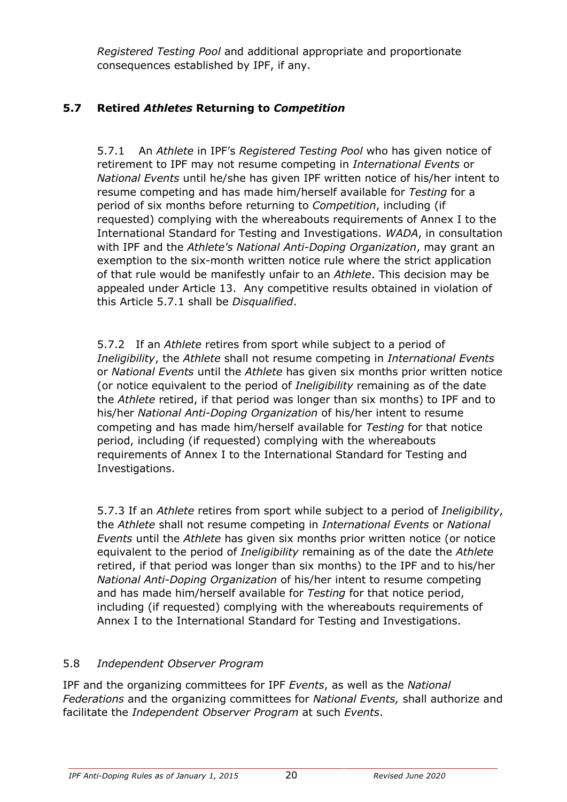*Registered Testing Pool* and additional appropriate and proportionate consequences established by IPF, if any.

## **5.7 Retired** *Athletes* **Returning to** *Competition*

5.7.1 An *Athlete* in IPF's *Registered Testing Pool* who has given notice of retirement to IPF may not resume competing in *International Events* or *National Events* until he/she has given IPF written notice of his/her intent to resume competing and has made him/herself available for *Testing* for a period of six months before returning to *Competition*, including (if requested) complying with the whereabouts requirements of Annex I to the International Standard for Testing and Investigations. *WADA*, in consultation with IPF and the *Athlete's National Anti-Doping Organization*, may grant an exemption to the six-month written notice rule where the strict application of that rule would be manifestly unfair to an *Athlete*. This decision may be appealed under Article 13. Any competitive results obtained in violation of this Article 5.7.1 shall be *Disqualified*.

5.7.2 If an *Athlete* retires from sport while subject to a period of *Ineligibility*, the *Athlete* shall not resume competing in *International Events*  or *National Events* until the *Athlete* has given six months prior written notice (or notice equivalent to the period of *Ineligibility* remaining as of the date the *Athlete* retired, if that period was longer than six months) to IPF and to his/her *National Anti-Doping Organization* of his/her intent to resume competing and has made him/herself available for *Testing* for that notice period, including (if requested) complying with the whereabouts requirements of Annex I to the International Standard for Testing and Investigations.

5.7.3 If an *Athlete* retires from sport while subject to a period of *Ineligibility*, the *Athlete* shall not resume competing in *International Events* or *National Events* until the *Athlete* has given six months prior written notice (or notice equivalent to the period of *Ineligibility* remaining as of the date the *Athlete*  retired, if that period was longer than six months) to the IPF and to his/her *National Anti-Doping Organization* of his/her intent to resume competing and has made him/herself available for *Testing* for that notice period, including (if requested) complying with the whereabouts requirements of Annex I to the International Standard for Testing and Investigations.

## 5.8 *Independent Observer Program*

IPF and the organizing committees for IPF *Events*, as well as the *National Federations* and the organizing committees for *National Events,* shall authorize and facilitate the *Independent Observer Program* at such *Events*.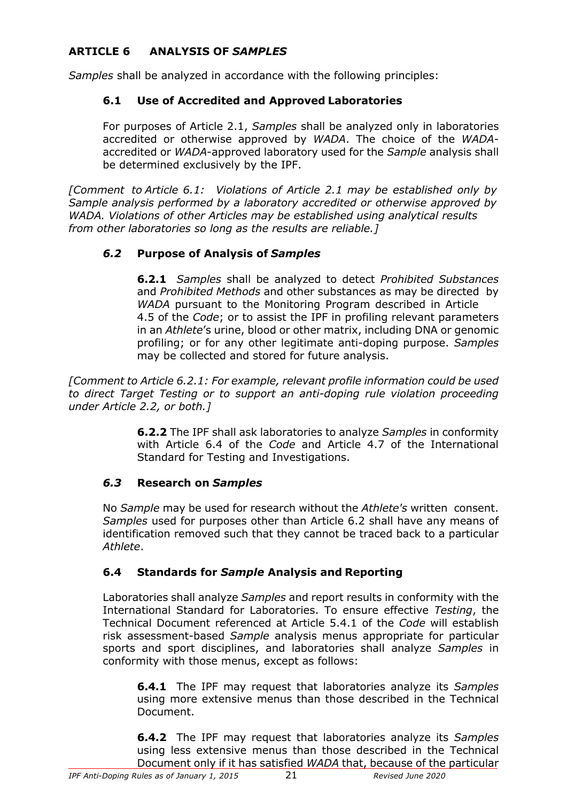## **ARTICLE 6 ANALYSIS OF** *SAMPLES*

*Samples* shall be analyzed in accordance with the following principles:

## **6.1 Use of Accredited and Approved Laboratories**

For purposes of Article 2.1, *Samples* shall be analyzed only in laboratories accredited or otherwise approved by *WADA*. The choice of the *WADA*accredited or *WADA*-approved laboratory used for the *Sample* analysis shall be determined exclusively by the IPF.

*[Comment to Article 6.1: Violations of Article 2.1 may be established only by Sample analysis performed by a laboratory accredited or otherwise approved by WADA. Violations of other Articles may be established using analytical results from other laboratories so long as the results are reliable.]*

## *6.2* **Purpose of Analysis of** *Samples*

**6.2.1** *Samples* shall be analyzed to detect *Prohibited Substances*  and *Prohibited Methods* and other substances as may be directed by *WADA* pursuant to the Monitoring Program described in Article 4.5 of the *Code*; or to assist the IPF in profiling relevant parameters in an *Athlete*'s urine, blood or other matrix, including DNA or genomic profiling; or for any other legitimate anti-doping purpose. *Samples*  may be collected and stored for future analysis.

*[Comment to Article 6.2.1: For example, relevant profile information could be used to direct Target Testing or to support an anti-doping rule violation proceeding under Article 2.2, or both.]*

> **6.2.2** The IPF shall ask laboratories to analyze *Samples* in conformity with Article 6.4 of the *Code* and Article 4.7 of the International Standard for Testing and Investigations.

## *6.3* **Research on** *Samples*

No *Sample* may be used for research without the *Athlete's* written consent. *Samples* used for purposes other than Article 6.2 shall have any means of identification removed such that they cannot be traced back to a particular *Athlete*.

## **6.4 Standards for** *Sample* **Analysis and Reporting**

Laboratories shall analyze *Samples* and report results in conformity with the International Standard for Laboratories. To ensure effective *Testing*, the Technical Document referenced at Article 5.4.1 of the *Code* will establish risk assessment-based *Sample* analysis menus appropriate for particular sports and sport disciplines, and laboratories shall analyze *Samples* in conformity with those menus, except as follows:

**6.4.1** The IPF may request that laboratories analyze its *Samples*  using more extensive menus than those described in the Technical Document.

**6.4.2** The IPF may request that laboratories analyze its *Samples*  using less extensive menus than those described in the Technical Document only if it has satisfied *WADA* that, because of the particular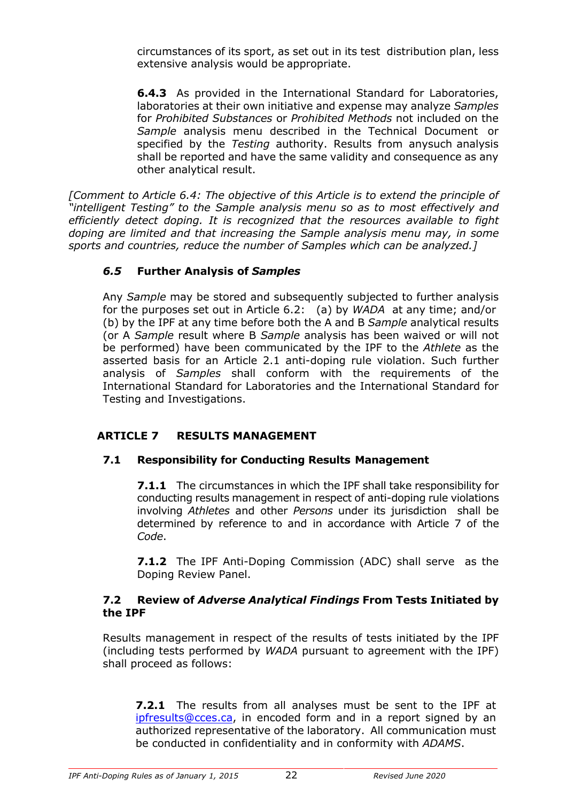circumstances of its sport, as set out in its test distribution plan, less extensive analysis would be appropriate.

**6.4.3** As provided in the International Standard for Laboratories, laboratories at their own initiative and expense may analyze *Samples*  for *Prohibited Substances* or *Prohibited Methods* not included on the *Sample* analysis menu described in the Technical Document or specified by the *Testing* authority. Results from anysuch analysis shall be reported and have the same validity and consequence as any other analytical result.

*[Comment to Article 6.4: The objective of this Article is to extend the principle of "intelligent Testing" to the Sample analysis menu so as to most effectively and efficiently detect doping. It is recognized that the resources available to fight doping are limited and that increasing the Sample analysis menu may, in some sports and countries, reduce the number of Samples which can be analyzed.]*

## *6.5* **Further Analysis of** *Samples*

Any *Sample* may be stored and subsequently subjected to further analysis for the purposes set out in Article 6.2: (a) by *WADA* at any time; and/or (b) by the IPF at any time before both the A and B *Sample* analytical results (or A *Sample* result where B *Sample* analysis has been waived or will not be performed) have been communicated by the IPF to the *Athlete* as the asserted basis for an Article 2.1 anti-doping rule violation. Such further analysis of *Samples* shall conform with the requirements of the International Standard for Laboratories and the International Standard for Testing and Investigations.

## **ARTICLE 7 RESULTS MANAGEMENT**

## **7.1 Responsibility for Conducting Results Management**

**7.1.1** The circumstances in which the IPF shall take responsibility for conducting results management in respect of anti-doping rule violations involving *Athletes* and other *Persons* under its jurisdiction shall be determined by reference to and in accordance with Article 7 of the *Code*.

**7.1.2** The IPF Anti-Doping Commission (ADC) shall serve as the Doping Review Panel.

## **7.2 Review of** *Adverse Analytical Findings* **From Tests Initiated by the IPF**

Results management in respect of the results of tests initiated by the IPF (including tests performed by *WADA* pursuant to agreement with the IPF) shall proceed as follows:

**7.2.1** The results from all analyses must be sent to the IPF at ipfresults@cces.ca, in encoded form and in a report signed by an authorized representative of the laboratory. All communication must be conducted in confidentiality and in conformity with *ADAMS*.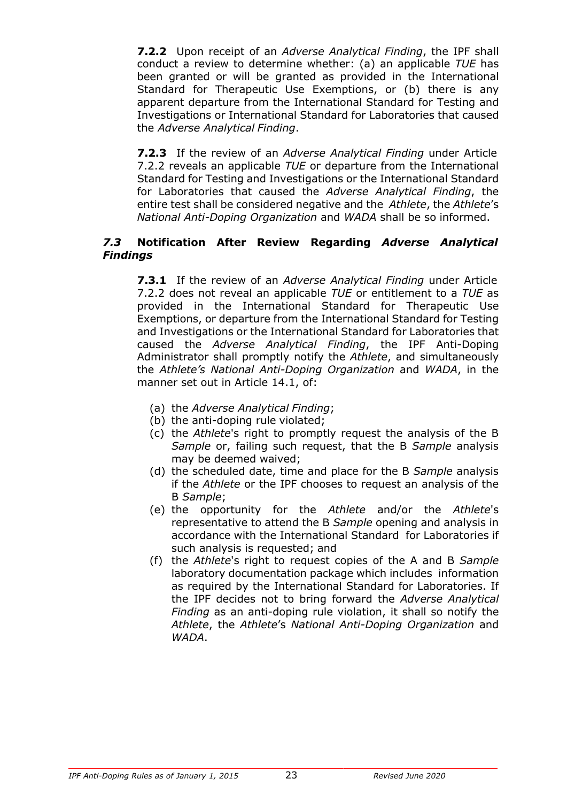**7.2.2** Upon receipt of an *Adverse Analytical Finding*, the IPF shall conduct a review to determine whether: (a) an applicable *TUE* has been granted or will be granted as provided in the International Standard for Therapeutic Use Exemptions, or (b) there is any apparent departure from the International Standard for Testing and Investigations or International Standard for Laboratories that caused the *Adverse Analytical Finding*.

**7.2.3** If the review of an *Adverse Analytical Finding* under Article 7.2.2 reveals an applicable *TUE* or departure from the International Standard for Testing and Investigations or the International Standard for Laboratories that caused the *Adverse Analytical Finding*, the entire test shall be considered negative and the *Athlete*, the *Athlete*'s *National Anti-Doping Organization* and *WADA* shall be so informed.

#### *7.3* **Notification After Review Regarding** *Adverse Analytical Findings*

**7.3.1** If the review of an *Adverse Analytical Finding* under Article 7.2.2 does not reveal an applicable *TUE* or entitlement to a *TUE* as provided in the International Standard for Therapeutic Use Exemptions, or departure from the International Standard for Testing and Investigations or the International Standard for Laboratories that caused the *Adverse Analytical Finding*, the IPF Anti-Doping Administrator shall promptly notify the *Athlete*, and simultaneously the *Athlete's National Anti-Doping Organization* and *WADA*, in the manner set out in Article 14.1, of:

- (a) the *Adverse Analytical Finding*;
- (b) the anti-doping rule violated;
- (c) the *Athlete*'s right to promptly request the analysis of the B *Sample* or, failing such request, that the B *Sample* analysis may be deemed waived;
- (d) the scheduled date, time and place for the B *Sample* analysis if the *Athlete* or the IPF chooses to request an analysis of the B *Sample*;
- (e) the opportunity for the *Athlete* and/or the *Athlete*'s representative to attend the B *Sample* opening and analysis in accordance with the International Standard for Laboratories if such analysis is requested; and
- (f) the *Athlete*'s right to request copies of the A and B *Sample*  laboratory documentation package which includes information as required by the International Standard for Laboratories. If the IPF decides not to bring forward the *Adverse Analytical Finding* as an anti-doping rule violation, it shall so notify the *Athlete*, the *Athlete*'s *National Anti-Doping Organization* and *WADA*.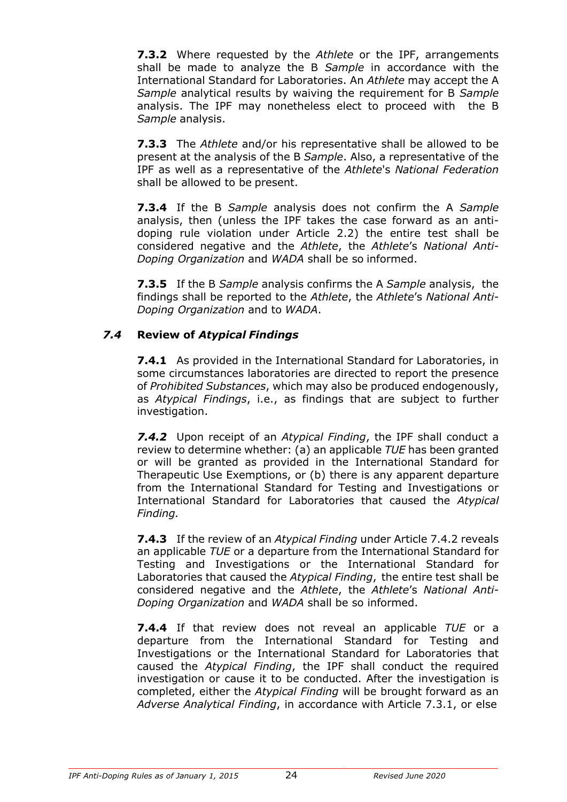**7.3.2** Where requested by the *Athlete* or the IPF, arrangements shall be made to analyze the B *Sample* in accordance with the International Standard for Laboratories. An *Athlete* may accept the A *Sample* analytical results by waiving the requirement for B *Sample*  analysis. The IPF may nonetheless elect to proceed with the B *Sample* analysis.

**7.3.3** The *Athlete* and/or his representative shall be allowed to be present at the analysis of the B *Sample*. Also, a representative of the IPF as well as a representative of the *Athlete*'s *National Federation*  shall be allowed to be present.

**7.3.4** If the B *Sample* analysis does not confirm the A *Sample*  analysis, then (unless the IPF takes the case forward as an antidoping rule violation under Article 2.2) the entire test shall be considered negative and the *Athlete*, the *Athlete*'s *National Anti-Doping Organization* and *WADA* shall be so informed.

**7.3.5** If the B *Sample* analysis confirms the A *Sample* analysis, the findings shall be reported to the *Athlete*, the *Athlete*'s *National Anti-Doping Organization* and to *WADA*.

## *7.4* **Review of** *Atypical Findings*

**7.4.1** As provided in the International Standard for Laboratories, in some circumstances laboratories are directed to report the presence of *Prohibited Substances*, which may also be produced endogenously, as *Atypical Findings*, i.e., as findings that are subject to further investigation.

*7.4.2* Upon receipt of an *Atypical Finding*, the IPF shall conduct a review to determine whether: (a) an applicable *TUE* has been granted or will be granted as provided in the International Standard for Therapeutic Use Exemptions, or (b) there is any apparent departure from the International Standard for Testing and Investigations or International Standard for Laboratories that caused the *Atypical Finding.*

**7.4.3** If the review of an *Atypical Finding* under Article 7.4.2 reveals an applicable *TUE* or a departure from the International Standard for Testing and Investigations or the International Standard for Laboratories that caused the *Atypical Finding*, the entire test shall be considered negative and the *Athlete*, the *Athlete*'s *National Anti-Doping Organization* and *WADA* shall be so informed.

**7.4.4** If that review does not reveal an applicable *TUE* or a departure from the International Standard for Testing and Investigations or the International Standard for Laboratories that caused the *Atypical Finding*, the IPF shall conduct the required investigation or cause it to be conducted. After the investigation is completed, either the *Atypical Finding* will be brought forward as an *Adverse Analytical Finding*, in accordance with Article 7.3.1, or else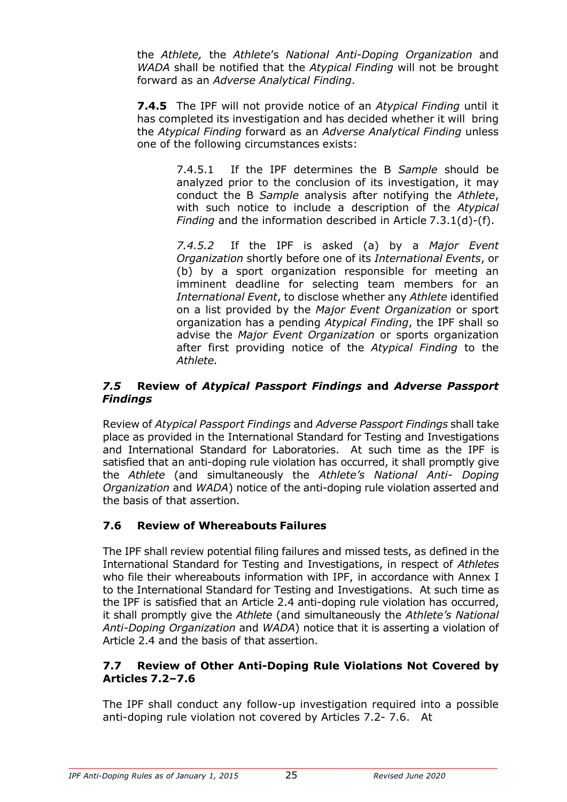the *Athlete,* the *Athlete*'s *National Anti-Doping Organization* and *WADA* shall be notified that the *Atypical Finding* will not be brought forward as an *Adverse Analytical Finding*.

**7.4.5** The IPF will not provide notice of an *Atypical Finding* until it has completed its investigation and has decided whether it will bring the *Atypical Finding* forward as an *Adverse Analytical Finding* unless one of the following circumstances exists:

> 7.4.5.1 If the IPF determines the B *Sample* should be analyzed prior to the conclusion of its investigation, it may conduct the B *Sample* analysis after notifying the *Athlete*, with such notice to include a description of the *Atypical Finding* and the information described in Article 7.3.1(d)-(f).

> *7.4.5.2* If the IPF is asked (a) by a *Major Event Organization* shortly before one of its *International Events*, or (b) by a sport organization responsible for meeting an imminent deadline for selecting team members for an *International Event*, to disclose whether any *Athlete* identified on a list provided by the *Major Event Organization* or sport organization has a pending *Atypical Finding*, the IPF shall so advise the *Major Event Organization* or sports organization after first providing notice of the *Atypical Finding* to the *Athlete.*

## *7.5* **Review of** *Atypical Passport Findings* **and** *Adverse Passport Findings*

Review of *Atypical Passport Findings* and *Adverse Passport Findings* shall take place as provided in the International Standard for Testing and Investigations and International Standard for Laboratories. At such time as the IPF is satisfied that an anti-doping rule violation has occurred, it shall promptly give the *Athlete* (and simultaneously the *Athlete's National Anti- Doping Organization* and *WADA*) notice of the anti-doping rule violation asserted and the basis of that assertion.

## **7.6 Review of Whereabouts Failures**

The IPF shall review potential filing failures and missed tests, as defined in the International Standard for Testing and Investigations, in respect of *Athletes*  who file their whereabouts information with IPF, in accordance with Annex I to the International Standard for Testing and Investigations. At such time as the IPF is satisfied that an Article 2.4 anti-doping rule violation has occurred, it shall promptly give the *Athlete* (and simultaneously the *Athlete's National Anti-Doping Organization* and *WADA*) notice that it is asserting a violation of Article 2.4 and the basis of that assertion.

## **7.7 Review of Other Anti-Doping Rule Violations Not Covered by Articles 7.2–7.6**

The IPF shall conduct any follow-up investigation required into a possible anti-doping rule violation not covered by Articles 7.2- 7.6. At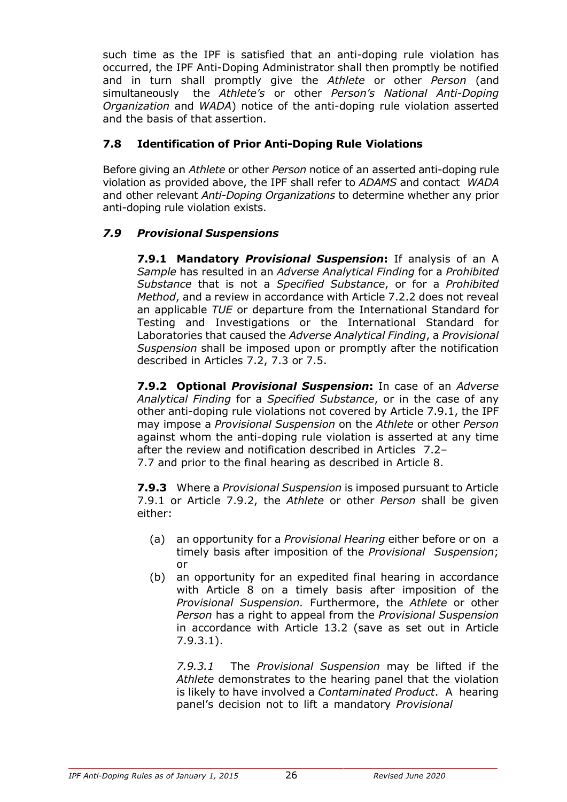such time as the IPF is satisfied that an anti-doping rule violation has occurred, the IPF Anti-Doping Administrator shall then promptly be notified and in turn shall promptly give the *Athlete* or other *Person* (and simultaneously the *Athlete's* or other *Person's National Anti-Doping Organization* and *WADA*) notice of the anti-doping rule violation asserted and the basis of that assertion.

## **7.8 Identification of Prior Anti-Doping Rule Violations**

Before giving an *Athlete* or other *Person* notice of an asserted anti-doping rule violation as provided above, the IPF shall refer to *ADAMS* and contact *WADA*  and other relevant *Anti-Doping Organizations* to determine whether any prior anti-doping rule violation exists.

## *7.9 Provisional Suspensions*

**7.9.1 Mandatory** *Provisional Suspension***:** If analysis of an A *Sample* has resulted in an *Adverse Analytical Finding* for a *Prohibited Substance* that is not a *Specified Substance*, or for a *Prohibited Method*, and a review in accordance with Article 7.2.2 does not reveal an applicable *TUE* or departure from the International Standard for Testing and Investigations or the International Standard for Laboratories that caused the *Adverse Analytical Finding*, a *Provisional Suspension* shall be imposed upon or promptly after the notification described in Articles 7.2, 7.3 or 7.5.

**7.9.2 Optional** *Provisional Suspension***:** In case of an *Adverse Analytical Finding* for a *Specified Substance*, or in the case of any other anti-doping rule violations not covered by Article 7.9.1, the IPF may impose a *Provisional Suspension* on the *Athlete* or other *Person*  against whom the anti-doping rule violation is asserted at any time after the review and notification described in Articles 7.2– 7.7 and prior to the final hearing as described in Article 8.

**7.9.3** Where a *Provisional Suspension* is imposed pursuant to Article 7.9.1 or Article 7.9.2, the *Athlete* or other *Person* shall be given either:

- (a) an opportunity for a *Provisional Hearing* either before or on a timely basis after imposition of the *Provisional Suspension*; or
- (b) an opportunity for an expedited final hearing in accordance with Article 8 on a timely basis after imposition of the *Provisional Suspension.* Furthermore, the *Athlete* or other *Person* has a right to appeal from the *Provisional Suspension*  in accordance with Article 13.2 (save as set out in Article 7.9.3.1).

*7.9.3.1* The *Provisional Suspension* may be lifted if the *Athlete* demonstrates to the hearing panel that the violation is likely to have involved a *Contaminated Product*. A hearing panel's decision not to lift a mandatory *Provisional*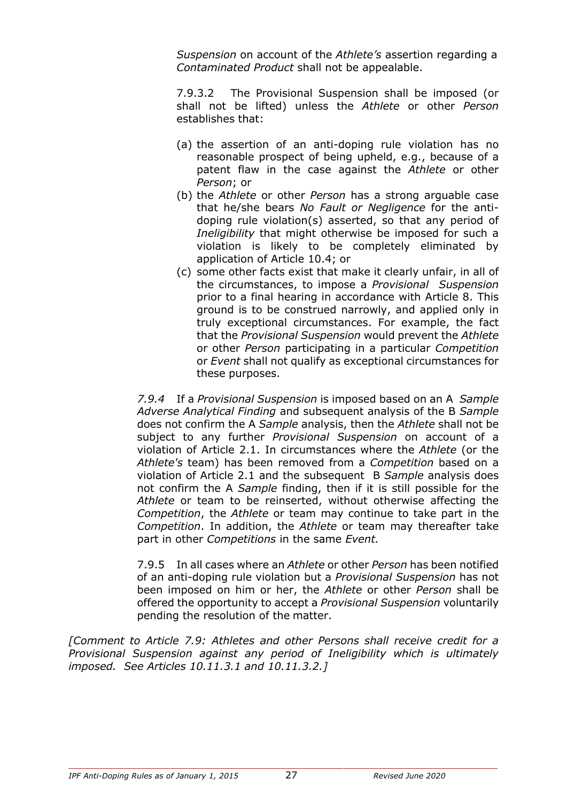*Suspension* on account of the *Athlete's* assertion regarding a *Contaminated Product* shall not be appealable.

7.9.3.2 The Provisional Suspension shall be imposed (or shall not be lifted) unless the *Athlete* or other *Person*  establishes that:

- (a) the assertion of an anti-doping rule violation has no reasonable prospect of being upheld, e.g., because of a patent flaw in the case against the *Athlete* or other *Person*; or
- (b) the *Athlete* or other *Person* has a strong arguable case that he/she bears *No Fault or Negligence* for the antidoping rule violation(s) asserted, so that any period of *Ineligibility* that might otherwise be imposed for such a violation is likely to be completely eliminated by application of Article 10.4; or
- (c) some other facts exist that make it clearly unfair, in all of the circumstances, to impose a *Provisional Suspension*  prior to a final hearing in accordance with Article 8. This ground is to be construed narrowly, and applied only in truly exceptional circumstances. For example, the fact that the *Provisional Suspension* would prevent the *Athlete*  or other *Person* participating in a particular *Competition*  or *Event* shall not qualify as exceptional circumstances for these purposes.

*7.9.4* If a *Provisional Suspension* is imposed based on an A *Sample Adverse Analytical Finding* and subsequent analysis of the B *Sample*  does not confirm the A *Sample* analysis, then the *Athlete* shall not be subject to any further *Provisional Suspension* on account of a violation of Article 2.1. In circumstances where the *Athlete* (or the *Athlete's* team) has been removed from a *Competition* based on a violation of Article 2.1 and the subsequent B *Sample* analysis does not confirm the A *Sample* finding, then if it is still possible for the *Athlete* or team to be reinserted, without otherwise affecting the *Competition*, the *Athlete* or team may continue to take part in the *Competition*. In addition, the *Athlete* or team may thereafter take part in other *Competitions* in the same *Event.*

7.9.5 In all cases where an *Athlete* or other *Person* has been notified of an anti-doping rule violation but a *Provisional Suspension* has not been imposed on him or her, the *Athlete* or other *Person* shall be offered the opportunity to accept a *Provisional Suspension* voluntarily pending the resolution of the matter.

*[Comment to Article 7.9: Athletes and other Persons shall receive credit for a Provisional Suspension against any period of Ineligibility which is ultimately imposed. See Articles 10.11.3.1 and 10.11.3.2.]*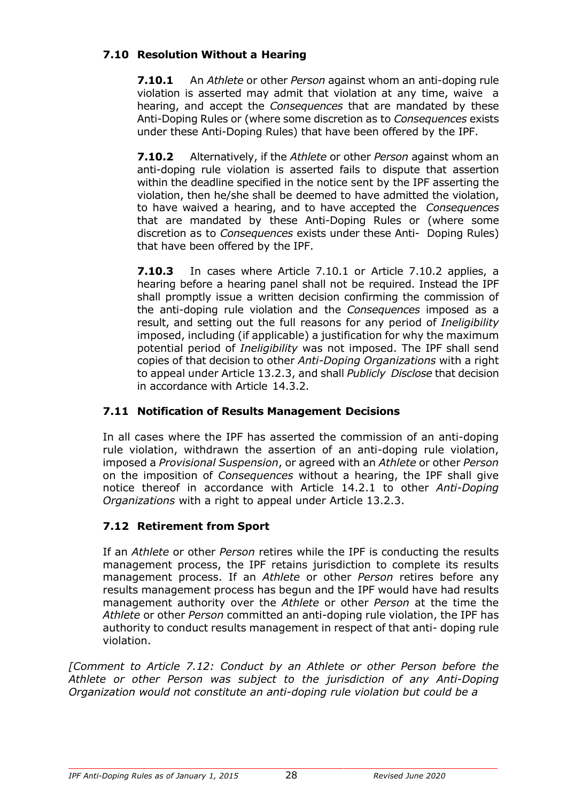## **7.10 Resolution Without a Hearing**

**7.10.1** An *Athlete* or other *Person* against whom an anti-doping rule violation is asserted may admit that violation at any time, waive a hearing, and accept the *Consequences* that are mandated by these Anti-Doping Rules or (where some discretion as to *Consequences* exists under these Anti-Doping Rules) that have been offered by the IPF.

**7.10.2** Alternatively, if the *Athlete* or other *Person* against whom an anti-doping rule violation is asserted fails to dispute that assertion within the deadline specified in the notice sent by the IPF asserting the violation, then he/she shall be deemed to have admitted the violation, to have waived a hearing, and to have accepted the *Consequences*  that are mandated by these Anti-Doping Rules or (where some discretion as to *Consequences* exists under these Anti- Doping Rules) that have been offered by the IPF.

**7.10.3** In cases where Article 7.10.1 or Article 7.10.2 applies, a hearing before a hearing panel shall not be required. Instead the IPF shall promptly issue a written decision confirming the commission of the anti-doping rule violation and the *Consequences* imposed as a result, and setting out the full reasons for any period of *Ineligibility*  imposed, including (if applicable) a justification for why the maximum potential period of *Ineligibility* was not imposed. The IPF shall send copies of that decision to other *Anti-Doping Organizations* with a right to appeal under Article 13.2.3, and shall *Publicly Disclose* that decision in accordance with Article 14.3.2.

## **7.11 Notification of Results Management Decisions**

In all cases where the IPF has asserted the commission of an anti-doping rule violation, withdrawn the assertion of an anti-doping rule violation, imposed a *Provisional Suspension*, or agreed with an *Athlete* or other *Person*  on the imposition of *Consequences* without a hearing, the IPF shall give notice thereof in accordance with Article 14.2.1 to other *Anti-Doping Organizations* with a right to appeal under Article 13.2.3.

## **7.12 Retirement from Sport**

If an *Athlete* or other *Person* retires while the IPF is conducting the results management process, the IPF retains jurisdiction to complete its results management process. If an *Athlete* or other *Person* retires before any results management process has begun and the IPF would have had results management authority over the *Athlete* or other *Person* at the time the *Athlete* or other *Person* committed an anti-doping rule violation, the IPF has authority to conduct results management in respect of that anti- doping rule violation.

*[Comment to Article 7.12: Conduct by an Athlete or other Person before the Athlete or other Person was subject to the jurisdiction of any Anti-Doping Organization would not constitute an anti-doping rule violation but could be a*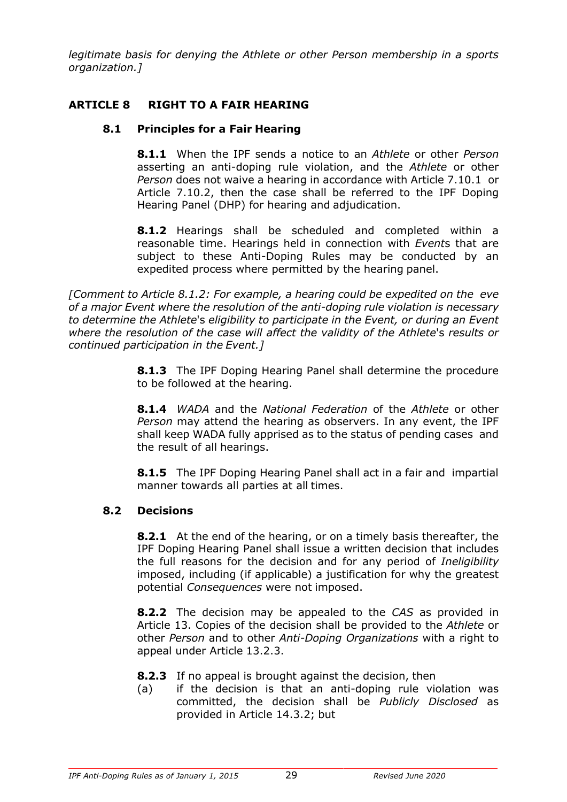*legitimate basis for denying the Athlete or other Person membership in a sports organization.]*

## **ARTICLE 8 RIGHT TO A FAIR HEARING**

## **8.1 Principles for a Fair Hearing**

**8.1.1** When the IPF sends a notice to an *Athlete* or other *Person*  asserting an anti-doping rule violation, and the *Athlete* or other *Person* does not waive a hearing in accordance with Article 7.10.1 or Article 7.10.2, then the case shall be referred to the IPF Doping Hearing Panel (DHP) for hearing and adjudication.

**8.1.2** Hearings shall be scheduled and completed within a reasonable time. Hearings held in connection with *Event*s that are subject to these Anti-Doping Rules may be conducted by an expedited process where permitted by the hearing panel.

*[Comment to Article 8.1.2: For example, a hearing could be expedited on the eve of a major Event where the resolution of the anti-doping rule violation is necessary to determine the Athlete*'s *eligibility to participate in the Event, or during an Event where the resolution of the case will affect the validity of the Athlete*'s *results or continued participation in the Event.]*

> **8.1.3** The IPF Doping Hearing Panel shall determine the procedure to be followed at the hearing.

> **8.1.4** *WADA* and the *National Federation* of the *Athlete* or other *Person* may attend the hearing as observers. In any event, the IPF shall keep WADA fully apprised as to the status of pending cases and the result of all hearings.

> **8.1.5** The IPF Doping Hearing Panel shall act in a fair and impartial manner towards all parties at all times.

## **8.2 Decisions**

**8.2.1** At the end of the hearing, or on a timely basis thereafter, the IPF Doping Hearing Panel shall issue a written decision that includes the full reasons for the decision and for any period of *Ineligibility*  imposed, including (if applicable) a justification for why the greatest potential *Consequences* were not imposed.

**8.2.2** The decision may be appealed to the *CAS* as provided in Article 13. Copies of the decision shall be provided to the *Athlete* or other *Person* and to other *Anti-Doping Organizations* with a right to appeal under Article 13.2.3.

- **8.2.3** If no appeal is brought against the decision, then
- (a) if the decision is that an anti-doping rule violation was committed, the decision shall be *Publicly Disclosed* as provided in Article 14.3.2; but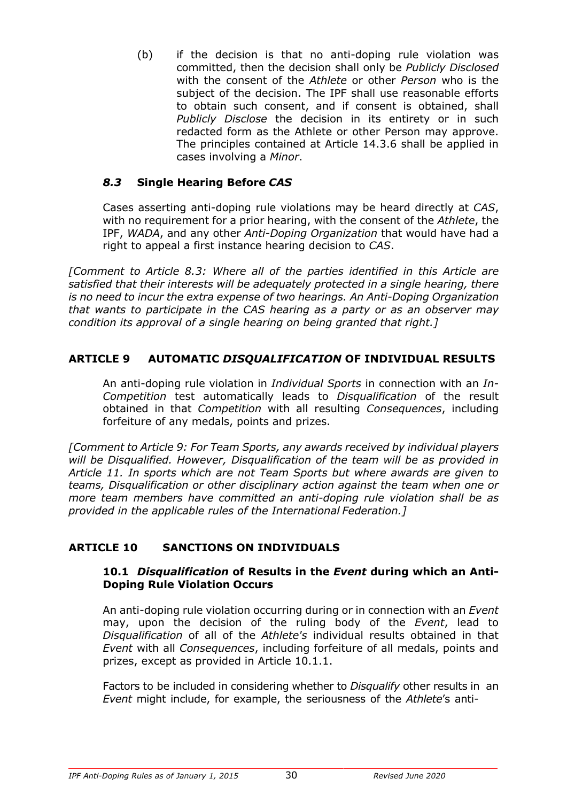(b) if the decision is that no anti-doping rule violation was committed, then the decision shall only be *Publicly Disclosed*  with the consent of the *Athlete* or other *Person* who is the subject of the decision. The IPF shall use reasonable efforts to obtain such consent, and if consent is obtained, shall *Publicly Disclose* the decision in its entirety or in such redacted form as the Athlete or other Person may approve. The principles contained at Article 14.3.6 shall be applied in cases involving a *Minor*.

## *8.3* **Single Hearing Before** *CAS*

Cases asserting anti-doping rule violations may be heard directly at *CAS*, with no requirement for a prior hearing, with the consent of the *Athlete*, the IPF, *WADA*, and any other *Anti-Doping Organization* that would have had a right to appeal a first instance hearing decision to *CAS*.

*[Comment to Article 8.3: Where all of the parties identified in this Article are satisfied that their interests will be adequately protected in a single hearing, there is no need to incur the extra expense of two hearings. An Anti-Doping Organization that wants to participate in the CAS hearing as a party or as an observer may condition its approval of a single hearing on being granted that right.]*

#### **ARTICLE 9 AUTOMATIC** *DISQUALIFICATION* **OF INDIVIDUAL RESULTS**

An anti-doping rule violation in *Individual Sports* in connection with an *In-Competition* test automatically leads to *Disqualification* of the result obtained in that *Competition* with all resulting *Consequences*, including forfeiture of any medals, points and prizes.

*[Comment to Article 9: For Team Sports, any awards received by individual players will be Disqualified. However, Disqualification of the team will be as provided in Article 11. In sports which are not Team Sports but where awards are given to teams, Disqualification or other disciplinary action against the team when one or more team members have committed an anti-doping rule violation shall be as provided in the applicable rules of the International Federation.]*

## **ARTICLE 10 SANCTIONS ON INDIVIDUALS**

#### **10.1** *Disqualification* **of Results in the** *Event* **during which an Anti-Doping Rule Violation Occurs**

An anti-doping rule violation occurring during or in connection with an *Event*  may, upon the decision of the ruling body of the *Event*, lead to *Disqualification* of all of the *Athlete's* individual results obtained in that *Event* with all *Consequences*, including forfeiture of all medals, points and prizes, except as provided in Article 10.1.1.

Factors to be included in considering whether to *Disqualify* other results in an *Event* might include, for example, the seriousness of the *Athlete*'s anti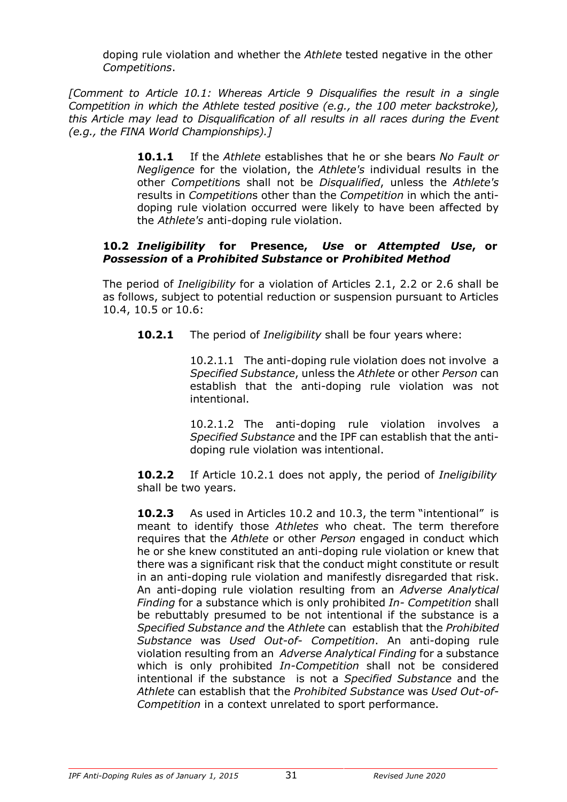doping rule violation and whether the *Athlete* tested negative in the other *Competitions*.

*[Comment to Article 10.1: Whereas Article 9 Disqualifies the result in a single Competition in which the Athlete tested positive (e.g., the 100 meter backstroke), this Article may lead to Disqualification of all results in all races during the Event (e.g., the FINA World Championships).]*

> **10.1.1** If the *Athlete* establishes that he or she bears *No Fault or Negligence* for the violation, the *Athlete's* individual results in the other *Competition*s shall not be *Disqualified*, unless the *Athlete's*  results in *Competition*s other than the *Competition* in which the antidoping rule violation occurred were likely to have been affected by the *Athlete's* anti-doping rule violation.

#### **10.2** *Ineligibility* **for Presence,** *Use* **or** *Attempted Use***, or** *Possession* **of a** *Prohibited Substance* **or** *Prohibited Method*

The period of *Ineligibility* for a violation of Articles 2.1, 2.2 or 2.6 shall be as follows, subject to potential reduction or suspension pursuant to Articles 10.4, 10.5 or 10.6:

**10.2.1** The period of *Ineligibility* shall be four years where:

10.2.1.1 The anti-doping rule violation does not involve a *Specified Substance*, unless the *Athlete* or other *Person* can establish that the anti-doping rule violation was not intentional.

10.2.1.2 The anti-doping rule violation involves a *Specified Substance* and the IPF can establish that the antidoping rule violation was intentional.

**10.2.2** If Article 10.2.1 does not apply, the period of *Ineligibility* shall be two years.

**10.2.3** As used in Articles 10.2 and 10.3, the term "intentional" is meant to identify those *Athletes* who cheat. The term therefore requires that the *Athlete* or other *Person* engaged in conduct which he or she knew constituted an anti-doping rule violation or knew that there was a significant risk that the conduct might constitute or result in an anti-doping rule violation and manifestly disregarded that risk. An anti-doping rule violation resulting from an *Adverse Analytical Finding* for a substance which is only prohibited *In- Competition* shall be rebuttably presumed to be not intentional if the substance is a *Specified Substance and* the *Athlete* can establish that the *Prohibited Substance* was *Used Out-of- Competition*. An anti-doping rule violation resulting from an *Adverse Analytical Finding* for a substance which is only prohibited *In-Competition* shall not be considered intentional if the substance is not a *Specified Substance* and the *Athlete* can establish that the *Prohibited Substance* was *Used Out-of-Competition* in a context unrelated to sport performance.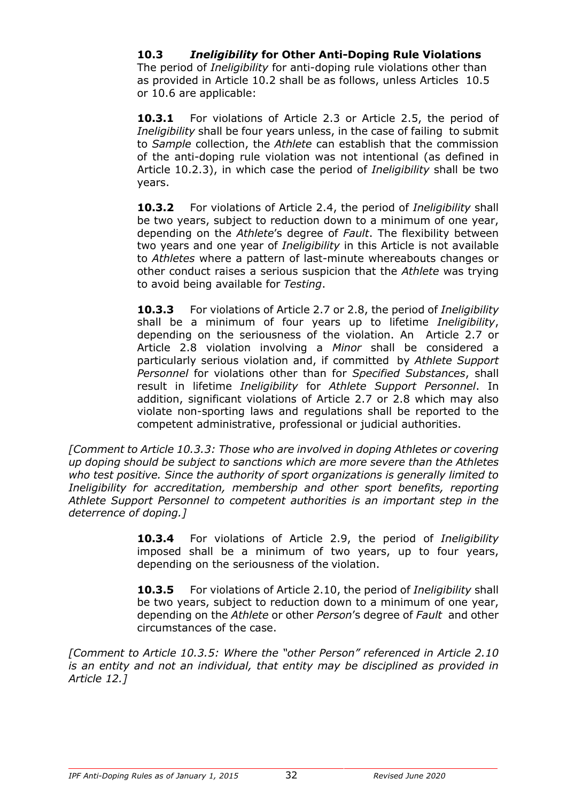## **10.3** *Ineligibility* **for Other Anti-Doping Rule Violations**

The period of *Ineligibility* for anti-doping rule violations other than as provided in Article 10.2 shall be as follows, unless Articles 10.5 or 10.6 are applicable:

**10.3.1** For violations of Article 2.3 or Article 2.5, the period of *Ineligibility* shall be four years unless, in the case of failing to submit to *Sample* collection, the *Athlete* can establish that the commission of the anti-doping rule violation was not intentional (as defined in Article 10.2.3), in which case the period of *Ineligibility* shall be two years.

**10.3.2** For violations of Article 2.4, the period of *Ineligibility* shall be two years, subject to reduction down to a minimum of one year, depending on the *Athlete*'s degree of *Fault*. The flexibility between two years and one year of *Ineligibility* in this Article is not available to *Athletes* where a pattern of last-minute whereabouts changes or other conduct raises a serious suspicion that the *Athlete* was trying to avoid being available for *Testing*.

**10.3.3** For violations of Article 2.7 or 2.8, the period of *Ineligibility*  shall be a minimum of four years up to lifetime *Ineligibility*, depending on the seriousness of the violation. An Article 2.7 or Article 2.8 violation involving a *Minor* shall be considered a particularly serious violation and, if committed by *Athlete Support Personnel* for violations other than for *Specified Substances*, shall result in lifetime *Ineligibility* for *Athlete Support Personnel*. In addition, significant violations of Article 2.7 or 2.8 which may also violate non-sporting laws and regulations shall be reported to the competent administrative, professional or judicial authorities.

*[Comment to Article 10.3.3: Those who are involved in doping Athletes or covering up doping should be subject to sanctions which are more severe than the Athletes who test positive. Since the authority of sport organizations is generally limited to Ineligibility for accreditation, membership and other sport benefits, reporting Athlete Support Personnel to competent authorities is an important step in the deterrence of doping.]*

> **10.3.4** For violations of Article 2.9, the period of *Ineligibility*  imposed shall be a minimum of two years, up to four years, depending on the seriousness of the violation.

> **10.3.5** For violations of Article 2.10, the period of *Ineligibility* shall be two years, subject to reduction down to a minimum of one year, depending on the *Athlete* or other *Person*'s degree of *Fault* and other circumstances of the case.

*[Comment to Article 10.3.5: Where the "other Person" referenced in Article 2.10 is an entity and not an individual, that entity may be disciplined as provided in Article 12.]*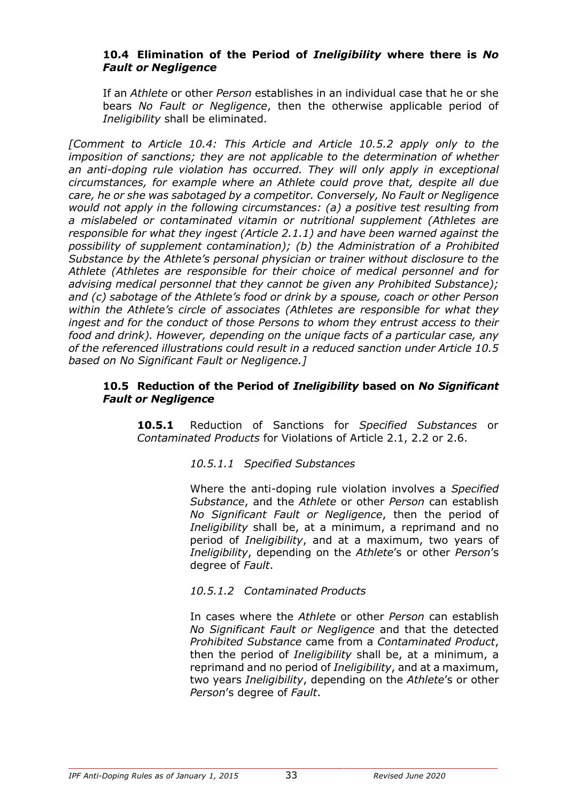#### **10.4 Elimination of the Period of** *Ineligibility* **where there is** *No Fault or Negligence*

If an *Athlete* or other *Person* establishes in an individual case that he or she bears *No Fault or Negligence*, then the otherwise applicable period of *Ineligibility* shall be eliminated.

*[Comment to Article 10.4: This Article and Article 10.5.2 apply only to the imposition of sanctions; they are not applicable to the determination of whether an anti-doping rule violation has occurred. They will only apply in exceptional circumstances, for example where an Athlete could prove that, despite all due care, he or she was sabotaged by a competitor. Conversely, No Fault or Negligence would not apply in the following circumstances: (a) a positive test resulting from a mislabeled or contaminated vitamin or nutritional supplement (Athletes are responsible for what they ingest (Article 2.1.1) and have been warned against the possibility of supplement contamination); (b) the Administration of a Prohibited Substance by the Athlete's personal physician or trainer without disclosure to the Athlete (Athletes are responsible for their choice of medical personnel and for advising medical personnel that they cannot be given any Prohibited Substance); and (c) sabotage of the Athlete's food or drink by a spouse, coach or other Person within the Athlete's circle of associates (Athletes are responsible for what they ingest and for the conduct of those Persons to whom they entrust access to their food and drink). However, depending on the unique facts of a particular case, any of the referenced illustrations could result in a reduced sanction under Article 10.5 based on No Significant Fault or Negligence.]*

#### **10.5 Reduction of the Period of** *Ineligibility* **based on** *No Significant Fault or Negligence*

**10.5.1** Reduction of Sanctions for *Specified Substances* or *Contaminated Products* for Violations of Article 2.1, 2.2 or 2.6.

#### *10.5.1.1 Specified Substances*

Where the anti-doping rule violation involves a *Specified Substance*, and the *Athlete* or other *Person* can establish *No Significant Fault or Negligence*, then the period of *Ineligibility* shall be, at a minimum, a reprimand and no period of *Ineligibility*, and at a maximum, two years of *Ineligibility*, depending on the *Athlete*'s or other *Person*'s degree of *Fault*.

#### *10.5.1.2 Contaminated Products*

In cases where the *Athlete* or other *Person* can establish *No Significant Fault or Negligence* and that the detected *Prohibited Substance* came from a *Contaminated Product*, then the period of *Ineligibility* shall be, at a minimum, a reprimand and no period of *Ineligibility*, and at a maximum, two years *Ineligibility*, depending on the *Athlete*'s or other *Person*'s degree of *Fault*.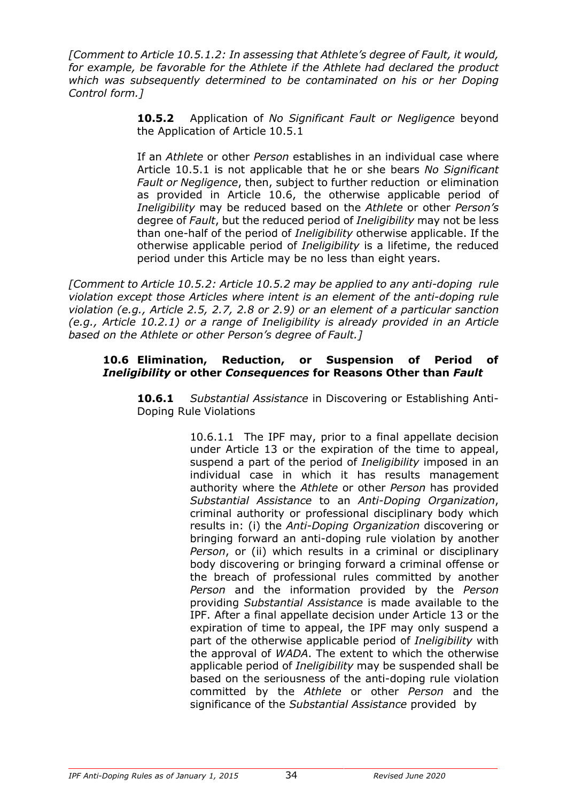*[Comment to Article 10.5.1.2: In assessing that Athlete's degree of Fault, it would, for example, be favorable for the Athlete if the Athlete had declared the product which was subsequently determined to be contaminated on his or her Doping Control form.]*

> **10.5.2** Application of *No Significant Fault or Negligence* beyond the Application of Article 10.5.1

> If an *Athlete* or other *Person* establishes in an individual case where Article 10.5.1 is not applicable that he or she bears *No Significant Fault or Negligence*, then, subject to further reduction or elimination as provided in Article 10.6, the otherwise applicable period of *Ineligibility* may be reduced based on the *Athlete* or other *Person's*  degree of *Fault*, but the reduced period of *Ineligibility* may not be less than one-half of the period of *Ineligibility* otherwise applicable. If the otherwise applicable period of *Ineligibility* is a lifetime, the reduced period under this Article may be no less than eight years.

*[Comment to Article 10.5.2: Article 10.5.2 may be applied to any anti-doping rule violation except those Articles where intent is an element of the anti-doping rule violation (e.g., Article 2.5, 2.7, 2.8 or 2.9) or an element of a particular sanction (e.g., Article 10.2.1) or a range of Ineligibility is already provided in an Article based on the Athlete or other Person's degree of Fault.]*

#### **10.6 Elimination, Reduction, or Suspension of Period of** *Ineligibility* **or other** *Consequences* **for Reasons Other than** *Fault*

**10.6.1** *Substantial Assistance* in Discovering or Establishing Anti-Doping Rule Violations

> 10.6.1.1 The IPF may, prior to a final appellate decision under Article 13 or the expiration of the time to appeal, suspend a part of the period of *Ineligibility* imposed in an individual case in which it has results management authority where the *Athlete* or other *Person* has provided *Substantial Assistance* to an *Anti-Doping Organization*, criminal authority or professional disciplinary body which results in: (i) the *Anti-Doping Organization* discovering or bringing forward an anti-doping rule violation by another *Person*, or (ii) which results in a criminal or disciplinary body discovering or bringing forward a criminal offense or the breach of professional rules committed by another *Person* and the information provided by the *Person*  providing *Substantial Assistance* is made available to the IPF. After a final appellate decision under Article 13 or the expiration of time to appeal, the IPF may only suspend a part of the otherwise applicable period of *Ineligibility* with the approval of *WADA*. The extent to which the otherwise applicable period of *Ineligibility* may be suspended shall be based on the seriousness of the anti-doping rule violation committed by the *Athlete* or other *Person* and the significance of the *Substantial Assistance* provided by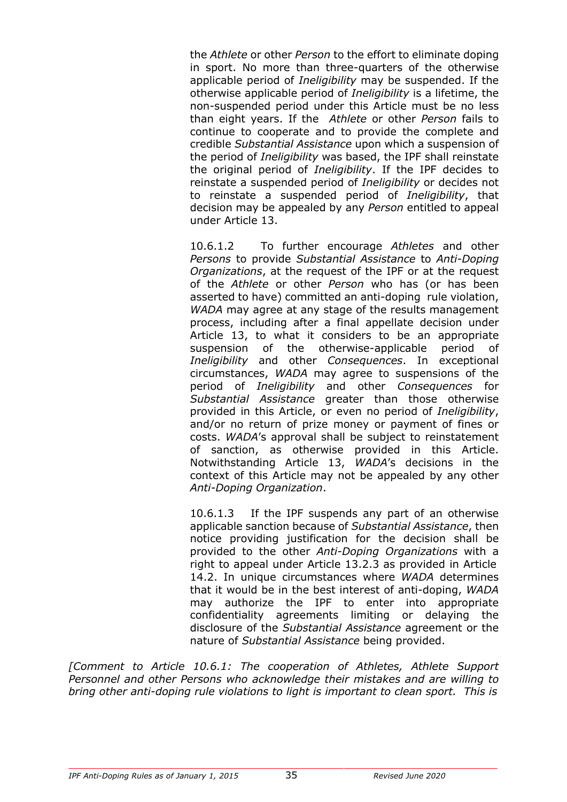the *Athlete* or other *Person* to the effort to eliminate doping in sport. No more than three-quarters of the otherwise applicable period of *Ineligibility* may be suspended. If the otherwise applicable period of *Ineligibility* is a lifetime, the non-suspended period under this Article must be no less than eight years. If the *Athlete* or other *Person* fails to continue to cooperate and to provide the complete and credible *Substantial Assistance* upon which a suspension of the period of *Ineligibility* was based, the IPF shall reinstate the original period of *Ineligibility*. If the IPF decides to reinstate a suspended period of *Ineligibility* or decides not to reinstate a suspended period of *Ineligibility*, that decision may be appealed by any *Person* entitled to appeal under Article 13.

10.6.1.2 To further encourage *Athletes* and other *Persons* to provide *Substantial Assistance* to *Anti-Doping Organizations*, at the request of the IPF or at the request of the *Athlete* or other *Person* who has (or has been asserted to have) committed an anti-doping rule violation, *WADA* may agree at any stage of the results management process, including after a final appellate decision under Article 13, to what it considers to be an appropriate suspension of the otherwise-applicable period of *Ineligibility* and other *Consequences*. In exceptional circumstances, *WADA* may agree to suspensions of the period of *Ineligibility* and other *Consequences* for *Substantial Assistance* greater than those otherwise provided in this Article, or even no period of *Ineligibility*, and/or no return of prize money or payment of fines or costs. *WADA*'s approval shall be subject to reinstatement of sanction, as otherwise provided in this Article. Notwithstanding Article 13, *WADA*'s decisions in the context of this Article may not be appealed by any other *Anti-Doping Organization*.

10.6.1.3 If the IPF suspends any part of an otherwise applicable sanction because of *Substantial Assistance*, then notice providing justification for the decision shall be provided to the other *Anti-Doping Organizations* with a right to appeal under Article 13.2.3 as provided in Article 14.2. In unique circumstances where *WADA* determines that it would be in the best interest of anti-doping, *WADA*  may authorize the IPF to enter into appropriate confidentiality agreements limiting or delaying the disclosure of the *Substantial Assistance* agreement or the nature of *Substantial Assistance* being provided.

*[Comment to Article 10.6.1: The cooperation of Athletes, Athlete Support Personnel and other Persons who acknowledge their mistakes and are willing to bring other anti-doping rule violations to light is important to clean sport. This is*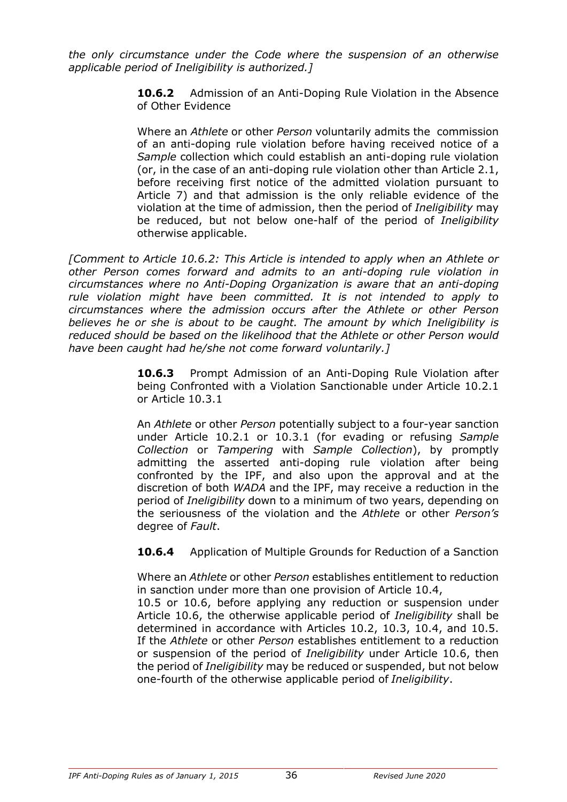*the only circumstance under the Code where the suspension of an otherwise applicable period of Ineligibility is authorized.]*

> **10.6.2** Admission of an Anti-Doping Rule Violation in the Absence of Other Evidence

> Where an *Athlete* or other *Person* voluntarily admits the commission of an anti-doping rule violation before having received notice of a *Sample* collection which could establish an anti-doping rule violation (or, in the case of an anti-doping rule violation other than Article 2.1, before receiving first notice of the admitted violation pursuant to Article 7) and that admission is the only reliable evidence of the violation at the time of admission, then the period of *Ineligibility* may be reduced, but not below one-half of the period of *Ineligibility*  otherwise applicable.

*[Comment to Article 10.6.2: This Article is intended to apply when an Athlete or other Person comes forward and admits to an anti-doping rule violation in circumstances where no Anti-Doping Organization is aware that an anti-doping rule violation might have been committed. It is not intended to apply to circumstances where the admission occurs after the Athlete or other Person believes he or she is about to be caught. The amount by which Ineligibility is reduced should be based on the likelihood that the Athlete or other Person would have been caught had he/she not come forward voluntarily.]*

> **10.6.3** Prompt Admission of an Anti-Doping Rule Violation after being Confronted with a Violation Sanctionable under Article 10.2.1 or Article 10.3.1

> An *Athlete* or other *Person* potentially subject to a four-year sanction under Article 10.2.1 or 10.3.1 (for evading or refusing *Sample Collection* or *Tampering* with *Sample Collection*), by promptly admitting the asserted anti-doping rule violation after being confronted by the IPF, and also upon the approval and at the discretion of both *WADA* and the IPF, may receive a reduction in the period of *Ineligibility* down to a minimum of two years, depending on the seriousness of the violation and the *Athlete* or other *Person's*  degree of *Fault*.

> **10.6.4** Application of Multiple Grounds for Reduction of a Sanction

Where an *Athlete* or other *Person* establishes entitlement to reduction in sanction under more than one provision of Article 10.4,

10.5 or 10.6, before applying any reduction or suspension under Article 10.6, the otherwise applicable period of *Ineligibility* shall be determined in accordance with Articles 10.2, 10.3, 10.4, and 10.5. If the *Athlete* or other *Person* establishes entitlement to a reduction or suspension of the period of *Ineligibility* under Article 10.6, then the period of *Ineligibility* may be reduced or suspended, but not below one-fourth of the otherwise applicable period of *Ineligibility*.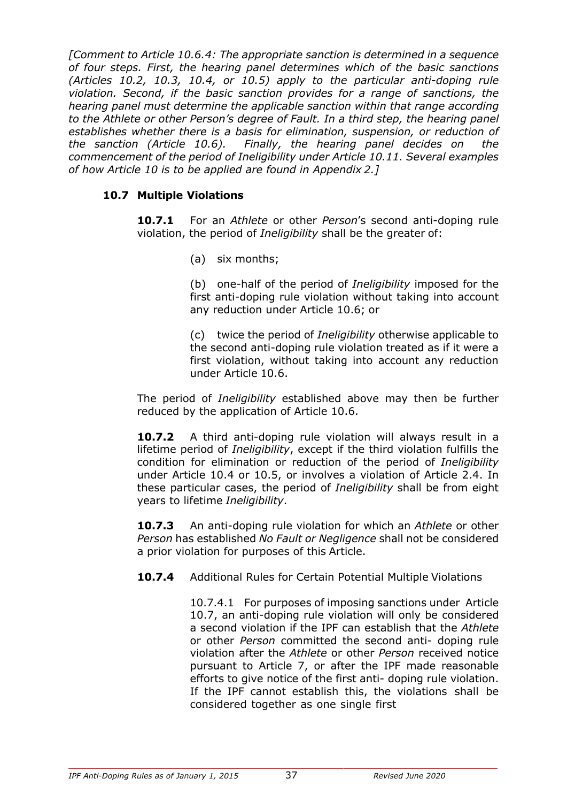*[Comment to Article 10.6.4: The appropriate sanction is determined in a sequence of four steps. First, the hearing panel determines which of the basic sanctions (Articles 10.2, 10.3, 10.4, or 10.5) apply to the particular anti-doping rule violation. Second, if the basic sanction provides for a range of sanctions, the hearing panel must determine the applicable sanction within that range according to the Athlete or other Person's degree of Fault. In a third step, the hearing panel establishes whether there is a basis for elimination, suspension, or reduction of the sanction (Article 10.6). Finally, the hearing panel decides on the commencement of the period of Ineligibility under Article 10.11. Several examples of how Article 10 is to be applied are found in Appendix 2.]*

# **10.7 Multiple Violations**

**10.7.1** For an *Athlete* or other *Person*'s second anti-doping rule violation, the period of *Ineligibility* shall be the greater of:

(a) six months;

(b) one-half of the period of *Ineligibility* imposed for the first anti-doping rule violation without taking into account any reduction under Article 10.6; or

(c) twice the period of *Ineligibility* otherwise applicable to the second anti-doping rule violation treated as if it were a first violation, without taking into account any reduction under Article 10.6.

The period of *Ineligibility* established above may then be further reduced by the application of Article 10.6.

**10.7.2** A third anti-doping rule violation will always result in a lifetime period of *Ineligibility*, except if the third violation fulfills the condition for elimination or reduction of the period of *Ineligibility*  under Article 10.4 or 10.5, or involves a violation of Article 2.4. In these particular cases, the period of *Ineligibility* shall be from eight years to lifetime *Ineligibility*.

**10.7.3** An anti-doping rule violation for which an *Athlete* or other *Person* has established *No Fault or Negligence* shall not be considered a prior violation for purposes of this Article.

**10.7.4** Additional Rules for Certain Potential Multiple Violations

10.7.4.1 For purposes of imposing sanctions under Article 10.7, an anti-doping rule violation will only be considered a second violation if the IPF can establish that the *Athlete*  or other *Person* committed the second anti- doping rule violation after the *Athlete* or other *Person* received notice pursuant to Article 7, or after the IPF made reasonable efforts to give notice of the first anti- doping rule violation. If the IPF cannot establish this, the violations shall be considered together as one single first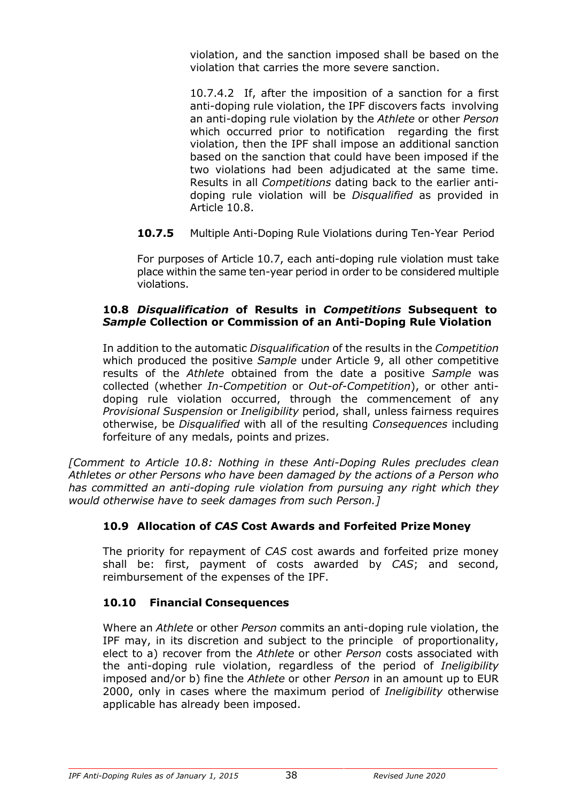violation, and the sanction imposed shall be based on the violation that carries the more severe sanction.

10.7.4.2 If, after the imposition of a sanction for a first anti-doping rule violation, the IPF discovers facts involving an anti-doping rule violation by the *Athlete* or other *Person*  which occurred prior to notification regarding the first violation, then the IPF shall impose an additional sanction based on the sanction that could have been imposed if the two violations had been adjudicated at the same time. Results in all *Competitions* dating back to the earlier antidoping rule violation will be *Disqualified* as provided in Article 10.8.

**10.7.5** Multiple Anti-Doping Rule Violations during Ten-Year Period

For purposes of Article 10.7, each anti-doping rule violation must take place within the same ten-year period in order to be considered multiple violations.

### **10.8** *Disqualification* **of Results in** *Competitions* **Subsequent to** *Sample* **Collection or Commission of an Anti-Doping Rule Violation**

In addition to the automatic *Disqualification* of the results in the *Competition*  which produced the positive *Sample* under Article 9, all other competitive results of the *Athlete* obtained from the date a positive *Sample* was collected (whether *In-Competition* or *Out-of-Competition*), or other antidoping rule violation occurred, through the commencement of any *Provisional Suspension* or *Ineligibility* period, shall, unless fairness requires otherwise, be *Disqualified* with all of the resulting *Consequences* including forfeiture of any medals, points and prizes.

*[Comment to Article 10.8: Nothing in these Anti-Doping Rules precludes clean Athletes or other Persons who have been damaged by the actions of a Person who has committed an anti-doping rule violation from pursuing any right which they would otherwise have to seek damages from such Person.]*

# **10.9 Allocation of** *CAS* **Cost Awards and Forfeited Prize Money**

The priority for repayment of *CAS* cost awards and forfeited prize money shall be: first, payment of costs awarded by *CAS*; and second, reimbursement of the expenses of the IPF.

# **10.10 Financial Consequences**

Where an *Athlete* or other *Person* commits an anti-doping rule violation, the IPF may, in its discretion and subject to the principle of proportionality, elect to a) recover from the *Athlete* or other *Person* costs associated with the anti-doping rule violation, regardless of the period of *Ineligibility*  imposed and/or b) fine the *Athlete* or other *Person* in an amount up to EUR 2000, only in cases where the maximum period of *Ineligibility* otherwise applicable has already been imposed.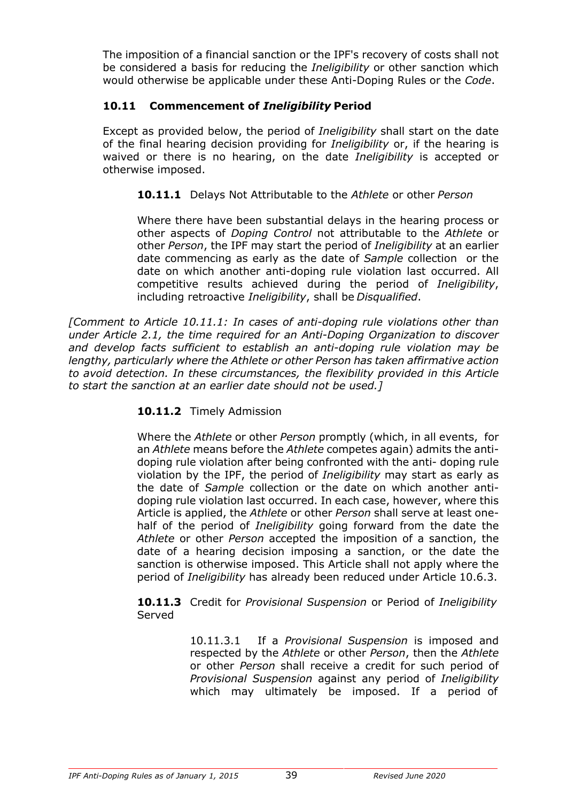The imposition of a financial sanction or the IPF's recovery of costs shall not be considered a basis for reducing the *Ineligibility* or other sanction which would otherwise be applicable under these Anti-Doping Rules or the *Code*.

# **10.11 Commencement of** *Ineligibility* **Period**

Except as provided below, the period of *Ineligibility* shall start on the date of the final hearing decision providing for *Ineligibility* or, if the hearing is waived or there is no hearing, on the date *Ineligibility* is accepted or otherwise imposed.

**10.11.1** Delays Not Attributable to the *Athlete* or other *Person*

Where there have been substantial delays in the hearing process or other aspects of *Doping Control* not attributable to the *Athlete* or other *Person*, the IPF may start the period of *Ineligibility* at an earlier date commencing as early as the date of *Sample* collection or the date on which another anti-doping rule violation last occurred. All competitive results achieved during the period of *Ineligibility*, including retroactive *Ineligibility*, shall be *Disqualified*.

*[Comment to Article 10.11.1: In cases of anti-doping rule violations other than under Article 2.1, the time required for an Anti-Doping Organization to discover and develop facts sufficient to establish an anti-doping rule violation may be lengthy, particularly where the Athlete or other Person has taken affirmative action to avoid detection. In these circumstances, the flexibility provided in this Article to start the sanction at an earlier date should not be used.]*

#### **10.11.2** Timely Admission

Where the *Athlete* or other *Person* promptly (which, in all events, for an *Athlete* means before the *Athlete* competes again) admits the antidoping rule violation after being confronted with the anti- doping rule violation by the IPF, the period of *Ineligibility* may start as early as the date of *Sample* collection or the date on which another antidoping rule violation last occurred. In each case, however, where this Article is applied, the *Athlete* or other *Person* shall serve at least onehalf of the period of *Ineligibility* going forward from the date the *Athlete* or other *Person* accepted the imposition of a sanction, the date of a hearing decision imposing a sanction, or the date the sanction is otherwise imposed. This Article shall not apply where the period of *Ineligibility* has already been reduced under Article 10.6.3.

**10.11.3** Credit for *Provisional Suspension* or Period of *Ineligibility* Served

> 10.11.3.1 If a *Provisional Suspension* is imposed and respected by the *Athlete* or other *Person*, then the *Athlete*  or other *Person* shall receive a credit for such period of *Provisional Suspension* against any period of *Ineligibility*  which may ultimately be imposed. If a period of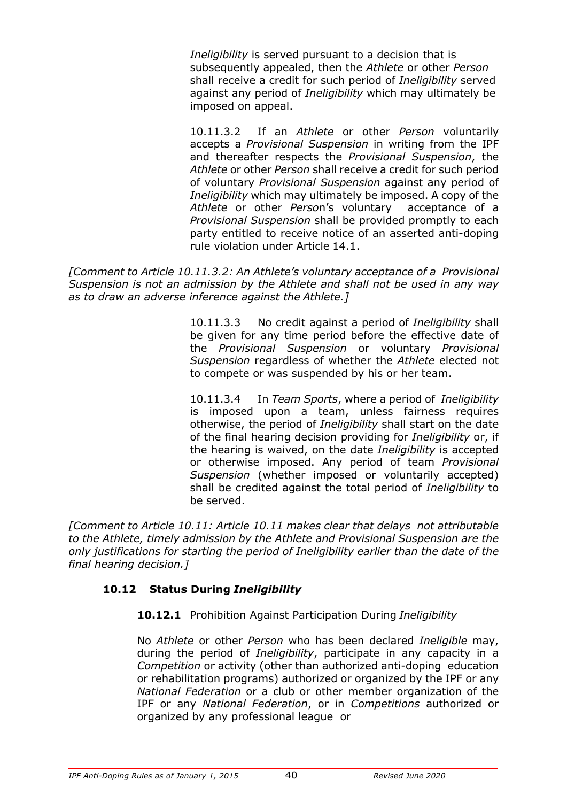*Ineligibility* is served pursuant to a decision that is subsequently appealed, then the *Athlete* or other *Person*  shall receive a credit for such period of *Ineligibility* served against any period of *Ineligibility* which may ultimately be imposed on appeal.

10.11.3.2 If an *Athlete* or other *Person* voluntarily accepts a *Provisional Suspension* in writing from the IPF and thereafter respects the *Provisional Suspension*, the *Athlete* or other *Person* shall receive a credit for such period of voluntary *Provisional Suspension* against any period of *Ineligibility* which may ultimately be imposed. A copy of the *Athlete* or other *Perso*n's voluntary acceptance of a *Provisional Suspension* shall be provided promptly to each party entitled to receive notice of an asserted anti-doping rule violation under Article 14.1.

*[Comment to Article 10.11.3.2: An Athlete's voluntary acceptance of a Provisional Suspension is not an admission by the Athlete and shall not be used in any way as to draw an adverse inference against the Athlete.]*

> 10.11.3.3 No credit against a period of *Ineligibility* shall be given for any time period before the effective date of the *Provisional Suspension* or voluntary *Provisional Suspension* regardless of whether the *Athlete* elected not to compete or was suspended by his or her team.

> 10.11.3.4 In *Team Sports*, where a period of *Ineligibility*  is imposed upon a team, unless fairness requires otherwise, the period of *Ineligibility* shall start on the date of the final hearing decision providing for *Ineligibility* or, if the hearing is waived, on the date *Ineligibility* is accepted or otherwise imposed. Any period of team *Provisional Suspension* (whether imposed or voluntarily accepted) shall be credited against the total period of *Ineligibility* to be served.

*[Comment to Article 10.11: Article 10.11 makes clear that delays not attributable to the Athlete, timely admission by the Athlete and Provisional Suspension are the only justifications for starting the period of Ineligibility earlier than the date of the final hearing decision.]*

# **10.12 Status During** *Ineligibility*

**10.12.1** Prohibition Against Participation During *Ineligibility*

No *Athlete* or other *Person* who has been declared *Ineligible* may, during the period of *Ineligibility*, participate in any capacity in a *Competition* or activity (other than authorized anti-doping education or rehabilitation programs) authorized or organized by the IPF or any *National Federation* or a club or other member organization of the IPF or any *National Federation*, or in *Competitions* authorized or organized by any professional league or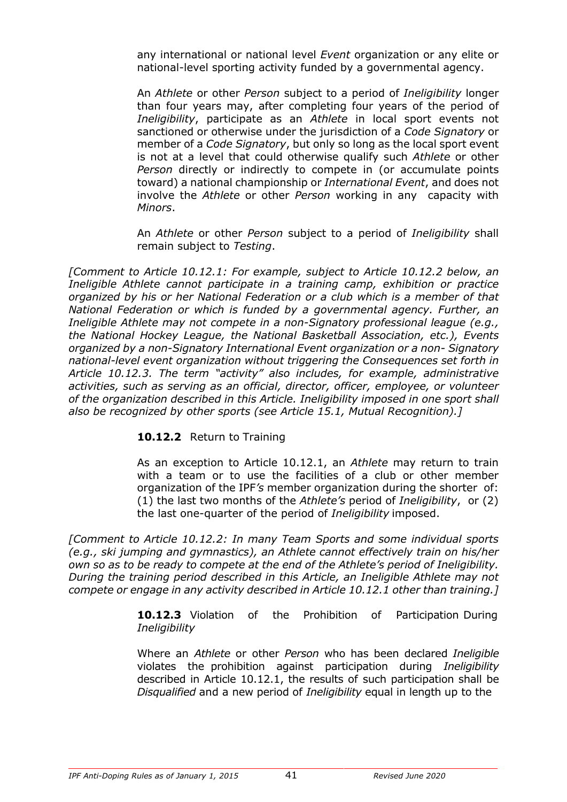any international or national level *Event* organization or any elite or national-level sporting activity funded by a governmental agency.

An *Athlete* or other *Person* subject to a period of *Ineligibility* longer than four years may, after completing four years of the period of *Ineligibility*, participate as an *Athlete* in local sport events not sanctioned or otherwise under the jurisdiction of a *Code Signatory* or member of a *Code Signatory*, but only so long as the local sport event is not at a level that could otherwise qualify such *Athlete* or other *Person* directly or indirectly to compete in (or accumulate points toward) a national championship or *International Event*, and does not involve the *Athlete* or other *Person* working in any capacity with *Minors*.

An *Athlete* or other *Person* subject to a period of *Ineligibility* shall remain subject to *Testing*.

*[Comment to Article 10.12.1: For example, subject to Article 10.12.2 below, an Ineligible Athlete cannot participate in a training camp, exhibition or practice organized by his or her National Federation or a club which is a member of that National Federation or which is funded by a governmental agency. Further, an Ineligible Athlete may not compete in a non-Signatory professional league (e.g., the National Hockey League, the National Basketball Association, etc.), Events organized by a non-Signatory International Event organization or a non- Signatory national-level event organization without triggering the Consequences set forth in Article 10.12.3. The term "activity" also includes, for example, administrative activities, such as serving as an official, director, officer, employee, or volunteer of the organization described in this Article. Ineligibility imposed in one sport shall also be recognized by other sports (see Article 15.1, Mutual Recognition).]*

#### **10.12.2** Return to Training

As an exception to Article 10.12.1, an *Athlete* may return to train with a team or to use the facilities of a club or other member organization of the IPF*'s* member organization during the shorter of: (1) the last two months of the *Athlete's* period of *Ineligibility*, or (2) the last one-quarter of the period of *Ineligibility* imposed.

*[Comment to Article 10.12.2: In many Team Sports and some individual sports (e.g., ski jumping and gymnastics), an Athlete cannot effectively train on his/her own so as to be ready to compete at the end of the Athlete's period of Ineligibility. During the training period described in this Article, an Ineligible Athlete may not compete or engage in any activity described in Article 10.12.1 other than training.]*

> **10.12.3** Violation of the Prohibition of Participation During *Ineligibility*

> Where an *Athlete* or other *Person* who has been declared *Ineligible* violates the prohibition against participation during *Ineligibility*  described in Article 10.12.1, the results of such participation shall be *Disqualified* and a new period of *Ineligibility* equal in length up to the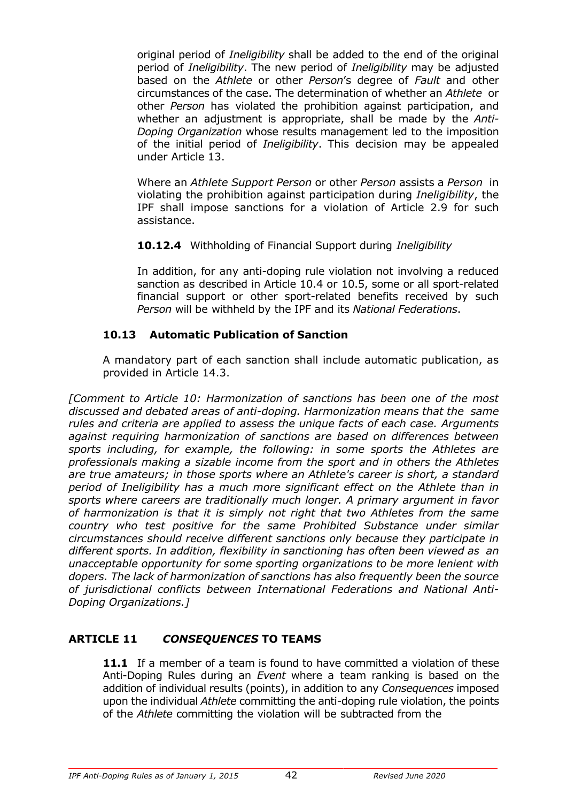original period of *Ineligibility* shall be added to the end of the original period of *Ineligibility*. The new period of *Ineligibility* may be adjusted based on the *Athlete* or other *Person*'s degree of *Fault* and other circumstances of the case. The determination of whether an *Athlete* or other *Person* has violated the prohibition against participation, and whether an adjustment is appropriate, shall be made by the *Anti-Doping Organization* whose results management led to the imposition of the initial period of *Ineligibility*. This decision may be appealed under Article 13.

Where an *Athlete Support Person* or other *Person* assists a *Person* in violating the prohibition against participation during *Ineligibility*, the IPF shall impose sanctions for a violation of Article 2.9 for such assistance.

**10.12.4** Withholding of Financial Support during *Ineligibility*

In addition, for any anti-doping rule violation not involving a reduced sanction as described in Article 10.4 or 10.5, some or all sport-related financial support or other sport-related benefits received by such *Person* will be withheld by the IPF and its *National Federations*.

# **10.13 Automatic Publication of Sanction**

A mandatory part of each sanction shall include automatic publication, as provided in Article 14.3.

*[Comment to Article 10: Harmonization of sanctions has been one of the most discussed and debated areas of anti-doping. Harmonization means that the same rules and criteria are applied to assess the unique facts of each case. Arguments against requiring harmonization of sanctions are based on differences between sports including, for example, the following: in some sports the Athletes are professionals making a sizable income from the sport and in others the Athletes are true amateurs; in those sports where an Athlete's career is short, a standard period of Ineligibility has a much more significant effect on the Athlete than in sports where careers are traditionally much longer. A primary argument in favor of harmonization is that it is simply not right that two Athletes from the same country who test positive for the same Prohibited Substance under similar circumstances should receive different sanctions only because they participate in different sports. In addition, flexibility in sanctioning has often been viewed as an unacceptable opportunity for some sporting organizations to be more lenient with dopers. The lack of harmonization of sanctions has also frequently been the source of jurisdictional conflicts between International Federations and National Anti-Doping Organizations.]*

# **ARTICLE 11** *CONSEQUENCES* **TO TEAMS**

**11.1** If a member of a team is found to have committed a violation of these Anti-Doping Rules during an *Event* where a team ranking is based on the addition of individual results (points), in addition to any *Consequences* imposed upon the individual *Athlete* committing the anti-doping rule violation, the points of the *Athlete* committing the violation will be subtracted from the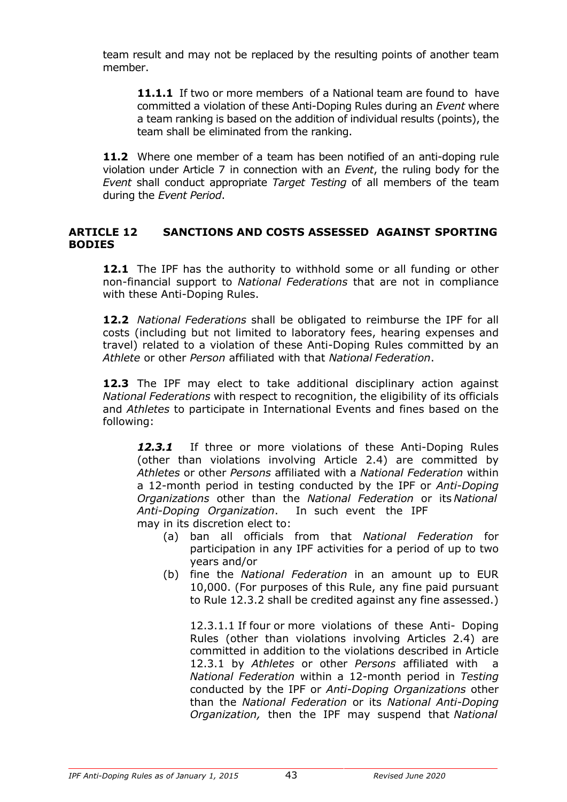team result and may not be replaced by the resulting points of another team member.

**11.1.1** If two or more members of a National team are found to have committed a violation of these Anti-Doping Rules during an *Event* where a team ranking is based on the addition of individual results (points), the team shall be eliminated from the ranking.

**11.2** Where one member of a team has been notified of an anti-doping rule violation under Article 7 in connection with an *Event*, the ruling body for the *Event* shall conduct appropriate *Target Testing* of all members of the team during the *Event Period*.

# **ARTICLE 12 SANCTIONS AND COSTS ASSESSED AGAINST SPORTING BODIES**

**12.1** The IPF has the authority to withhold some or all funding or other non-financial support to *National Federations* that are not in compliance with these Anti-Doping Rules.

**12.2** *National Federations* shall be obligated to reimburse the IPF for all costs (including but not limited to laboratory fees, hearing expenses and travel) related to a violation of these Anti-Doping Rules committed by an *Athlete* or other *Person* affiliated with that *National Federation*.

**12.3** The IPF may elect to take additional disciplinary action against *National Federations* with respect to recognition, the eligibility of its officials and *Athletes* to participate in International Events and fines based on the following:

12.3.1 If three or more violations of these Anti-Doping Rules (other than violations involving Article 2.4) are committed by *Athletes* or other *Persons* affiliated with a *National Federation* within a 12-month period in testing conducted by the IPF or *Anti-Doping Organizations* other than the *National Federation* or its *National Anti-Doping Organization*. In such event the IPF may in its discretion elect to:

- (a) ban all officials from that *National Federation* for participation in any IPF activities for a period of up to two years and/or
- (b) fine the *National Federation* in an amount up to EUR 10,000. (For purposes of this Rule, any fine paid pursuant to Rule 12.3.2 shall be credited against any fine assessed.)

12.3.1.1 If four or more violations of these Anti- Doping Rules (other than violations involving Articles 2.4) are committed in addition to the violations described in Article 12.3.1 by *Athletes* or other *Persons* affiliated with a *National Federation* within a 12-month period in *Testing*  conducted by the IPF or *Anti-Doping Organizations* other than the *National Federation* or its *National Anti-Doping Organization,* then the IPF may suspend that *National*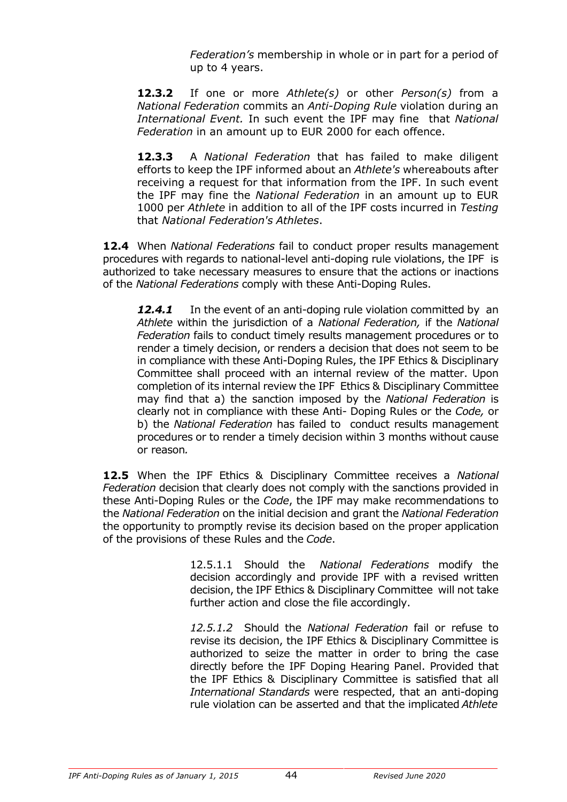*Federation's* membership in whole or in part for a period of up to 4 years.

**12.3.2** If one or more *Athlete(s)* or other *Person(s)* from a *National Federation* commits an *Anti-Doping Rule* violation during an *International Event.* In such event the IPF may fine that *National Federation* in an amount up to EUR 2000 for each offence.

**12.3.3** A *National Federation* that has failed to make diligent efforts to keep the IPF informed about an *Athlete's* whereabouts after receiving a request for that information from the IPF. In such event the IPF may fine the *National Federation* in an amount up to EUR 1000 per *Athlete* in addition to all of the IPF costs incurred in *Testing*  that *National Federation's Athletes*.

**12.4** When *National Federations* fail to conduct proper results management procedures with regards to national-level anti-doping rule violations, the IPF is authorized to take necessary measures to ensure that the actions or inactions of the *National Federations* comply with these Anti-Doping Rules.

12.4.1 In the event of an anti-doping rule violation committed by an *Athlete* within the jurisdiction of a *National Federation,* if the *National Federation* fails to conduct timely results management procedures or to render a timely decision, or renders a decision that does not seem to be in compliance with these Anti-Doping Rules, the IPF Ethics & Disciplinary Committee shall proceed with an internal review of the matter. Upon completion of its internal review the IPF Ethics & Disciplinary Committee may find that a) the sanction imposed by the *National Federation* is clearly not in compliance with these Anti- Doping Rules or the *Code,* or b) the *National Federation* has failed to conduct results management procedures or to render a timely decision within 3 months without cause or reason*.*

**12.5** When the IPF Ethics & Disciplinary Committee receives a *National Federation* decision that clearly does not comply with the sanctions provided in these Anti-Doping Rules or the *Code*, the IPF may make recommendations to the *National Federation* on the initial decision and grant the *National Federation*  the opportunity to promptly revise its decision based on the proper application of the provisions of these Rules and the *Code*.

> 12.5.1.1 Should the *National Federations* modify the decision accordingly and provide IPF with a revised written decision, the IPF Ethics & Disciplinary Committee will not take further action and close the file accordingly.

> *12.5.1.2* Should the *National Federation* fail or refuse to revise its decision, the IPF Ethics & Disciplinary Committee is authorized to seize the matter in order to bring the case directly before the IPF Doping Hearing Panel. Provided that the IPF Ethics & Disciplinary Committee is satisfied that all *International Standards* were respected, that an anti-doping rule violation can be asserted and that the implicated *Athlete*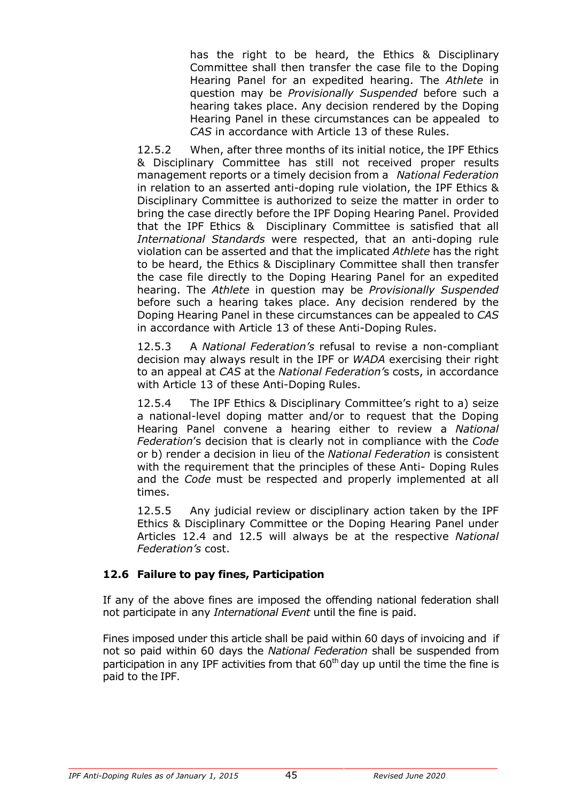has the right to be heard, the Ethics & Disciplinary Committee shall then transfer the case file to the Doping Hearing Panel for an expedited hearing. The *Athlete* in question may be *Provisionally Suspended* before such a hearing takes place. Any decision rendered by the Doping Hearing Panel in these circumstances can be appealed to *CAS* in accordance with Article 13 of these Rules.

12.5.2 When, after three months of its initial notice, the IPF Ethics & Disciplinary Committee has still not received proper results management reports or a timely decision from a *National Federation*  in relation to an asserted anti-doping rule violation, the IPF Ethics & Disciplinary Committee is authorized to seize the matter in order to bring the case directly before the IPF Doping Hearing Panel. Provided that the IPF Ethics & Disciplinary Committee is satisfied that all *International Standards* were respected, that an anti-doping rule violation can be asserted and that the implicated *Athlete* has the right to be heard, the Ethics & Disciplinary Committee shall then transfer the case file directly to the Doping Hearing Panel for an expedited hearing. The *Athlete* in question may be *Provisionally Suspended*  before such a hearing takes place. Any decision rendered by the Doping Hearing Panel in these circumstances can be appealed to *CAS*  in accordance with Article 13 of these Anti-Doping Rules.

12.5.3 A *National Federation's* refusal to revise a non-compliant decision may always result in the IPF or *WADA* exercising their right to an appeal at *CAS* at the *National Federation'*s costs, in accordance with Article 13 of these Anti-Doping Rules.

12.5.4 The IPF Ethics & Disciplinary Committee's right to a) seize a national-level doping matter and/or to request that the Doping Hearing Panel convene a hearing either to review a *National Federation*'s decision that is clearly not in compliance with the *Code*  or b) render a decision in lieu of the *National Federation* is consistent with the requirement that the principles of these Anti- Doping Rules and the *Code* must be respected and properly implemented at all times.

12.5.5 Any judicial review or disciplinary action taken by the IPF Ethics & Disciplinary Committee or the Doping Hearing Panel under Articles 12.4 and 12.5 will always be at the respective *National Federation's* cost.

# **12.6 Failure to pay fines, Participation**

If any of the above fines are imposed the offending national federation shall not participate in any *International Event* until the fine is paid.

Fines imposed under this article shall be paid within 60 days of invoicing and if not so paid within 60 days the *National Federation* shall be suspended from participation in any IPF activities from that  $60<sup>th</sup>$  day up until the time the fine is paid to the IPF.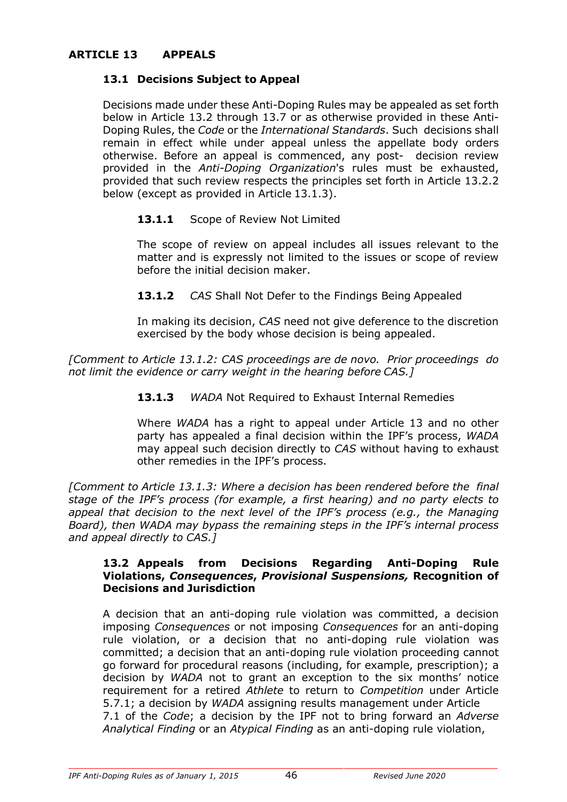# **ARTICLE 13 APPEALS**

### **13.1 Decisions Subject to Appeal**

Decisions made under these Anti-Doping Rules may be appealed as set forth below in Article 13.2 through 13.7 or as otherwise provided in these Anti-Doping Rules, the *Code* or the *International Standards*. Such decisions shall remain in effect while under appeal unless the appellate body orders otherwise. Before an appeal is commenced, any post- decision review provided in the *Anti-Doping Organization*'s rules must be exhausted, provided that such review respects the principles set forth in Article 13.2.2 below (except as provided in Article 13.1.3).

#### 13.1.1 Scope of Review Not Limited

The scope of review on appeal includes all issues relevant to the matter and is expressly not limited to the issues or scope of review before the initial decision maker.

**13.1.2** *CAS* Shall Not Defer to the Findings Being Appealed

In making its decision, *CAS* need not give deference to the discretion exercised by the body whose decision is being appealed.

*[Comment to Article 13.1.2: CAS proceedings are de novo. Prior proceedings do not limit the evidence or carry weight in the hearing before CAS.]*

**13.1.3** *WADA* Not Required to Exhaust Internal Remedies

Where *WADA* has a right to appeal under Article 13 and no other party has appealed a final decision within the IPF's process, *WADA*  may appeal such decision directly to *CAS* without having to exhaust other remedies in the IPF's process.

*[Comment to Article 13.1.3: Where a decision has been rendered before the final stage of the IPF's process (for example, a first hearing) and no party elects to appeal that decision to the next level of the IPF's process (e.g., the Managing Board), then WADA may bypass the remaining steps in the IPF's internal process and appeal directly to CAS.]*

#### **13.2 Appeals from Decisions Regarding Anti-Doping Rule Violations,** *Consequences***,** *Provisional Suspensions,* **Recognition of Decisions and Jurisdiction**

A decision that an anti-doping rule violation was committed, a decision imposing *Consequences* or not imposing *Consequences* for an anti-doping rule violation, or a decision that no anti-doping rule violation was committed; a decision that an anti-doping rule violation proceeding cannot go forward for procedural reasons (including, for example, prescription); a decision by *WADA* not to grant an exception to the six months' notice requirement for a retired *Athlete* to return to *Competition* under Article 5.7.1; a decision by *WADA* assigning results management under Article 7.1 of the *Code*; a decision by the IPF not to bring forward an *Adverse Analytical Finding* or an *Atypical Finding* as an anti-doping rule violation,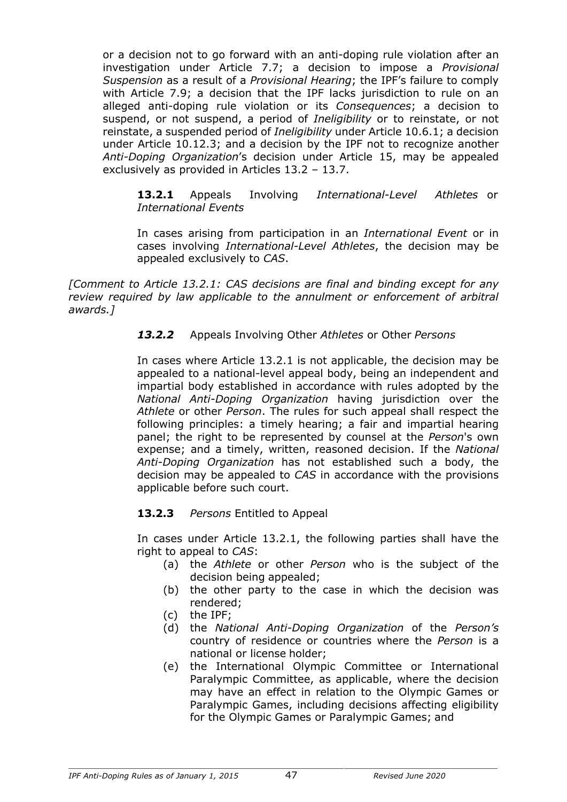or a decision not to go forward with an anti-doping rule violation after an investigation under Article 7.7; a decision to impose a *Provisional Suspension* as a result of a *Provisional Hearing*; the IPF's failure to comply with Article 7.9; a decision that the IPF lacks jurisdiction to rule on an alleged anti-doping rule violation or its *Consequences*; a decision to suspend, or not suspend, a period of *Ineligibility* or to reinstate, or not reinstate, a suspended period of *Ineligibility* under Article 10.6.1; a decision under Article 10.12.3; and a decision by the IPF not to recognize another *Anti-Doping Organization*'s decision under Article 15, may be appealed exclusively as provided in Articles 13.2 – 13.7.

**13.2.1** Appeals Involving *International-Level Athletes* or *International Events*

In cases arising from participation in an *International Event* or in cases involving *International-Level Athletes*, the decision may be appealed exclusively to *CAS*.

*[Comment to Article 13.2.1: CAS decisions are final and binding except for any review required by law applicable to the annulment or enforcement of arbitral awards.]*

#### *13.2.2* Appeals Involving Other *Athletes* or Other *Persons*

In cases where Article 13.2.1 is not applicable, the decision may be appealed to a national-level appeal body, being an independent and impartial body established in accordance with rules adopted by the *National Anti-Doping Organization* having jurisdiction over the *Athlete* or other *Person*. The rules for such appeal shall respect the following principles: a timely hearing; a fair and impartial hearing panel; the right to be represented by counsel at the *Person*'s own expense; and a timely, written, reasoned decision. If the *National Anti-Doping Organization* has not established such a body, the decision may be appealed to *CAS* in accordance with the provisions applicable before such court.

#### **13.2.3** *Persons* Entitled to Appeal

In cases under Article 13.2.1, the following parties shall have the right to appeal to *CAS*:

- (a) the *Athlete* or other *Person* who is the subject of the decision being appealed;
- (b) the other party to the case in which the decision was rendered;
- (c) the IPF;
- (d) the *National Anti-Doping Organization* of the *Person's*  country of residence or countries where the *Person* is a national or license holder;
- (e) the International Olympic Committee or International Paralympic Committee, as applicable, where the decision may have an effect in relation to the Olympic Games or Paralympic Games, including decisions affecting eligibility for the Olympic Games or Paralympic Games; and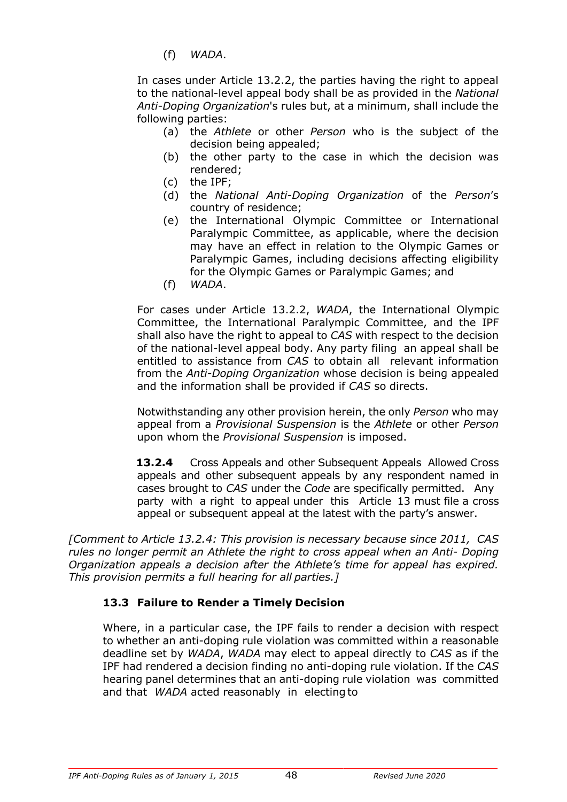(f) *WADA*.

In cases under Article 13.2.2, the parties having the right to appeal to the national-level appeal body shall be as provided in the *National Anti-Doping Organization*'s rules but, at a minimum, shall include the following parties:

- (a) the *Athlete* or other *Person* who is the subject of the decision being appealed;
- (b) the other party to the case in which the decision was rendered;
- (c) the IPF;
- (d) the *National Anti-Doping Organization* of the *Person*'s country of residence;
- (e) the International Olympic Committee or International Paralympic Committee, as applicable, where the decision may have an effect in relation to the Olympic Games or Paralympic Games, including decisions affecting eligibility for the Olympic Games or Paralympic Games; and
- (f) *WADA*.

For cases under Article 13.2.2, *WADA*, the International Olympic Committee, the International Paralympic Committee, and the IPF shall also have the right to appeal to *CAS* with respect to the decision of the national-level appeal body. Any party filing an appeal shall be entitled to assistance from *CAS* to obtain all relevant information from the *Anti-Doping Organization* whose decision is being appealed and the information shall be provided if *CAS* so directs.

Notwithstanding any other provision herein, the only *Person* who may appeal from a *Provisional Suspension* is the *Athlete* or other *Person*  upon whom the *Provisional Suspension* is imposed.

**13.2.4** Cross Appeals and other Subsequent Appeals Allowed Cross appeals and other subsequent appeals by any respondent named in cases brought to *CAS* under the *Code* are specifically permitted. Any party with a right to appeal under this Article 13 must file a cross appeal or subsequent appeal at the latest with the party's answer.

*[Comment to Article 13.2.4: This provision is necessary because since 2011, CAS rules no longer permit an Athlete the right to cross appeal when an Anti- Doping Organization appeals a decision after the Athlete's time for appeal has expired. This provision permits a full hearing for all parties.]*

# **13.3 Failure to Render a Timely Decision**

Where, in a particular case, the IPF fails to render a decision with respect to whether an anti-doping rule violation was committed within a reasonable deadline set by *WADA*, *WADA* may elect to appeal directly to *CAS* as if the IPF had rendered a decision finding no anti-doping rule violation. If the *CAS*  hearing panel determines that an anti-doping rule violation was committed and that *WADA* acted reasonably in electing to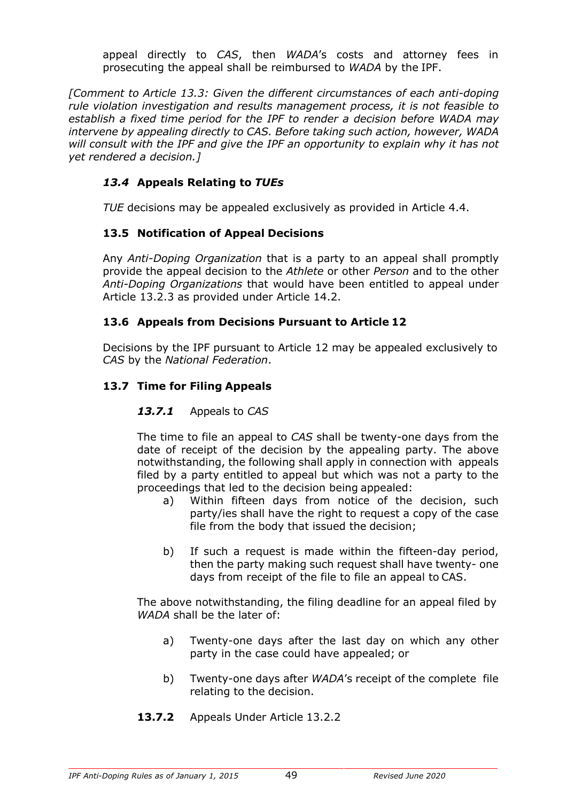appeal directly to *CAS*, then *WADA*'s costs and attorney fees in prosecuting the appeal shall be reimbursed to *WADA* by the IPF.

*[Comment to Article 13.3: Given the different circumstances of each anti-doping rule violation investigation and results management process, it is not feasible to establish a fixed time period for the IPF to render a decision before WADA may intervene by appealing directly to CAS. Before taking such action, however, WADA will consult with the IPF and give the IPF an opportunity to explain why it has not yet rendered a decision.]*

# *13.4* **Appeals Relating to** *TUEs*

*TUE* decisions may be appealed exclusively as provided in Article 4.4.

# **13.5 Notification of Appeal Decisions**

Any *Anti-Doping Organization* that is a party to an appeal shall promptly provide the appeal decision to the *Athlete* or other *Person* and to the other *Anti-Doping Organizations* that would have been entitled to appeal under Article 13.2.3 as provided under Article 14.2.

# **13.6 Appeals from Decisions Pursuant to Article 12**

Decisions by the IPF pursuant to Article 12 may be appealed exclusively to *CAS* by the *National Federation*.

# **13.7 Time for Filing Appeals**

# *13.7.1* Appeals to *CAS*

The time to file an appeal to *CAS* shall be twenty-one days from the date of receipt of the decision by the appealing party. The above notwithstanding, the following shall apply in connection with appeals filed by a party entitled to appeal but which was not a party to the proceedings that led to the decision being appealed:

- a) Within fifteen days from notice of the decision, such party/ies shall have the right to request a copy of the case file from the body that issued the decision;
- b) If such a request is made within the fifteen-day period, then the party making such request shall have twenty- one days from receipt of the file to file an appeal to CAS.

The above notwithstanding, the filing deadline for an appeal filed by *WADA* shall be the later of:

- a) Twenty-one days after the last day on which any other party in the case could have appealed; or
- b) Twenty-one days after *WADA*'s receipt of the complete file relating to the decision.
- **13.7.2** Appeals Under Article 13.2.2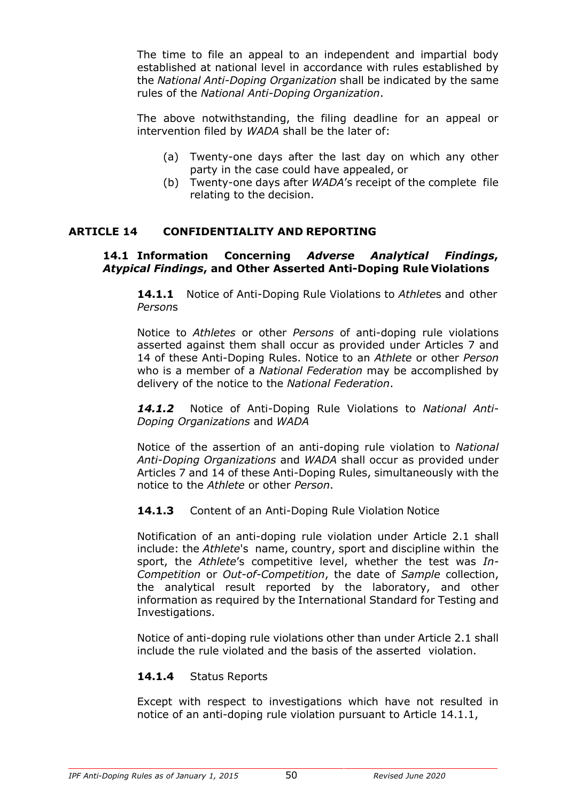The time to file an appeal to an independent and impartial body established at national level in accordance with rules established by the *National Anti-Doping Organization* shall be indicated by the same rules of the *National Anti-Doping Organization*.

The above notwithstanding, the filing deadline for an appeal or intervention filed by *WADA* shall be the later of:

- (a) Twenty-one days after the last day on which any other party in the case could have appealed, or
- (b) Twenty-one days after *WADA*'s receipt of the complete file relating to the decision.

#### **ARTICLE 14 CONFIDENTIALITY AND REPORTING**

#### **14.1 Information Concerning** *Adverse Analytical Findings***,**  *Atypical Findings***, and Other Asserted Anti-Doping Rule Violations**

**14.1.1** Notice of Anti-Doping Rule Violations to *Athlete*s and other *Person*s

Notice to *Athletes* or other *Persons* of anti-doping rule violations asserted against them shall occur as provided under Articles 7 and 14 of these Anti-Doping Rules. Notice to an *Athlete* or other *Person*  who is a member of a *National Federation* may be accomplished by delivery of the notice to the *National Federation*.

*14.1.2* Notice of Anti-Doping Rule Violations to *National Anti-Doping Organizations* and *WADA*

Notice of the assertion of an anti-doping rule violation to *National Anti-Doping Organizations* and *WADA* shall occur as provided under Articles 7 and 14 of these Anti-Doping Rules, simultaneously with the notice to the *Athlete* or other *Person*.

#### **14.1.3** Content of an Anti-Doping Rule Violation Notice

Notification of an anti-doping rule violation under Article 2.1 shall include: the *Athlete*'s name, country, sport and discipline within the sport, the *Athlete*'s competitive level, whether the test was *In-Competition* or *Out-of-Competition*, the date of *Sample* collection, the analytical result reported by the laboratory, and other information as required by the International Standard for Testing and Investigations.

Notice of anti-doping rule violations other than under Article 2.1 shall include the rule violated and the basis of the asserted violation.

# **14.1.4** Status Reports

Except with respect to investigations which have not resulted in notice of an anti-doping rule violation pursuant to Article 14.1.1,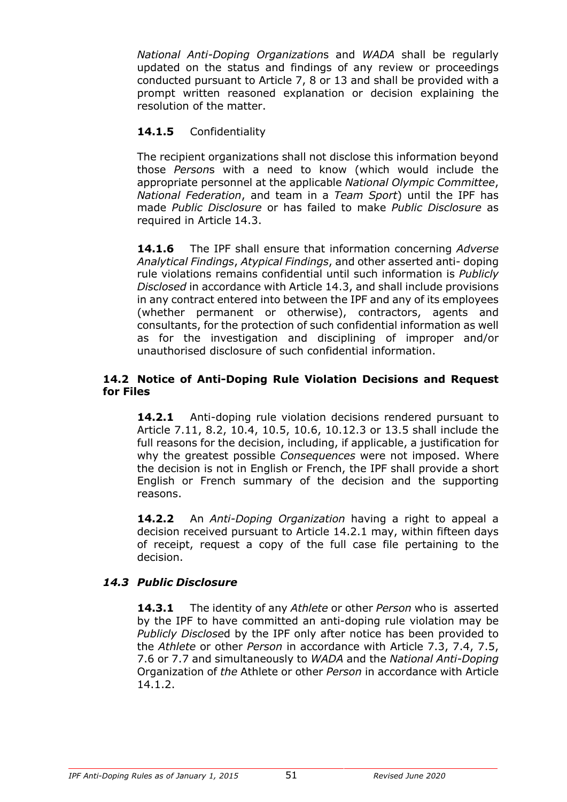*National Anti-Doping Organization*s and *WADA* shall be regularly updated on the status and findings of any review or proceedings conducted pursuant to Article 7, 8 or 13 and shall be provided with a prompt written reasoned explanation or decision explaining the resolution of the matter.

# **14.1.5** Confidentiality

The recipient organizations shall not disclose this information beyond those *Person*s with a need to know (which would include the appropriate personnel at the applicable *National Olympic Committee*, *National Federation*, and team in a *Team Sport*) until the IPF has made *Public Disclosure* or has failed to make *Public Disclosure* as required in Article 14.3.

**14.1.6** The IPF shall ensure that information concerning *Adverse Analytical Findings*, *Atypical Findings*, and other asserted anti- doping rule violations remains confidential until such information is *Publicly Disclosed* in accordance with Article 14.3, and shall include provisions in any contract entered into between the IPF and any of its employees (whether permanent or otherwise), contractors, agents and consultants, for the protection of such confidential information as well as for the investigation and disciplining of improper and/or unauthorised disclosure of such confidential information.

#### **14.2 Notice of Anti-Doping Rule Violation Decisions and Request for Files**

**14.2.1** Anti-doping rule violation decisions rendered pursuant to Article 7.11, 8.2, 10.4, 10.5, 10.6, 10.12.3 or 13.5 shall include the full reasons for the decision, including, if applicable, a justification for why the greatest possible *Consequences* were not imposed. Where the decision is not in English or French, the IPF shall provide a short English or French summary of the decision and the supporting reasons.

**14.2.2** An *Anti-Doping Organization* having a right to appeal a decision received pursuant to Article 14.2.1 may, within fifteen days of receipt, request a copy of the full case file pertaining to the decision.

# *14.3 Public Disclosure*

**14.3.1** The identity of any *Athlete* or other *Person* who is asserted by the IPF to have committed an anti-doping rule violation may be *Publicly Disclose*d by the IPF only after notice has been provided to the *Athlete* or other *Person* in accordance with Article 7.3, 7.4, 7.5, 7.6 or 7.7 and simultaneously to *WADA* and the *National Anti-Doping*  Organization of *the* Athlete or other *Person* in accordance with Article 14.1.2.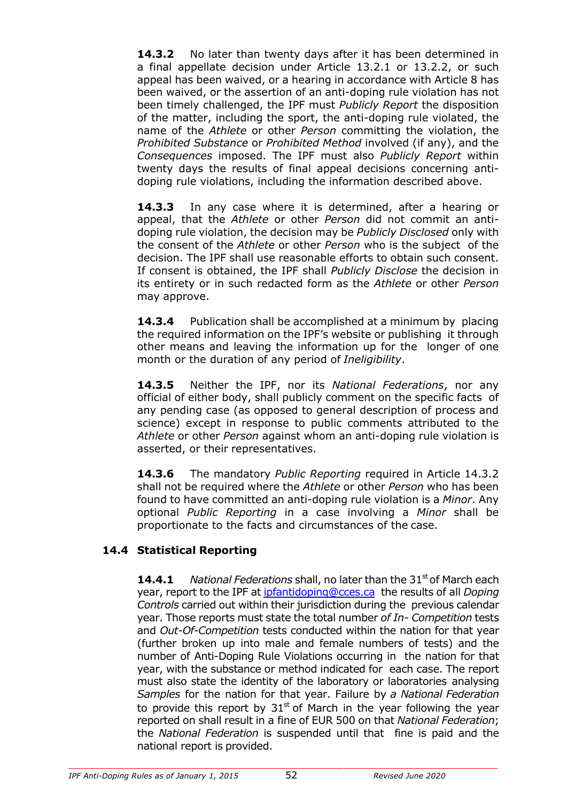**14.3.2** No later than twenty days after it has been determined in a final appellate decision under Article 13.2.1 or 13.2.2, or such appeal has been waived, or a hearing in accordance with Article 8 has been waived, or the assertion of an anti-doping rule violation has not been timely challenged, the IPF must *Publicly Report* the disposition of the matter, including the sport, the anti-doping rule violated, the name of the *Athlete* or other *Person* committing the violation, the *Prohibited Substance* or *Prohibited Method* involved (if any), and the *Consequences* imposed. The IPF must also *Publicly Report* within twenty days the results of final appeal decisions concerning antidoping rule violations, including the information described above.

**14.3.3** In any case where it is determined, after a hearing or appeal, that the *Athlete* or other *Person* did not commit an antidoping rule violation, the decision may be *Publicly Disclosed* only with the consent of the *Athlete* or other *Person* who is the subject of the decision. The IPF shall use reasonable efforts to obtain such consent. If consent is obtained, the IPF shall *Publicly Disclose* the decision in its entirety or in such redacted form as the *Athlete* or other *Person*  may approve.

**14.3.4** Publication shall be accomplished at a minimum by placing the required information on the IPF's website or publishing it through other means and leaving the information up for the longer of one month or the duration of any period of *Ineligibility*.

**14.3.5** Neither the IPF, nor its *National Federations*, nor any official of either body, shall publicly comment on the specific facts of any pending case (as opposed to general description of process and science) except in response to public comments attributed to the *Athlete* or other *Person* against whom an anti-doping rule violation is asserted, or their representatives.

**14.3.6** The mandatory *Public Reporting* required in Article 14.3.2 shall not be required where the *Athlete* or other *Person* who has been found to have committed an anti-doping rule violation is a *Minor*. Any optional *Public Reporting* in a case involving a *Minor* shall be proportionate to the facts and circumstances of the case.

# **14.4 Statistical Reporting**

**14.4.1** *National Federations shall, no later than the 31<sup>st</sup> of March each* year, report to the IPF at ipfantidoping@cces.ca the results of all *Doping Controls* carried out within their jurisdiction during the previous calendar year. Those reports must state the total number *of In- Competition* tests and *Out-Of-Competition* tests conducted within the nation for that year (further broken up into male and female numbers of tests) and the number of Anti-Doping Rule Violations occurring in the nation for that year, with the substance or method indicated for each case. The report must also state the identity of the laboratory or laboratories analysing *Samples* for the nation for that year. Failure by *a National Federation*  to provide this report by  $31<sup>st</sup>$  of March in the year following the year reported on shall result in a fine of EUR 500 on that *National Federation*; the *National Federation* is suspended until that fine is paid and the national report is provided.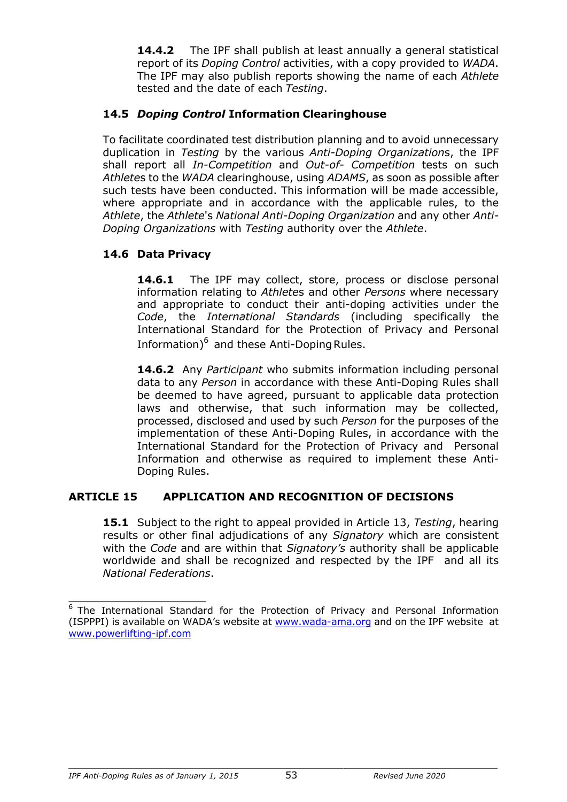**14.4.2** The IPF shall publish at least annually a general statistical report of its *Doping Control* activities, with a copy provided to *WADA*. The IPF may also publish reports showing the name of each *Athlete*  tested and the date of each *Testing*.

# **14.5** *Doping Control* **Information Clearinghouse**

To facilitate coordinated test distribution planning and to avoid unnecessary duplication in *Testing* by the various *Anti-Doping Organization*s, the IPF shall report all *In-Competition* and *Out-of- Competition* tests on such *Athlete*s to the *WADA* clearinghouse, using *ADAMS*, as soon as possible after such tests have been conducted. This information will be made accessible, where appropriate and in accordance with the applicable rules, to the *Athlete*, the *Athlete*'s *National Anti-Doping Organization* and any other *Anti-Doping Organizations* with *Testing* authority over the *Athlete*.

# **14.6 Data Privacy**

14.6.1 The IPF may collect, store, process or disclose personal information relating to *Athlete*s and other *Persons* where necessary and appropriate to conduct their anti-doping activities under the *Code*, the *International Standards* (including specifically the International Standard for the Protection of Privacy and Personal Information) $^6$  and these Anti-Doping Rules.

**14.6.2** Any *Participant* who submits information including personal data to any *Person* in accordance with these Anti-Doping Rules shall be deemed to have agreed, pursuant to applicable data protection laws and otherwise, that such information may be collected, processed, disclosed and used by such *Person* for the purposes of the implementation of these Anti-Doping Rules, in accordance with the International Standard for the Protection of Privacy and Personal Information and otherwise as required to implement these Anti-Doping Rules.

# **ARTICLE 15 APPLICATION AND RECOGNITION OF DECISIONS**

**15.1** Subject to the right to appeal provided in Article 13, *Testing*, hearing results or other final adjudications of any *Signatory* which are consistent with the *Code* and are within that *Signatory's* authority shall be applicable worldwide and shall be recognized and respected by the IPF and all its *National Federations*.

 $\overline{6}$  The International Standard for the Protection of Privacy and Personal Information (ISPPPI) is available on WADA's website at www.wada-ama.org and on the IPF website at www.powerlifting-ipf.com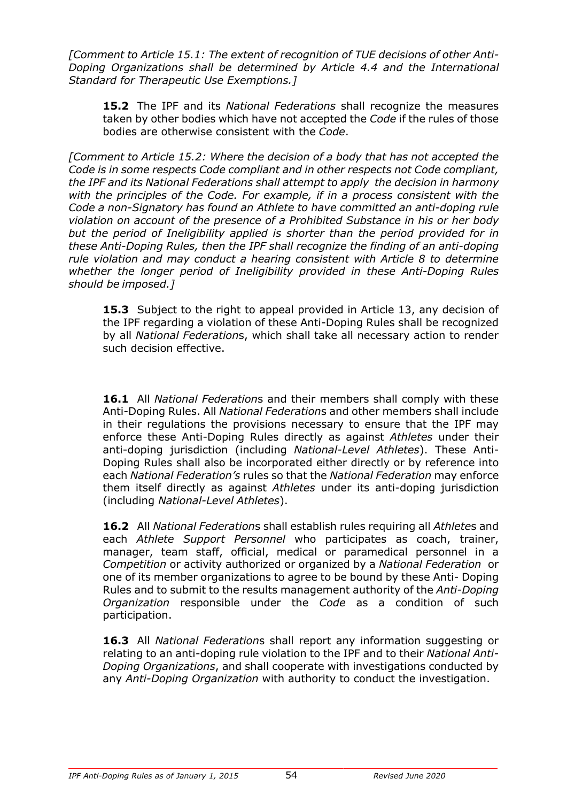*[Comment to Article 15.1: The extent of recognition of TUE decisions of other Anti-Doping Organizations shall be determined by Article 4.4 and the International Standard for Therapeutic Use Exemptions.]*

**15.2** The IPF and its *National Federations* shall recognize the measures taken by other bodies which have not accepted the *Code* if the rules of those bodies are otherwise consistent with the *Code*.

*[Comment to Article 15.2: Where the decision of a body that has not accepted the Code is in some respects Code compliant and in other respects not Code compliant, the IPF and its National Federations shall attempt to apply the decision in harmony with the principles of the Code. For example, if in a process consistent with the Code a non-Signatory has found an Athlete to have committed an anti-doping rule violation on account of the presence of a Prohibited Substance in his or her body but the period of Ineligibility applied is shorter than the period provided for in these Anti-Doping Rules, then the IPF shall recognize the finding of an anti-doping rule violation and may conduct a hearing consistent with Article 8 to determine whether the longer period of Ineligibility provided in these Anti-Doping Rules should be imposed.]*

**15.3** Subject to the right to appeal provided in Article 13, any decision of the IPF regarding a violation of these Anti-Doping Rules shall be recognized by all *National Federation*s, which shall take all necessary action to render such decision effective.

**16.1** All *National Federation*s and their members shall comply with these Anti-Doping Rules. All *National Federation*s and other members shall include in their regulations the provisions necessary to ensure that the IPF may enforce these Anti-Doping Rules directly as against *Athletes* under their anti-doping jurisdiction (including *National-Level Athletes*). These Anti-Doping Rules shall also be incorporated either directly or by reference into each *National Federation's* rules so that the *National Federation* may enforce them itself directly as against *Athletes* under its anti-doping jurisdiction (including *National-Level Athletes*).

**16.2** All *National Federation*s shall establish rules requiring all *Athlete*s and each *Athlete Support Personnel* who participates as coach, trainer, manager, team staff, official, medical or paramedical personnel in a *Competition* or activity authorized or organized by a *National Federation* or one of its member organizations to agree to be bound by these Anti- Doping Rules and to submit to the results management authority of the *Anti-Doping Organization* responsible under the *Code* as a condition of such participation.

**16.3** All *National Federation*s shall report any information suggesting or relating to an anti-doping rule violation to the IPF and to their *National Anti-Doping Organizations*, and shall cooperate with investigations conducted by any *Anti-Doping Organization* with authority to conduct the investigation.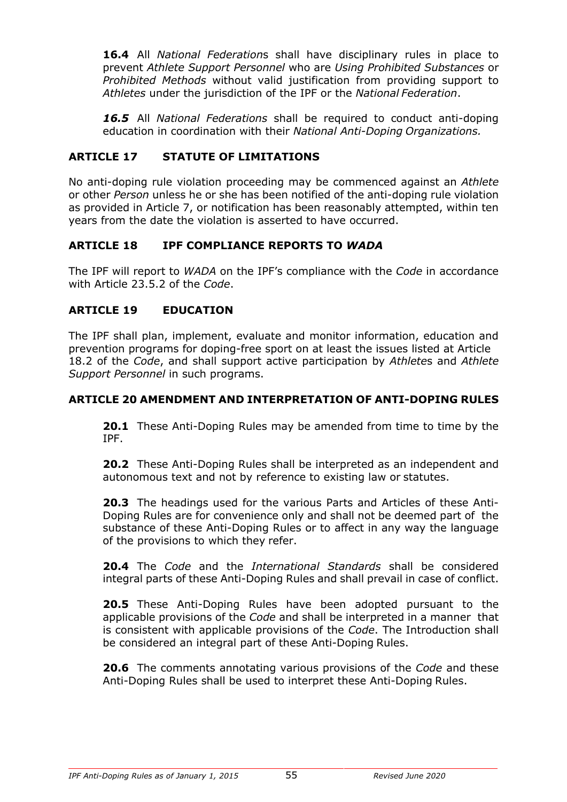**16.4** All *National Federation*s shall have disciplinary rules in place to prevent *Athlete Support Personnel* who are *Using Prohibited Substances* or *Prohibited Methods* without valid justification from providing support to *Athletes* under the jurisdiction of the IPF or the *National Federation*.

*16.5* All *National Federations* shall be required to conduct anti-doping education in coordination with their *National Anti-Doping Organizations.*

# **ARTICLE 17 STATUTE OF LIMITATIONS**

No anti-doping rule violation proceeding may be commenced against an *Athlete*  or other *Person* unless he or she has been notified of the anti-doping rule violation as provided in Article 7, or notification has been reasonably attempted, within ten years from the date the violation is asserted to have occurred.

# **ARTICLE 18 IPF COMPLIANCE REPORTS TO** *WADA*

The IPF will report to *WADA* on the IPF's compliance with the *Code* in accordance with Article 23.5.2 of the *Code*.

# **ARTICLE 19 EDUCATION**

The IPF shall plan, implement, evaluate and monitor information, education and prevention programs for doping-free sport on at least the issues listed at Article 18.2 of the *Code*, and shall support active participation by *Athlete*s and *Athlete Support Personnel* in such programs.

### **ARTICLE 20 AMENDMENT AND INTERPRETATION OF ANTI-DOPING RULES**

**20.1** These Anti-Doping Rules may be amended from time to time by the IPF.

**20.2** These Anti-Doping Rules shall be interpreted as an independent and autonomous text and not by reference to existing law or statutes.

**20.3** The headings used for the various Parts and Articles of these Anti-Doping Rules are for convenience only and shall not be deemed part of the substance of these Anti-Doping Rules or to affect in any way the language of the provisions to which they refer.

**20.4** The *Code* and the *International Standards* shall be considered integral parts of these Anti-Doping Rules and shall prevail in case of conflict.

**20.5** These Anti-Doping Rules have been adopted pursuant to the applicable provisions of the *Code* and shall be interpreted in a manner that is consistent with applicable provisions of the *Code*. The Introduction shall be considered an integral part of these Anti-Doping Rules.

**20.6** The comments annotating various provisions of the *Code* and these Anti-Doping Rules shall be used to interpret these Anti-Doping Rules.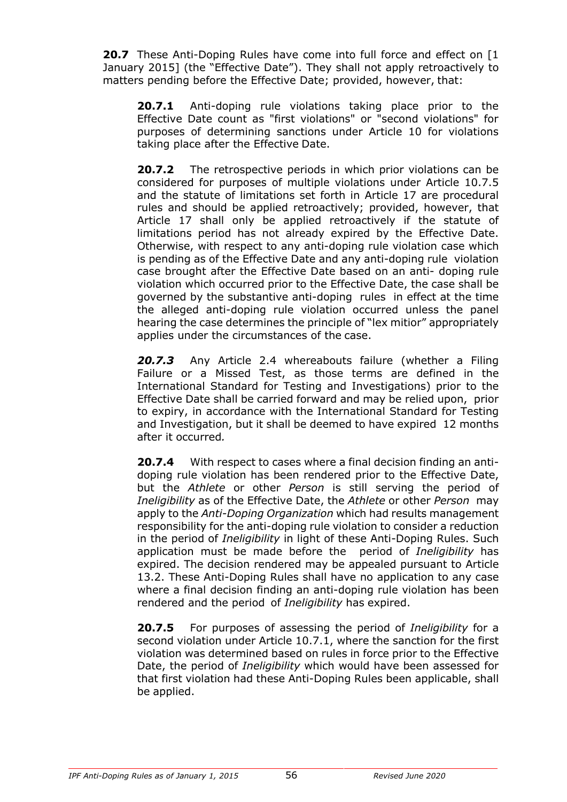**20.7** These Anti-Doping Rules have come into full force and effect on [1] January 2015] (the "Effective Date"). They shall not apply retroactively to matters pending before the Effective Date; provided, however, that:

**20.7.1** Anti-doping rule violations taking place prior to the Effective Date count as "first violations" or "second violations" for purposes of determining sanctions under Article 10 for violations taking place after the Effective Date.

**20.7.2** The retrospective periods in which prior violations can be considered for purposes of multiple violations under Article 10.7.5 and the statute of limitations set forth in Article 17 are procedural rules and should be applied retroactively; provided, however, that Article 17 shall only be applied retroactively if the statute of limitations period has not already expired by the Effective Date. Otherwise, with respect to any anti-doping rule violation case which is pending as of the Effective Date and any anti-doping rule violation case brought after the Effective Date based on an anti- doping rule violation which occurred prior to the Effective Date, the case shall be governed by the substantive anti-doping rules in effect at the time the alleged anti-doping rule violation occurred unless the panel hearing the case determines the principle of "lex mitior" appropriately applies under the circumstances of the case.

*20.7.3* Any Article 2.4 whereabouts failure (whether a Filing Failure or a Missed Test, as those terms are defined in the International Standard for Testing and Investigations) prior to the Effective Date shall be carried forward and may be relied upon, prior to expiry, in accordance with the International Standard for Testing and Investigation, but it shall be deemed to have expired 12 months after it occurred*.*

**20.7.4** With respect to cases where a final decision finding an antidoping rule violation has been rendered prior to the Effective Date, but the *Athlete* or other *Person* is still serving the period of *Ineligibility* as of the Effective Date, the *Athlete* or other *Person* may apply to the *Anti-Doping Organization* which had results management responsibility for the anti-doping rule violation to consider a reduction in the period of *Ineligibility* in light of these Anti-Doping Rules. Such application must be made before the period of *Ineligibility* has expired. The decision rendered may be appealed pursuant to Article 13.2. These Anti-Doping Rules shall have no application to any case where a final decision finding an anti-doping rule violation has been rendered and the period of *Ineligibility* has expired.

**20.7.5** For purposes of assessing the period of *Ineligibility* for a second violation under Article 10.7.1, where the sanction for the first violation was determined based on rules in force prior to the Effective Date, the period of *Ineligibility* which would have been assessed for that first violation had these Anti-Doping Rules been applicable, shall be applied.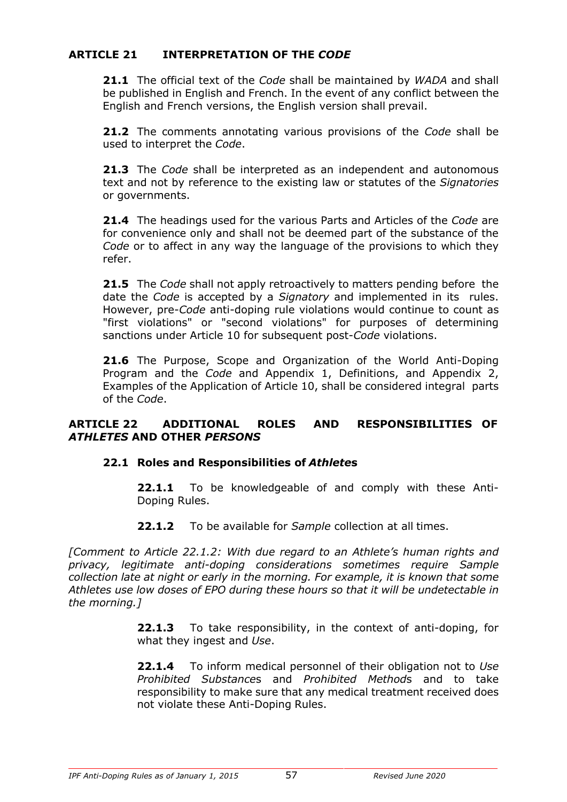# **ARTICLE 21 INTERPRETATION OF THE** *CODE*

**21.1** The official text of the *Code* shall be maintained by *WADA* and shall be published in English and French. In the event of any conflict between the English and French versions, the English version shall prevail.

**21.2** The comments annotating various provisions of the *Code* shall be used to interpret the *Code*.

**21.3** The *Code* shall be interpreted as an independent and autonomous text and not by reference to the existing law or statutes of the *Signatories*  or governments.

**21.4** The headings used for the various Parts and Articles of the *Code* are for convenience only and shall not be deemed part of the substance of the *Code* or to affect in any way the language of the provisions to which they refer.

**21.5** The *Code* shall not apply retroactively to matters pending before the date the *Code* is accepted by a *Signatory* and implemented in its rules. However, pre-*Code* anti-doping rule violations would continue to count as "first violations" or "second violations" for purposes of determining sanctions under Article 10 for subsequent post-*Code* violations.

**21.6** The Purpose, Scope and Organization of the World Anti-Doping Program and the *Code* and Appendix 1, Definitions, and Appendix 2, Examples of the Application of Article 10, shall be considered integral parts of the *Code*.

#### **ARTICLE 22 ADDITIONAL ROLES AND RESPONSIBILITIES OF** *ATHLETES* **AND OTHER** *PERSONS*

# **22.1 Roles and Responsibilities of** *Athlete***s**

**22.1.1** To be knowledgeable of and comply with these Anti-Doping Rules.

**22.1.2** To be available for *Sample* collection at all times.

*[Comment to Article 22.1.2: With due regard to an Athlete's human rights and privacy, legitimate anti-doping considerations sometimes require Sample collection late at night or early in the morning. For example, it is known that some Athletes use low doses of EPO during these hours so that it will be undetectable in the morning.]*

> **22.1.3** To take responsibility, in the context of anti-doping, for what they ingest and *Use*.

> **22.1.4** To inform medical personnel of their obligation not to *Use Prohibited Substance*s and *Prohibited Method*s and to take responsibility to make sure that any medical treatment received does not violate these Anti-Doping Rules.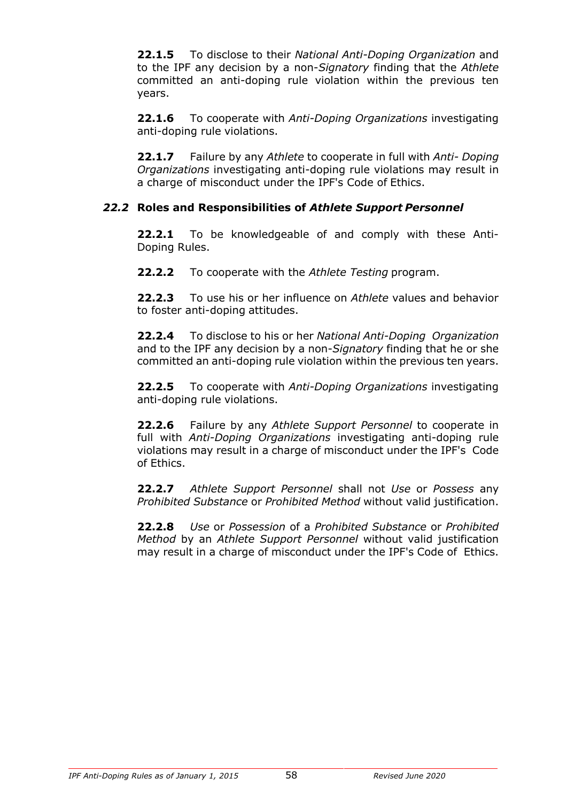**22.1.5** To disclose to their *National Anti-Doping Organization* and to the IPF any decision by a non-*Signatory* finding that the *Athlete*  committed an anti-doping rule violation within the previous ten years.

**22.1.6** To cooperate with *Anti-Doping Organizations* investigating anti-doping rule violations.

**22.1.7** Failure by any *Athlete* to cooperate in full with *Anti- Doping Organizations* investigating anti-doping rule violations may result in a charge of misconduct under the IPF's Code of Ethics.

# *22.2* **Roles and Responsibilities of** *Athlete Support Personnel*

**22.2.1** To be knowledgeable of and comply with these Anti-Doping Rules.

**22.2.2** To cooperate with the *Athlete Testing* program.

**22.2.3** To use his or her influence on *Athlete* values and behavior to foster anti-doping attitudes.

**22.2.4** To disclose to his or her *National Anti-Doping Organization*  and to the IPF any decision by a non-*Signatory* finding that he or she committed an anti-doping rule violation within the previous ten years.

**22.2.5** To cooperate with *Anti-Doping Organizations* investigating anti-doping rule violations.

**22.2.6** Failure by any *Athlete Support Personnel* to cooperate in full with *Anti-Doping Organizations* investigating anti-doping rule violations may result in a charge of misconduct under the IPF's Code of Ethics.

**22.2.7** *Athlete Support Personnel* shall not *Use* or *Possess* any *Prohibited Substance* or *Prohibited Method* without valid justification.

**22.2.8** *Use* or *Possession* of a *Prohibited Substance* or *Prohibited Method* by an *Athlete Support Personnel* without valid justification may result in a charge of misconduct under the IPF's Code of Ethics.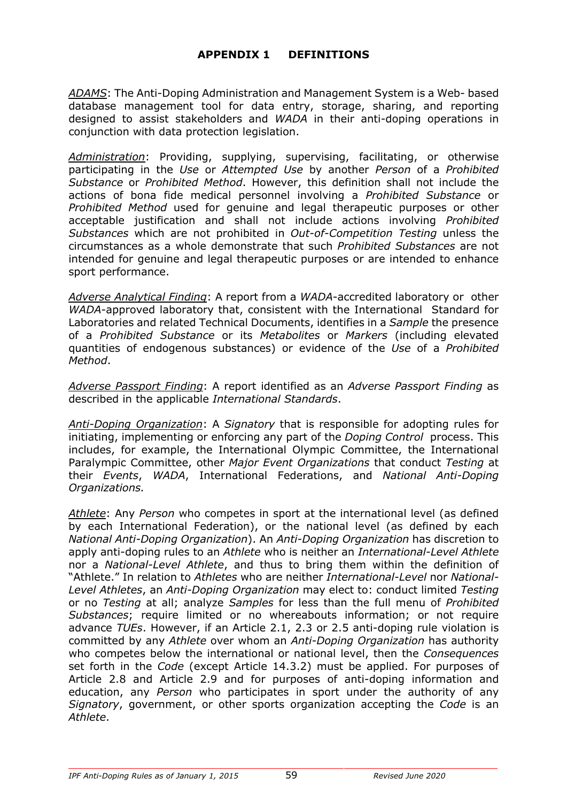*ADAMS*: The Anti-Doping Administration and Management System is a Web- based database management tool for data entry, storage, sharing, and reporting designed to assist stakeholders and *WADA* in their anti-doping operations in conjunction with data protection legislation.

*Administration*: Providing, supplying, supervising, facilitating, or otherwise participating in the *Use* or *Attempted Use* by another *Person* of a *Prohibited Substance* or *Prohibited Method*. However, this definition shall not include the actions of bona fide medical personnel involving a *Prohibited Substance* or *Prohibited Method* used for genuine and legal therapeutic purposes or other acceptable justification and shall not include actions involving *Prohibited Substances* which are not prohibited in *Out-of-Competition Testing* unless the circumstances as a whole demonstrate that such *Prohibited Substances* are not intended for genuine and legal therapeutic purposes or are intended to enhance sport performance.

*Adverse Analytical Finding*: A report from a *WADA*-accredited laboratory or other *WADA*-approved laboratory that, consistent with the International Standard for Laboratories and related Technical Documents, identifies in a *Sample* the presence of a *Prohibited Substance* or its *Metabolites* or *Markers* (including elevated quantities of endogenous substances) or evidence of the *Use* of a *Prohibited Method*.

*Adverse Passport Finding*: A report identified as an *Adverse Passport Finding* as described in the applicable *International Standards*.

*Anti-Doping Organization*: A *Signatory* that is responsible for adopting rules for initiating, implementing or enforcing any part of the *Doping Control* process. This includes, for example, the International Olympic Committee, the International Paralympic Committee, other *Major Event Organizations* that conduct *Testing* at their *Events*, *WADA*, International Federations, and *National Anti-Doping Organizations.*

*Athlete*: Any *Person* who competes in sport at the international level (as defined by each International Federation), or the national level (as defined by each *National Anti-Doping Organization*). An *Anti-Doping Organization* has discretion to apply anti-doping rules to an *Athlete* who is neither an *International-Level Athlete*  nor a *National-Level Athlete*, and thus to bring them within the definition of "Athlete." In relation to *Athletes* who are neither *International*-*Level* nor *National-Level Athletes*, an *Anti-Doping Organization* may elect to: conduct limited *Testing*  or no *Testing* at all; analyze *Samples* for less than the full menu of *Prohibited Substances*; require limited or no whereabouts information; or not require advance *TUEs*. However, if an Article 2.1, 2.3 or 2.5 anti-doping rule violation is committed by any *Athlete* over whom an *Anti-Doping Organization* has authority who competes below the international or national level, then the *Consequences*  set forth in the *Code* (except Article 14.3.2) must be applied. For purposes of Article 2.8 and Article 2.9 and for purposes of anti-doping information and education, any *Person* who participates in sport under the authority of any *Signatory*, government, or other sports organization accepting the *Code* is an *Athlete*.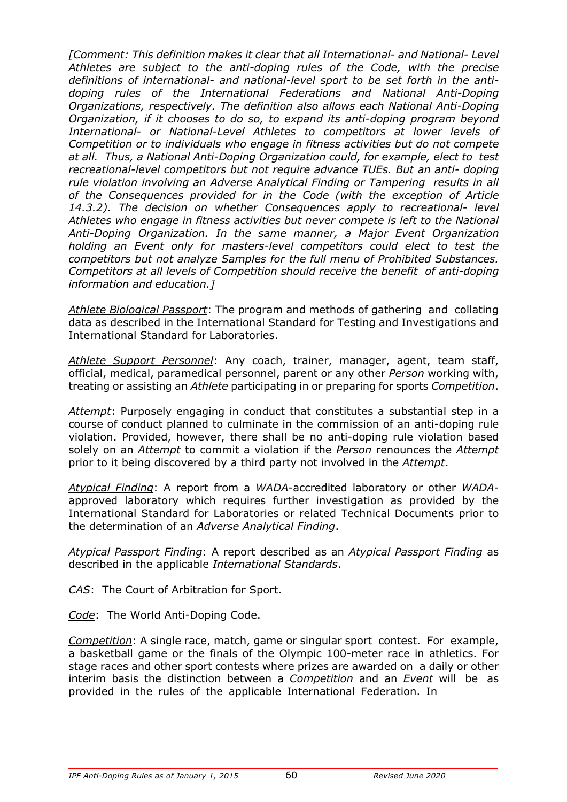*[Comment: This definition makes it clear that all International- and National- Level Athletes are subject to the anti-doping rules of the Code, with the precise definitions of international- and national-level sport to be set forth in the antidoping rules of the International Federations and National Anti-Doping Organizations, respectively. The definition also allows each National Anti-Doping Organization, if it chooses to do so, to expand its anti-doping program beyond International- or National-Level Athletes to competitors at lower levels of Competition or to individuals who engage in fitness activities but do not compete at all. Thus, a National Anti-Doping Organization could, for example, elect to test recreational-level competitors but not require advance TUEs. But an anti- doping rule violation involving an Adverse Analytical Finding or Tampering results in all of the Consequences provided for in the Code (with the exception of Article 14.3.2). The decision on whether Consequences apply to recreational- level Athletes who engage in fitness activities but never compete is left to the National Anti-Doping Organization. In the same manner, a Major Event Organization holding an Event only for masters-level competitors could elect to test the competitors but not analyze Samples for the full menu of Prohibited Substances. Competitors at all levels of Competition should receive the benefit of anti-doping information and education.]*

*Athlete Biological Passport*: The program and methods of gathering and collating data as described in the International Standard for Testing and Investigations and International Standard for Laboratories.

*Athlete Support Personnel*: Any coach, trainer, manager, agent, team staff, official, medical, paramedical personnel, parent or any other *Person* working with, treating or assisting an *Athlete* participating in or preparing for sports *Competition*.

*Attempt*: Purposely engaging in conduct that constitutes a substantial step in a course of conduct planned to culminate in the commission of an anti-doping rule violation. Provided, however, there shall be no anti-doping rule violation based solely on an *Attempt* to commit a violation if the *Person* renounces the *Attempt*  prior to it being discovered by a third party not involved in the *Attempt*.

*Atypical Finding*: A report from a *WADA*-accredited laboratory or other *WADA*approved laboratory which requires further investigation as provided by the International Standard for Laboratories or related Technical Documents prior to the determination of an *Adverse Analytical Finding*.

*Atypical Passport Finding*: A report described as an *Atypical Passport Finding* as described in the applicable *International Standards*.

*CAS*: The Court of Arbitration for Sport.

*Code*: The World Anti-Doping Code.

*Competition*: A single race, match, game or singular sport contest. For example, a basketball game or the finals of the Olympic 100-meter race in athletics. For stage races and other sport contests where prizes are awarded on a daily or other interim basis the distinction between a *Competition* and an *Event* will be as provided in the rules of the applicable International Federation. In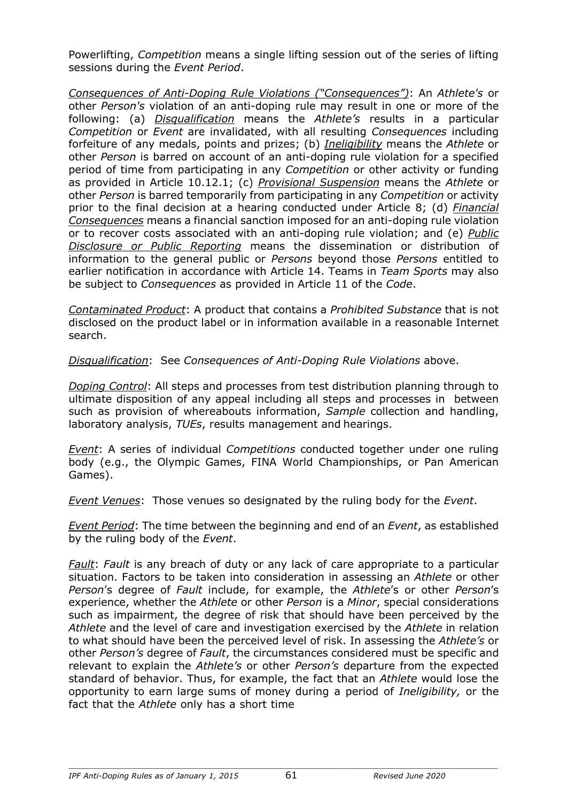Powerlifting, *Competition* means a single lifting session out of the series of lifting sessions during the *Event Period*.

*Consequences of Anti-Doping Rule Violations ("Consequences")*: An *Athlete's* or other *Person's* violation of an anti-doping rule may result in one or more of the following: (a) *Disqualification* means the *Athlete's* results in a particular *Competition* or *Event* are invalidated, with all resulting *Consequences* including forfeiture of any medals, points and prizes; (b) *Ineligibility* means the *Athlete* or other *Person* is barred on account of an anti-doping rule violation for a specified period of time from participating in any *Competition* or other activity or funding as provided in Article 10.12.1; (c) *Provisional Suspension* means the *Athlete* or other *Person* is barred temporarily from participating in any *Competition* or activity prior to the final decision at a hearing conducted under Article 8; (d) *Financial Consequences* means a financial sanction imposed for an anti-doping rule violation or to recover costs associated with an anti-doping rule violation; and (e) *Public Disclosure or Public Reporting* means the dissemination or distribution of information to the general public or *Persons* beyond those *Persons* entitled to earlier notification in accordance with Article 14. Teams in *Team Sports* may also be subject to *Consequences* as provided in Article 11 of the *Code*.

*Contaminated Product*: A product that contains a *Prohibited Substance* that is not disclosed on the product label or in information available in a reasonable Internet search.

*Disqualification*: See *Consequences of Anti-Doping Rule Violations* above.

*Doping Control*: All steps and processes from test distribution planning through to ultimate disposition of any appeal including all steps and processes in between such as provision of whereabouts information, *Sample* collection and handling, laboratory analysis, *TUEs*, results management and hearings.

*Event*: A series of individual *Competitions* conducted together under one ruling body (e.g., the Olympic Games, FINA World Championships, or Pan American Games).

*Event Venues*: Those venues so designated by the ruling body for the *Event*.

*Event Period*: The time between the beginning and end of an *Event*, as established by the ruling body of the *Event*.

*Fault*: *Fault* is any breach of duty or any lack of care appropriate to a particular situation. Factors to be taken into consideration in assessing an *Athlete* or other *Person*'s degree of *Fault* include, for example, the *Athlete*'s or other *Person*'s experience, whether the *Athlete* or other *Person* is a *Minor*, special considerations such as impairment, the degree of risk that should have been perceived by the *Athlete* and the level of care and investigation exercised by the *Athlete* in relation to what should have been the perceived level of risk. In assessing the *Athlete's* or other *Person's* degree of *Fault*, the circumstances considered must be specific and relevant to explain the *Athlete's* or other *Person's* departure from the expected standard of behavior. Thus, for example, the fact that an *Athlete* would lose the opportunity to earn large sums of money during a period of *Ineligibility,* or the fact that the *Athlete* only has a short time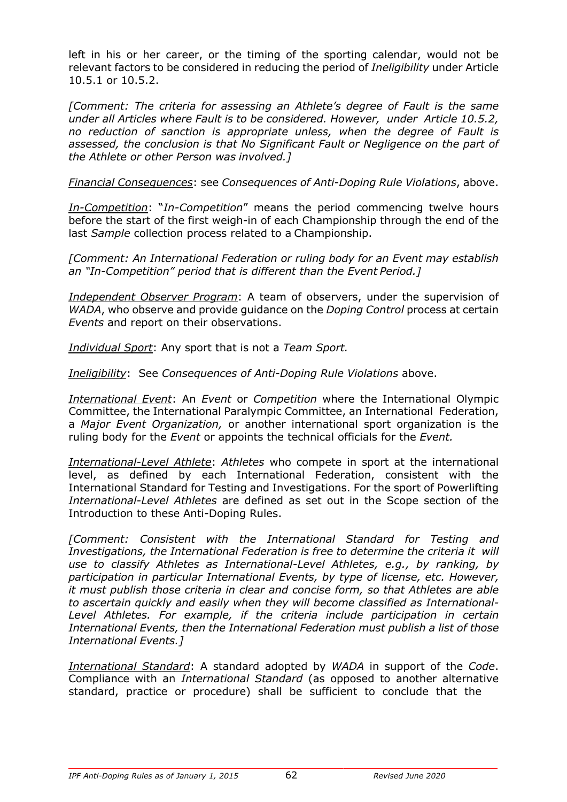left in his or her career, or the timing of the sporting calendar, would not be relevant factors to be considered in reducing the period of *Ineligibility* under Article 10.5.1 or 10.5.2.

*[Comment: The criteria for assessing an Athlete's degree of Fault is the same under all Articles where Fault is to be considered. However, under Article 10.5.2, no reduction of sanction is appropriate unless, when the degree of Fault is assessed, the conclusion is that No Significant Fault or Negligence on the part of the Athlete or other Person was involved.]*

*Financial Consequences*: see *Consequences of Anti-Doping Rule Violations*, above.

*In-Competition*: "*In-Competition*" means the period commencing twelve hours before the start of the first weigh-in of each Championship through the end of the last *Sample* collection process related to a Championship.

*[Comment: An International Federation or ruling body for an Event may establish an "In-Competition" period that is different than the Event Period.]*

*Independent Observer Program*: A team of observers, under the supervision of *WADA*, who observe and provide guidance on the *Doping Control* process at certain *Events* and report on their observations.

*Individual Sport*: Any sport that is not a *Team Sport.*

*Ineligibility*: See *Consequences of Anti-Doping Rule Violations* above.

*International Event*: An *Event* or *Competition* where the International Olympic Committee, the International Paralympic Committee, an International Federation, a *Major Event Organization,* or another international sport organization is the ruling body for the *Event* or appoints the technical officials for the *Event.*

*International-Level Athlete*: *Athletes* who compete in sport at the international level, as defined by each International Federation, consistent with the International Standard for Testing and Investigations. For the sport of Powerlifting *International-Level Athletes* are defined as set out in the Scope section of the Introduction to these Anti-Doping Rules.

*[Comment: Consistent with the International Standard for Testing and Investigations, the International Federation is free to determine the criteria it will use to classify Athletes as International-Level Athletes, e.g., by ranking, by participation in particular International Events, by type of license, etc. However, it must publish those criteria in clear and concise form, so that Athletes are able to ascertain quickly and easily when they will become classified as International-*Level Athletes. For example, if the criteria include participation in certain *International Events, then the International Federation must publish a list of those International Events.]*

*International Standard*: A standard adopted by *WADA* in support of the *Code*. Compliance with an *International Standard* (as opposed to another alternative standard, practice or procedure) shall be sufficient to conclude that the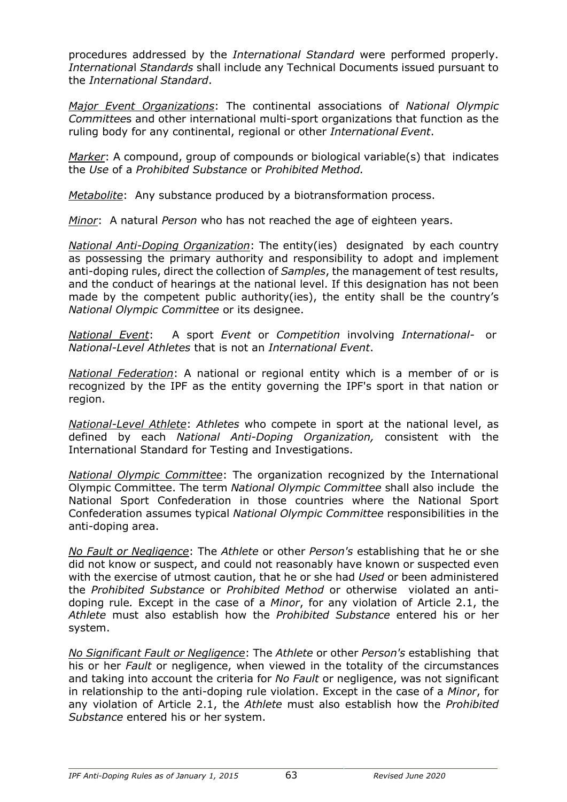procedures addressed by the *International Standard* were performed properly. *Internationa*l *Standards* shall include any Technical Documents issued pursuant to the *International Standard*.

*Major Event Organizations*: The continental associations of *National Olympic Committee*s and other international multi-sport organizations that function as the ruling body for any continental, regional or other *International Event*.

*Marker*: A compound, group of compounds or biological variable(s) that indicates the *Use* of a *Prohibited Substance* or *Prohibited Method.*

*Metabolite*: Any substance produced by a biotransformation process.

*Minor*: A natural *Person* who has not reached the age of eighteen years.

*National Anti-Doping Organization*: The entity(ies) designated by each country as possessing the primary authority and responsibility to adopt and implement anti-doping rules, direct the collection of *Samples*, the management of test results, and the conduct of hearings at the national level. If this designation has not been made by the competent public authority(ies), the entity shall be the country's *National Olympic Committee* or its designee.

*National Event*: A sport *Event* or *Competition* involving *International-* or *National-Level Athletes* that is not an *International Event*.

*National Federation*: A national or regional entity which is a member of or is recognized by the IPF as the entity governing the IPF's sport in that nation or region.

*National-Level Athlete*: *Athletes* who compete in sport at the national level, as defined by each *National Anti-Doping Organization,* consistent with the International Standard for Testing and Investigations.

*National Olympic Committee*: The organization recognized by the International Olympic Committee. The term *National Olympic Committee* shall also include the National Sport Confederation in those countries where the National Sport Confederation assumes typical *National Olympic Committee* responsibilities in the anti-doping area.

*No Fault or Negligence*: The *Athlete* or other *Person's* establishing that he or she did not know or suspect, and could not reasonably have known or suspected even with the exercise of utmost caution, that he or she had *Used* or been administered the *Prohibited Substance* or *Prohibited Method* or otherwise violated an antidoping rule*.* Except in the case of a *Minor*, for any violation of Article 2.1, the *Athlete* must also establish how the *Prohibited Substance* entered his or her system.

*No Significant Fault or Negligence*: The *Athlete* or other *Person's* establishing that his or her *Fault* or negligence, when viewed in the totality of the circumstances and taking into account the criteria for *No Fault* or negligence, was not significant in relationship to the anti-doping rule violation. Except in the case of a *Minor*, for any violation of Article 2.1, the *Athlete* must also establish how the *Prohibited Substance* entered his or her system.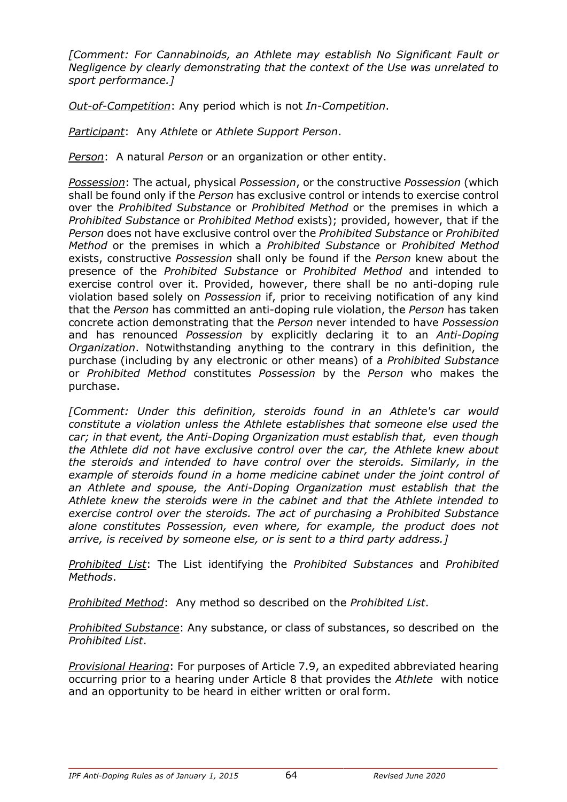*[Comment: For Cannabinoids, an Athlete may establish No Significant Fault or Negligence by clearly demonstrating that the context of the Use was unrelated to sport performance.]*

*Out-of-Competition*: Any period which is not *In-Competition*.

*Participant*: Any *Athlete* or *Athlete Support Person*.

*Person*: A natural *Person* or an organization or other entity.

*Possession*: The actual, physical *Possession*, or the constructive *Possession* (which shall be found only if the *Person* has exclusive control or intends to exercise control over the *Prohibited Substance* or *Prohibited Method* or the premises in which a *Prohibited Substance* or *Prohibited Method* exists); provided, however, that if the *Person* does not have exclusive control over the *Prohibited Substance* or *Prohibited Method* or the premises in which a *Prohibited Substance* or *Prohibited Method*  exists, constructive *Possession* shall only be found if the *Person* knew about the presence of the *Prohibited Substance* or *Prohibited Method* and intended to exercise control over it. Provided, however, there shall be no anti-doping rule violation based solely on *Possession* if, prior to receiving notification of any kind that the *Person* has committed an anti-doping rule violation, the *Person* has taken concrete action demonstrating that the *Person* never intended to have *Possession*  and has renounced *Possession* by explicitly declaring it to an *Anti-Doping Organization*. Notwithstanding anything to the contrary in this definition, the purchase (including by any electronic or other means) of a *Prohibited Substance*  or *Prohibited Method* constitutes *Possession* by the *Person* who makes the purchase.

*[Comment: Under this definition, steroids found in an Athlete's car would constitute a violation unless the Athlete establishes that someone else used the car; in that event, the Anti-Doping Organization must establish that, even though the Athlete did not have exclusive control over the car, the Athlete knew about the steroids and intended to have control over the steroids. Similarly, in the example of steroids found in a home medicine cabinet under the joint control of an Athlete and spouse, the Anti-Doping Organization must establish that the Athlete knew the steroids were in the cabinet and that the Athlete intended to exercise control over the steroids. The act of purchasing a Prohibited Substance alone constitutes Possession, even where, for example, the product does not arrive, is received by someone else, or is sent to a third party address.]*

*Prohibited List*: The List identifying the *Prohibited Substances* and *Prohibited Methods*.

*Prohibited Method*: Any method so described on the *Prohibited List*.

*Prohibited Substance*: Any substance, or class of substances, so described on the *Prohibited List*.

*Provisional Hearing*: For purposes of Article 7.9, an expedited abbreviated hearing occurring prior to a hearing under Article 8 that provides the *Athlete* with notice and an opportunity to be heard in either written or oral form.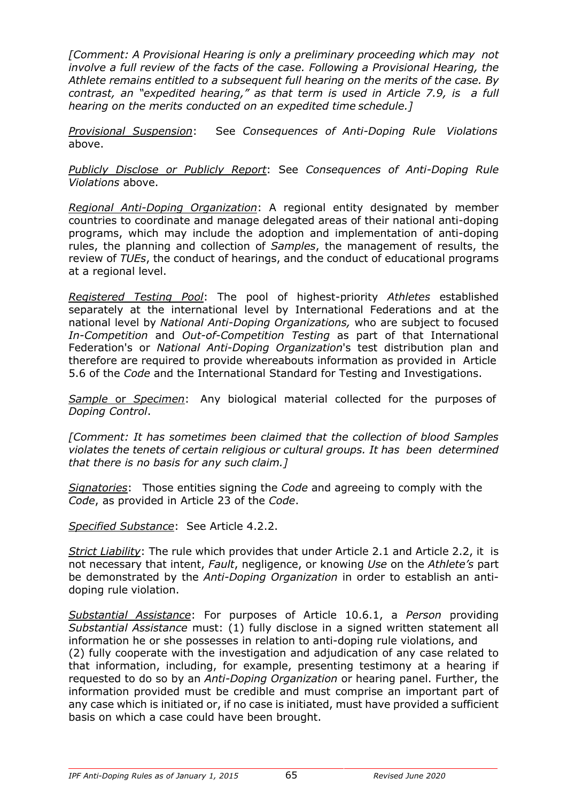*[Comment: A Provisional Hearing is only a preliminary proceeding which may not involve a full review of the facts of the case. Following a Provisional Hearing, the Athlete remains entitled to a subsequent full hearing on the merits of the case. By contrast, an "expedited hearing," as that term is used in Article 7.9, is a full hearing on the merits conducted on an expedited time schedule.]*

*Provisional Suspension*: See *Consequences of Anti-Doping Rule Violations* above.

*Publicly Disclose or Publicly Report*: See *Consequences of Anti-Doping Rule Violations* above.

*Regional Anti-Doping Organization*: A regional entity designated by member countries to coordinate and manage delegated areas of their national anti-doping programs, which may include the adoption and implementation of anti-doping rules, the planning and collection of *Samples*, the management of results, the review of *TUEs*, the conduct of hearings, and the conduct of educational programs at a regional level.

*Registered Testing Pool*: The pool of highest-priority *Athletes* established separately at the international level by International Federations and at the national level by *National Anti-Doping Organizations,* who are subject to focused *In-Competition* and *Out-of-Competition Testing* as part of that International Federation's or *National Anti-Doping Organization*'s test distribution plan and therefore are required to provide whereabouts information as provided in Article 5.6 of the *Code* and the International Standard for Testing and Investigations.

*Sample* or *Specimen*: Any biological material collected for the purposes of *Doping Control*.

*[Comment: It has sometimes been claimed that the collection of blood Samples violates the tenets of certain religious or cultural groups. It has been determined that there is no basis for any such claim.]*

*Signatories*: Those entities signing the *Code* and agreeing to comply with the *Code*, as provided in Article 23 of the *Code*.

*Specified Substance*: See Article 4.2.2.

*Strict Liability*: The rule which provides that under Article 2.1 and Article 2.2, it is not necessary that intent, *Fault*, negligence, or knowing *Use* on the *Athlete's* part be demonstrated by the *Anti-Doping Organization* in order to establish an antidoping rule violation.

*Substantial Assistance*: For purposes of Article 10.6.1, a *Person* providing *Substantial Assistance* must: (1) fully disclose in a signed written statement all information he or she possesses in relation to anti-doping rule violations, and (2) fully cooperate with the investigation and adjudication of any case related to that information, including, for example, presenting testimony at a hearing if requested to do so by an *Anti-Doping Organization* or hearing panel. Further, the information provided must be credible and must comprise an important part of any case which is initiated or, if no case is initiated, must have provided a sufficient basis on which a case could have been brought.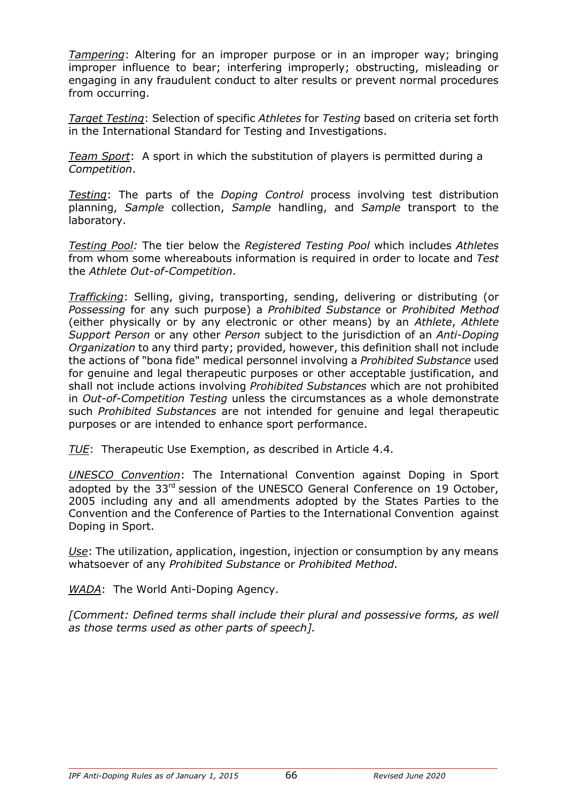*Tampering*: Altering for an improper purpose or in an improper way; bringing improper influence to bear; interfering improperly; obstructing, misleading or engaging in any fraudulent conduct to alter results or prevent normal procedures from occurring.

*Target Testing*: Selection of specific *Athletes* for *Testing* based on criteria set forth in the International Standard for Testing and Investigations.

*Team Sport*: A sport in which the substitution of players is permitted during a *Competition*.

*Testing*: The parts of the *Doping Control* process involving test distribution planning, *Sample* collection, *Sample* handling, and *Sample* transport to the laboratory.

*Testing Pool:* The tier below the *Registered Testing Pool* which includes *Athletes* from whom some whereabouts information is required in order to locate and *Test* the *Athlete Out-of-Competition*.

*Trafficking*: Selling, giving, transporting, sending, delivering or distributing (or *Possessing* for any such purpose) a *Prohibited Substance* or *Prohibited Method*  (either physically or by any electronic or other means) by an *Athlete*, *Athlete Support Person* or any other *Person* subject to the jurisdiction of an *Anti-Doping Organization* to any third party; provided, however, this definition shall not include the actions of "bona fide" medical personnel involving a *Prohibited Substance* used for genuine and legal therapeutic purposes or other acceptable justification, and shall not include actions involving *Prohibited Substances* which are not prohibited in *Out-of-Competition Testing* unless the circumstances as a whole demonstrate such *Prohibited Substances* are not intended for genuine and legal therapeutic purposes or are intended to enhance sport performance.

*TUE*: Therapeutic Use Exemption, as described in Article 4.4.

*UNESCO Convention*: The International Convention against Doping in Sport adopted by the 33<sup>rd</sup> session of the UNESCO General Conference on 19 October, 2005 including any and all amendments adopted by the States Parties to the Convention and the Conference of Parties to the International Convention against Doping in Sport.

*Use*: The utilization, application, ingestion, injection or consumption by any means whatsoever of any *Prohibited Substance* or *Prohibited Method*.

*WADA*: The World Anti-Doping Agency.

*[Comment: Defined terms shall include their plural and possessive forms, as well as those terms used as other parts of speech].*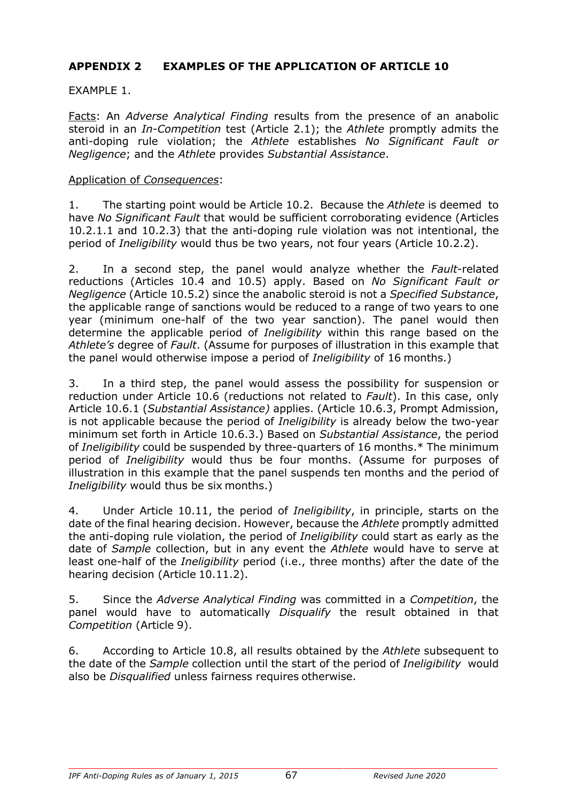## **APPENDIX 2 EXAMPLES OF THE APPLICATION OF ARTICLE 10**

#### EXAMPLE 1.

Facts: An *Adverse Analytical Finding* results from the presence of an anabolic steroid in an *In-Competition* test (Article 2.1); the *Athlete* promptly admits the anti-doping rule violation; the *Athlete* establishes *No Significant Fault or Negligence*; and the *Athlete* provides *Substantial Assistance*.

#### Application of *Consequences*:

1. The starting point would be Article 10.2. Because the *Athlete* is deemed to have *No Significant Fault* that would be sufficient corroborating evidence (Articles 10.2.1.1 and 10.2.3) that the anti-doping rule violation was not intentional, the period of *Ineligibility* would thus be two years, not four years (Article 10.2.2).

2. In a second step, the panel would analyze whether the *Fault*-related reductions (Articles 10.4 and 10.5) apply. Based on *No Significant Fault or Negligence* (Article 10.5.2) since the anabolic steroid is not a *Specified Substance*, the applicable range of sanctions would be reduced to a range of two years to one year (minimum one-half of the two year sanction). The panel would then determine the applicable period of *Ineligibility* within this range based on the *Athlete's* degree of *Fault*. (Assume for purposes of illustration in this example that the panel would otherwise impose a period of *Ineligibility* of 16 months.)

3. In a third step, the panel would assess the possibility for suspension or reduction under Article 10.6 (reductions not related to *Fault*). In this case, only Article 10.6.1 (*Substantial Assistance)* applies. (Article 10.6.3, Prompt Admission, is not applicable because the period of *Ineligibility* is already below the two-year minimum set forth in Article 10.6.3.) Based on *Substantial Assistance*, the period of *Ineligibility* could be suspended by three-quarters of 16 months.\* The minimum period of *Ineligibility* would thus be four months. (Assume for purposes of illustration in this example that the panel suspends ten months and the period of *Ineligibility* would thus be six months.)

4. Under Article 10.11, the period of *Ineligibility*, in principle, starts on the date of the final hearing decision. However, because the *Athlete* promptly admitted the anti-doping rule violation, the period of *Ineligibility* could start as early as the date of *Sample* collection, but in any event the *Athlete* would have to serve at least one-half of the *Ineligibility* period (i.e., three months) after the date of the hearing decision (Article 10.11.2).

5. Since the *Adverse Analytical Finding* was committed in a *Competition*, the panel would have to automatically *Disqualify* the result obtained in that *Competition* (Article 9).

6. According to Article 10.8, all results obtained by the *Athlete* subsequent to the date of the *Sample* collection until the start of the period of *Ineligibility* would also be *Disqualified* unless fairness requires otherwise.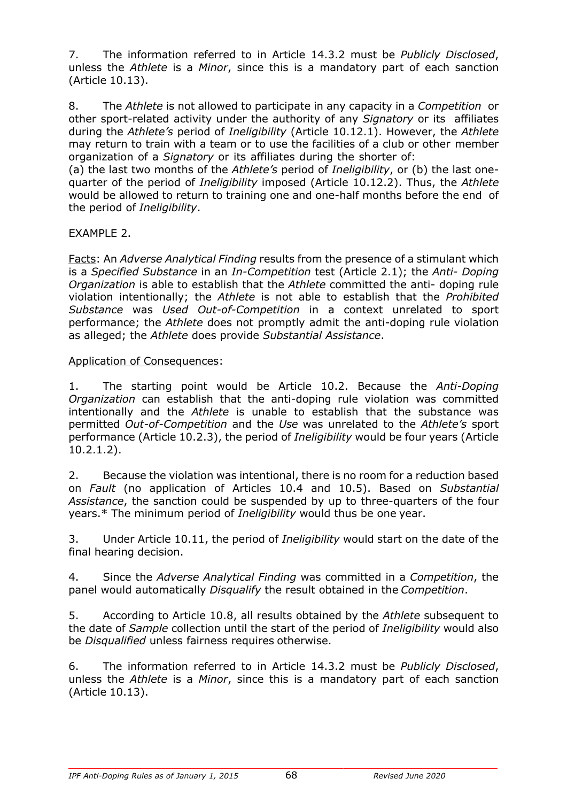7. The information referred to in Article 14.3.2 must be *Publicly Disclosed*, unless the *Athlete* is a *Minor*, since this is a mandatory part of each sanction (Article 10.13).

8. The *Athlete* is not allowed to participate in any capacity in a *Competition* or other sport-related activity under the authority of any *Signatory* or its affiliates during the *Athlete's* period of *Ineligibility* (Article 10.12.1). However, the *Athlete*  may return to train with a team or to use the facilities of a club or other member organization of a *Signatory* or its affiliates during the shorter of:

(a) the last two months of the *Athlete's* period of *Ineligibility*, or (b) the last onequarter of the period of *Ineligibility* imposed (Article 10.12.2). Thus, the *Athlete*  would be allowed to return to training one and one-half months before the end of the period of *Ineligibility*.

# EXAMPLE 2.

Facts: An *Adverse Analytical Finding* results from the presence of a stimulant which is a *Specified Substance* in an *In-Competition* test (Article 2.1); the *Anti- Doping Organization* is able to establish that the *Athlete* committed the anti- doping rule violation intentionally; the *Athlete* is not able to establish that the *Prohibited Substance* was *Used Out-of-Competition* in a context unrelated to sport performance; the *Athlete* does not promptly admit the anti-doping rule violation as alleged; the *Athlete* does provide *Substantial Assistance*.

#### Application of Consequences:

1. The starting point would be Article 10.2. Because the *Anti-Doping Organization* can establish that the anti-doping rule violation was committed intentionally and the *Athlete* is unable to establish that the substance was permitted *Out-of-Competition* and the *Use* was unrelated to the *Athlete's* sport performance (Article 10.2.3), the period of *Ineligibility* would be four years (Article 10.2.1.2).

2. Because the violation was intentional, there is no room for a reduction based on *Fault* (no application of Articles 10.4 and 10.5). Based on *Substantial Assistance*, the sanction could be suspended by up to three-quarters of the four years.\* The minimum period of *Ineligibility* would thus be one year.

3. Under Article 10.11, the period of *Ineligibility* would start on the date of the final hearing decision.

4. Since the *Adverse Analytical Finding* was committed in a *Competition*, the panel would automatically *Disqualify* the result obtained in the *Competition*.

5. According to Article 10.8, all results obtained by the *Athlete* subsequent to the date of *Sample* collection until the start of the period of *Ineligibility* would also be *Disqualified* unless fairness requires otherwise.

6. The information referred to in Article 14.3.2 must be *Publicly Disclosed*, unless the *Athlete* is a *Minor*, since this is a mandatory part of each sanction (Article 10.13).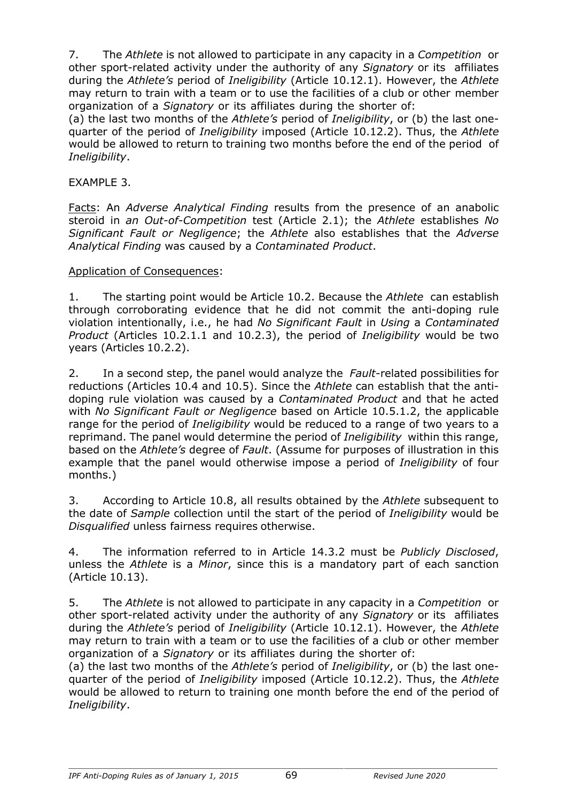7. The *Athlete* is not allowed to participate in any capacity in a *Competition* or other sport-related activity under the authority of any *Signatory* or its affiliates during the *Athlete's* period of *Ineligibility* (Article 10.12.1). However, the *Athlete*  may return to train with a team or to use the facilities of a club or other member organization of a *Signatory* or its affiliates during the shorter of:

(a) the last two months of the *Athlete's* period of *Ineligibility*, or (b) the last onequarter of the period of *Ineligibility* imposed (Article 10.12.2). Thus, the *Athlete*  would be allowed to return to training two months before the end of the period of *Ineligibility*.

#### EXAMPLE 3.

Facts: An *Adverse Analytical Finding* results from the presence of an anabolic steroid in *an Out-of-Competition* test (Article 2.1); the *Athlete* establishes *No Significant Fault or Negligence*; the *Athlete* also establishes that the *Adverse Analytical Finding* was caused by a *Contaminated Product*.

#### Application of Consequences:

1. The starting point would be Article 10.2. Because the *Athlete* can establish through corroborating evidence that he did not commit the anti-doping rule violation intentionally, i.e., he had *No Significant Fault* in *Using* a *Contaminated Product* (Articles 10.2.1.1 and 10.2.3), the period of *Ineligibility* would be two years (Articles 10.2.2).

2. In a second step, the panel would analyze the *Fault*-related possibilities for reductions (Articles 10.4 and 10.5). Since the *Athlete* can establish that the antidoping rule violation was caused by a *Contaminated Product* and that he acted with *No Significant Fault or Negligence* based on Article 10.5.1.2, the applicable range for the period of *Ineligibility* would be reduced to a range of two years to a reprimand. The panel would determine the period of *Ineligibility* within this range, based on the *Athlete's* degree of *Fault*. (Assume for purposes of illustration in this example that the panel would otherwise impose a period of *Ineligibility* of four months.)

3. According to Article 10.8, all results obtained by the *Athlete* subsequent to the date of *Sample* collection until the start of the period of *Ineligibility* would be *Disqualified* unless fairness requires otherwise.

4. The information referred to in Article 14.3.2 must be *Publicly Disclosed*, unless the *Athlete* is a *Minor*, since this is a mandatory part of each sanction (Article 10.13).

5. The *Athlete* is not allowed to participate in any capacity in a *Competition* or other sport-related activity under the authority of any *Signatory* or its affiliates during the *Athlete's* period of *Ineligibility* (Article 10.12.1). However, the *Athlete*  may return to train with a team or to use the facilities of a club or other member organization of a *Signatory* or its affiliates during the shorter of:

(a) the last two months of the *Athlete's* period of *Ineligibility*, or (b) the last onequarter of the period of *Ineligibility* imposed (Article 10.12.2). Thus, the *Athlete*  would be allowed to return to training one month before the end of the period of *Ineligibility*.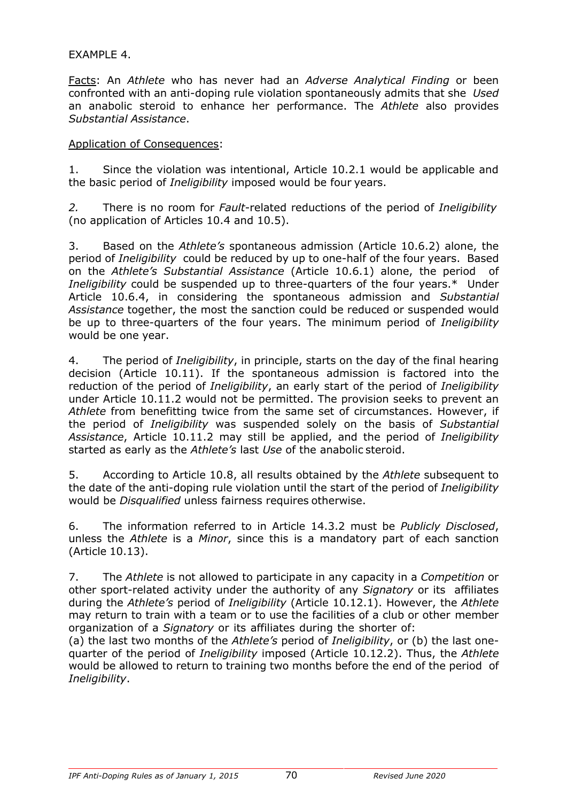#### EXAMPLE 4.

Facts: An *Athlete* who has never had an *Adverse Analytical Finding* or been confronted with an anti-doping rule violation spontaneously admits that she *Used*  an anabolic steroid to enhance her performance. The *Athlete* also provides *Substantial Assistance*.

#### Application of Consequences:

1. Since the violation was intentional, Article 10.2.1 would be applicable and the basic period of *Ineligibility* imposed would be four years.

*2.* There is no room for *Fault*-related reductions of the period of *Ineligibility* (no application of Articles 10.4 and 10.5).

3. Based on the *Athlete's* spontaneous admission (Article 10.6.2) alone, the period of *Ineligibility* could be reduced by up to one-half of the four years. Based on the *Athlete's Substantial Assistance* (Article 10.6.1) alone, the period of *Ineligibility* could be suspended up to three-quarters of the four years.\* Under Article 10.6.4, in considering the spontaneous admission and *Substantial Assistance* together, the most the sanction could be reduced or suspended would be up to three-quarters of the four years. The minimum period of *Ineligibility*  would be one year.

4. The period of *Ineligibility*, in principle, starts on the day of the final hearing decision (Article 10.11). If the spontaneous admission is factored into the reduction of the period of *Ineligibility*, an early start of the period of *Ineligibility*  under Article 10.11.2 would not be permitted. The provision seeks to prevent an *Athlete* from benefitting twice from the same set of circumstances. However, if the period of *Ineligibility* was suspended solely on the basis of *Substantial Assistance*, Article 10.11.2 may still be applied, and the period of *Ineligibility*  started as early as the *Athlete's* last *Use* of the anabolic steroid.

5. According to Article 10.8, all results obtained by the *Athlete* subsequent to the date of the anti-doping rule violation until the start of the period of *Ineligibility*  would be *Disqualified* unless fairness requires otherwise.

6. The information referred to in Article 14.3.2 must be *Publicly Disclosed*, unless the *Athlete* is a *Minor*, since this is a mandatory part of each sanction (Article 10.13).

7. The *Athlete* is not allowed to participate in any capacity in a *Competition* or other sport-related activity under the authority of any *Signatory* or its affiliates during the *Athlete's* period of *Ineligibility* (Article 10.12.1). However, the *Athlete*  may return to train with a team or to use the facilities of a club or other member organization of a *Signatory* or its affiliates during the shorter of:

(a) the last two months of the *Athlete's* period of *Ineligibility*, or (b) the last onequarter of the period of *Ineligibility* imposed (Article 10.12.2). Thus, the *Athlete*  would be allowed to return to training two months before the end of the period of *Ineligibility*.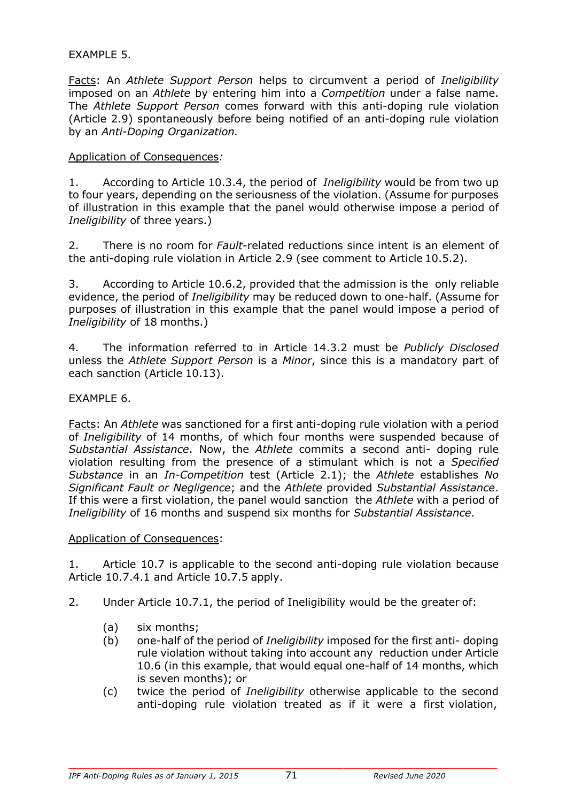#### EXAMPLE 5.

Facts: An *Athlete Support Person* helps to circumvent a period of *Ineligibility*  imposed on an *Athlete* by entering him into a *Competition* under a false name. The *Athlete Support Person* comes forward with this anti-doping rule violation (Article 2.9) spontaneously before being notified of an anti-doping rule violation by an *Anti-Doping Organization.*

#### Application of Consequences*:*

1. According to Article 10.3.4, the period of *Ineligibility* would be from two up to four years, depending on the seriousness of the violation. (Assume for purposes of illustration in this example that the panel would otherwise impose a period of *Ineligibility* of three years.)

2. There is no room for *Fault*-related reductions since intent is an element of the anti-doping rule violation in Article 2.9 (see comment to Article 10.5.2).

3. According to Article 10.6.2, provided that the admission is the only reliable evidence, the period of *Ineligibility* may be reduced down to one-half. (Assume for purposes of illustration in this example that the panel would impose a period of *Ineligibility* of 18 months.)

4. The information referred to in Article 14.3.2 must be *Publicly Disclosed*  unless the *Athlete Support Person* is a *Minor*, since this is a mandatory part of each sanction (Article 10.13).

#### EXAMPLE 6.

Facts: An *Athlete* was sanctioned for a first anti-doping rule violation with a period of *Ineligibility* of 14 months, of which four months were suspended because of *Substantial Assistance*. Now, the *Athlete* commits a second anti- doping rule violation resulting from the presence of a stimulant which is not a *Specified Substance* in an *In-Competition* test (Article 2.1); the *Athlete* establishes *No Significant Fault or Negligence*; and the *Athlete* provided *Substantial Assistance*. If this were a first violation, the panel would sanction the *Athlete* with a period of *Ineligibility* of 16 months and suspend six months for *Substantial Assistance*.

#### Application of Consequences:

1. Article 10.7 is applicable to the second anti-doping rule violation because Article 10.7.4.1 and Article 10.7.5 apply.

2. Under Article 10.7.1, the period of Ineligibility would be the greater of:

- (a) six months;
- (b) one-half of the period of *Ineligibility* imposed for the first anti- doping rule violation without taking into account any reduction under Article 10.6 (in this example, that would equal one-half of 14 months, which is seven months); or
- (c) twice the period of *Ineligibility* otherwise applicable to the second anti-doping rule violation treated as if it were a first violation,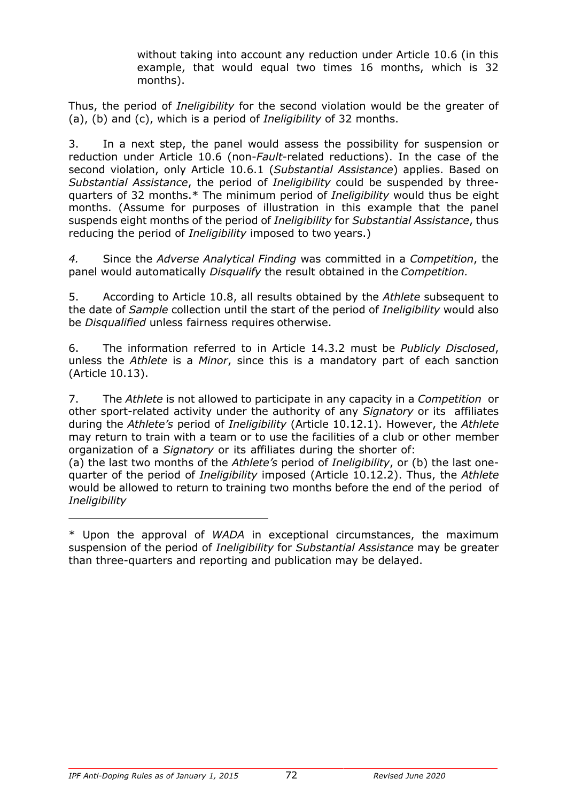without taking into account any reduction under Article 10.6 (in this example, that would equal two times 16 months, which is 32 months).

Thus, the period of *Ineligibility* for the second violation would be the greater of (a), (b) and (c), which is a period of *Ineligibility* of 32 months.

3. In a next step, the panel would assess the possibility for suspension or reduction under Article 10.6 (non-*Fault*-related reductions). In the case of the second violation, only Article 10.6.1 (*Substantial Assistance*) applies. Based on *Substantial Assistance*, the period of *Ineligibility* could be suspended by threequarters of 32 months.\* The minimum period of *Ineligibility* would thus be eight months. (Assume for purposes of illustration in this example that the panel suspends eight months of the period of *Ineligibility* for *Substantial Assistance*, thus reducing the period of *Ineligibility* imposed to two years.)

*4.* Since the *Adverse Analytical Finding* was committed in a *Competition*, the panel would automatically *Disqualify* the result obtained in the *Competition.*

5. According to Article 10.8, all results obtained by the *Athlete* subsequent to the date of *Sample* collection until the start of the period of *Ineligibility* would also be *Disqualified* unless fairness requires otherwise.

6. The information referred to in Article 14.3.2 must be *Publicly Disclosed*, unless the *Athlete* is a *Minor*, since this is a mandatory part of each sanction (Article 10.13).

7. The *Athlete* is not allowed to participate in any capacity in a *Competition* or other sport-related activity under the authority of any *Signatory* or its affiliates during the *Athlete's* period of *Ineligibility* (Article 10.12.1). However, the *Athlete*  may return to train with a team or to use the facilities of a club or other member organization of a *Signatory* or its affiliates during the shorter of:

(a) the last two months of the *Athlete's* period of *Ineligibility*, or (b) the last onequarter of the period of *Ineligibility* imposed (Article 10.12.2). Thus, the *Athlete*  would be allowed to return to training two months before the end of the period of *Ineligibility*

<sup>\*</sup> Upon the approval of *WADA* in exceptional circumstances, the maximum suspension of the period of *Ineligibility* for *Substantial Assistance* may be greater than three-quarters and reporting and publication may be delayed.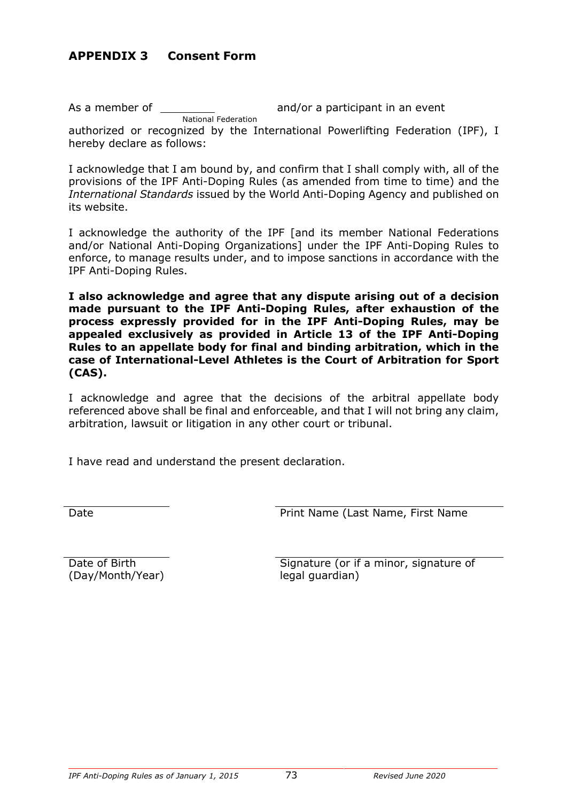# **APPENDIX 3 Consent Form**

As a member of and/or a participant in an event National Federation authorized or recognized by the International Powerlifting Federation (IPF), I hereby declare as follows:

I acknowledge that I am bound by, and confirm that I shall comply with, all of the provisions of the IPF Anti-Doping Rules (as amended from time to time) and the *International Standards* issued by the World Anti-Doping Agency and published on its website.

I acknowledge the authority of the IPF [and its member National Federations and/or National Anti-Doping Organizations] under the IPF Anti-Doping Rules to enforce, to manage results under, and to impose sanctions in accordance with the IPF Anti-Doping Rules.

**I also acknowledge and agree that any dispute arising out of a decision made pursuant to the IPF Anti-Doping Rules, after exhaustion of the process expressly provided for in the IPF Anti-Doping Rules, may be appealed exclusively as provided in Article 13 of the IPF Anti-Doping Rules to an appellate body for final and binding arbitration, which in the case of International-Level Athletes is the Court of Arbitration for Sport (CAS).**

I acknowledge and agree that the decisions of the arbitral appellate body referenced above shall be final and enforceable, and that I will not bring any claim, arbitration, lawsuit or litigation in any other court or tribunal.

I have read and understand the present declaration.

Date **Date** Print Name (Last Name, First Name

(Day/Month/Year) legal guardian)

Date of Birth Signature (or if a minor, signature of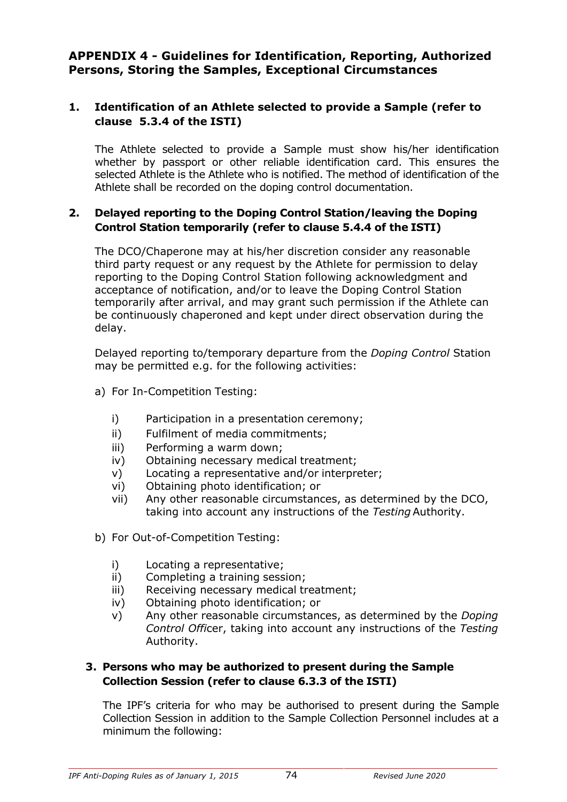## **APPENDIX 4 - Guidelines for Identification, Reporting, Authorized Persons, Storing the Samples, Exceptional Circumstances**

## **1. Identification of an Athlete selected to provide a Sample (refer to clause 5.3.4 of the ISTI)**

The Athlete selected to provide a Sample must show his/her identification whether by passport or other reliable identification card. This ensures the selected Athlete is the Athlete who is notified. The method of identification of the Athlete shall be recorded on the doping control documentation.

#### **2. Delayed reporting to the Doping Control Station/leaving the Doping Control Station temporarily (refer to clause 5.4.4 of the ISTI)**

The DCO/Chaperone may at his/her discretion consider any reasonable third party request or any request by the Athlete for permission to delay reporting to the Doping Control Station following acknowledgment and acceptance of notification, and/or to leave the Doping Control Station temporarily after arrival, and may grant such permission if the Athlete can be continuously chaperoned and kept under direct observation during the delay.

Delayed reporting to/temporary departure from the *Doping Control* Station may be permitted e.g. for the following activities:

- a) For In-Competition Testing:
	- i) Participation in a presentation ceremony;
	- ii) Fulfilment of media commitments;
	- iii) Performing a warm down;
	- iv) Obtaining necessary medical treatment;
	- v) Locating a representative and/or interpreter;
	- vi) Obtaining photo identification; or
	- vii) Any other reasonable circumstances, as determined by the DCO, taking into account any instructions of the *Testing* Authority.
- b) For Out-of-Competition Testing:
	- i) Locating a representative;
	- ii) Completing a training session;
	- iii) Receiving necessary medical treatment;
	- iv) Obtaining photo identification; or
	- v) Any other reasonable circumstances, as determined by the *Doping Control Offi*cer, taking into account any instructions of the *Testing*  Authority.

#### **3. Persons who may be authorized to present during the Sample Collection Session (refer to clause 6.3.3 of the ISTI)**

The IPF's criteria for who may be authorised to present during the Sample Collection Session in addition to the Sample Collection Personnel includes at a minimum the following: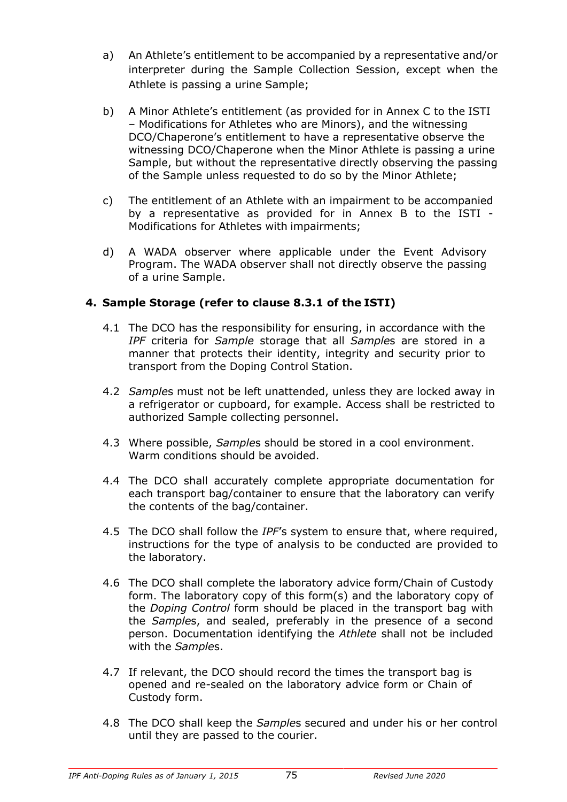- a) An Athlete's entitlement to be accompanied by a representative and/or interpreter during the Sample Collection Session, except when the Athlete is passing a urine Sample;
- b) A Minor Athlete's entitlement (as provided for in Annex C to the ISTI – Modifications for Athletes who are Minors), and the witnessing DCO/Chaperone's entitlement to have a representative observe the witnessing DCO/Chaperone when the Minor Athlete is passing a urine Sample, but without the representative directly observing the passing of the Sample unless requested to do so by the Minor Athlete;
- c) The entitlement of an Athlete with an impairment to be accompanied by a representative as provided for in Annex B to the ISTI - Modifications for Athletes with impairments;
- d) A WADA observer where applicable under the Event Advisory Program. The WADA observer shall not directly observe the passing of a urine Sample.

#### **4. Sample Storage (refer to clause 8.3.1 of the ISTI)**

- 4.1 The DCO has the responsibility for ensuring, in accordance with the *IPF* criteria for *Sample* storage that all *Sample*s are stored in a manner that protects their identity, integrity and security prior to transport from the Doping Control Station.
- 4.2 *Sample*s must not be left unattended, unless they are locked away in a refrigerator or cupboard, for example. Access shall be restricted to authorized Sample collecting personnel.
- 4.3 Where possible, *Sample*s should be stored in a cool environment. Warm conditions should be avoided.
- 4.4 The DCO shall accurately complete appropriate documentation for each transport bag/container to ensure that the laboratory can verify the contents of the bag/container.
- 4.5 The DCO shall follow the *IPF*'s system to ensure that, where required, instructions for the type of analysis to be conducted are provided to the laboratory.
- 4.6 The DCO shall complete the laboratory advice form/Chain of Custody form. The laboratory copy of this form(s) and the laboratory copy of the *Doping Control* form should be placed in the transport bag with the *Sample*s, and sealed, preferably in the presence of a second person. Documentation identifying the *Athlete* shall not be included with the *Sample*s.
- 4.7 If relevant, the DCO should record the times the transport bag is opened and re-sealed on the laboratory advice form or Chain of Custody form.
- 4.8 The DCO shall keep the *Sample*s secured and under his or her control until they are passed to the courier.